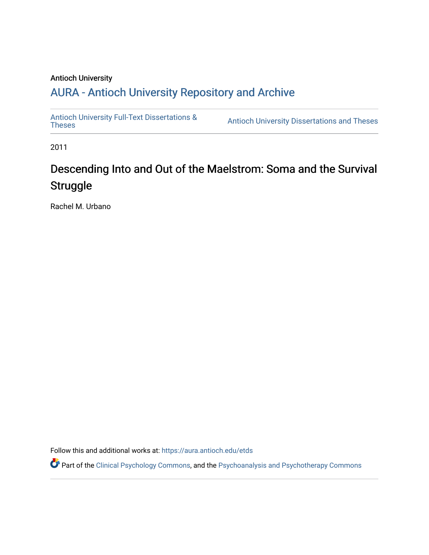#### Antioch University

## A[URA - Antioch University Reposit](https://aura.antioch.edu/)ory and Archive

[Antioch University Full-Text Dissertations &](https://aura.antioch.edu/etds) Antioch University Dissertations and Theses

2011

# Descending Into and Out of the Maelstrom: Soma and the Survival **Struggle**

Rachel M. Urbano

Follow this and additional works at: [https://aura.antioch.edu/etds](https://aura.antioch.edu/etds?utm_source=aura.antioch.edu%2Fetds%2F854&utm_medium=PDF&utm_campaign=PDFCoverPages)

Part of the [Clinical Psychology Commons,](https://network.bepress.com/hgg/discipline/406?utm_source=aura.antioch.edu%2Fetds%2F854&utm_medium=PDF&utm_campaign=PDFCoverPages) and the [Psychoanalysis and Psychotherapy Commons](https://network.bepress.com/hgg/discipline/716?utm_source=aura.antioch.edu%2Fetds%2F854&utm_medium=PDF&utm_campaign=PDFCoverPages)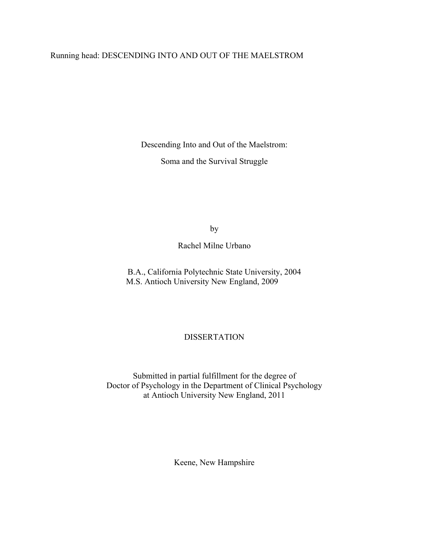## Running head: DESCENDING INTO AND OUT OF THE MAELSTROM

Descending Into and Out of the Maelstrom:

Soma and the Survival Struggle

by

Rachel Milne Urbano

B.A., California Polytechnic State University, 2004 M.S. Antioch University New England, 2009

### DISSERTATION

Submitted in partial fulfillment for the degree of Doctor of Psychology in the Department of Clinical Psychology at Antioch University New England, 2011

Keene, New Hampshire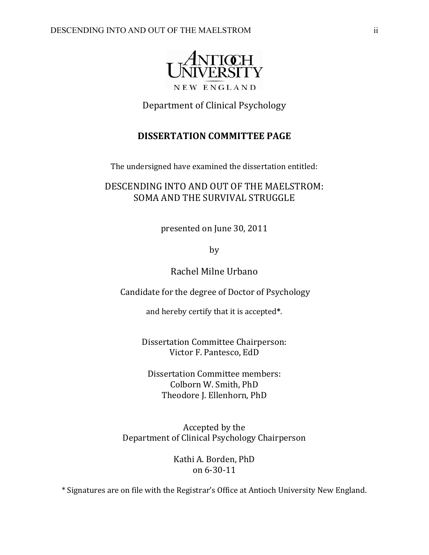

Department of Clinical Psychology

## **DISSERTATION COMMITTEE PAGE**

The undersigned have examined the dissertation entitled:

## DESCENDING INTO AND OUT OF THE MAELSTROM: SOMA AND THE SURVIVAL STRUGGLE

presented on June 30, 2011

by

Rachel Milne Urbano

Candidate for the degree of Doctor of Psychology

and hereby certify that it is accepted**\***.

Dissertation Committee Chairperson: Victor F. Pantesco, EdD

Dissertation Committee members: Colborn W. Smith, PhD Theodore J. Ellenhorn, PhD

Accepted by the Department of Clinical Psychology Chairperson

> Kathi A. Borden, PhD on 6‐30‐11

\* Signatures are on file with the Registrar's Office at Antioch University New England.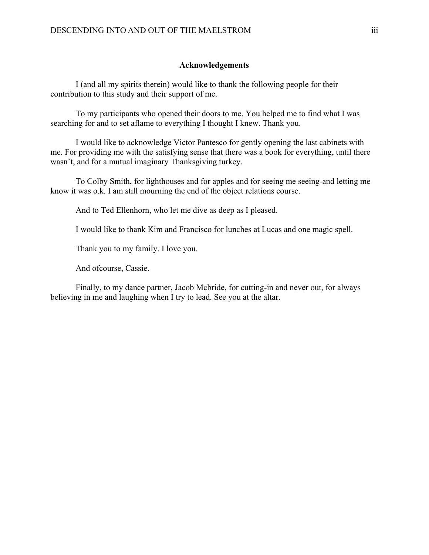#### **Acknowledgements**

I (and all my spirits therein) would like to thank the following people for their contribution to this study and their support of me.

To my participants who opened their doors to me. You helped me to find what I was searching for and to set aflame to everything I thought I knew. Thank you.

I would like to acknowledge Victor Pantesco for gently opening the last cabinets with me. For providing me with the satisfying sense that there was a book for everything, until there wasn't, and for a mutual imaginary Thanksgiving turkey.

To Colby Smith, for lighthouses and for apples and for seeing me seeing-and letting me know it was o.k. I am still mourning the end of the object relations course.

And to Ted Ellenhorn, who let me dive as deep as I pleased.

I would like to thank Kim and Francisco for lunches at Lucas and one magic spell.

Thank you to my family. I love you.

And ofcourse, Cassie.

Finally, to my dance partner, Jacob Mcbride, for cutting-in and never out, for always believing in me and laughing when I try to lead. See you at the altar.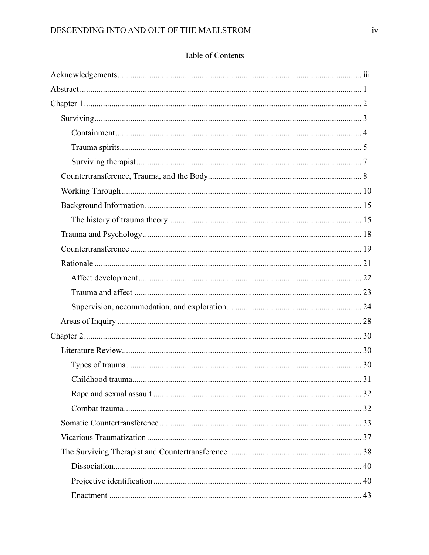## Table of Contents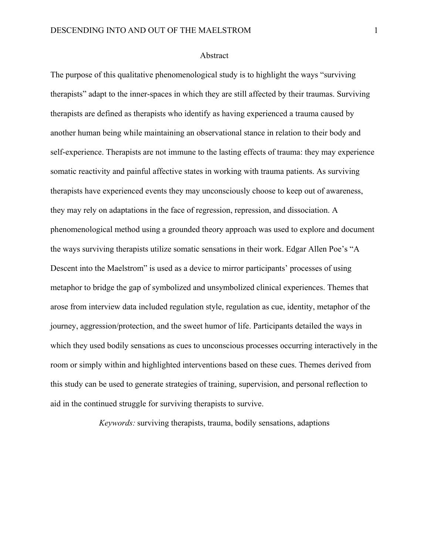#### Abstract

The purpose of this qualitative phenomenological study is to highlight the ways "surviving therapists" adapt to the inner-spaces in which they are still affected by their traumas. Surviving therapists are defined as therapists who identify as having experienced a trauma caused by another human being while maintaining an observational stance in relation to their body and self-experience. Therapists are not immune to the lasting effects of trauma: they may experience somatic reactivity and painful affective states in working with trauma patients. As surviving therapists have experienced events they may unconsciously choose to keep out of awareness, they may rely on adaptations in the face of regression, repression, and dissociation. A phenomenological method using a grounded theory approach was used to explore and document the ways surviving therapists utilize somatic sensations in their work. Edgar Allen Poe's "A Descent into the Maelstrom" is used as a device to mirror participants' processes of using metaphor to bridge the gap of symbolized and unsymbolized clinical experiences. Themes that arose from interview data included regulation style, regulation as cue, identity, metaphor of the journey, aggression/protection, and the sweet humor of life. Participants detailed the ways in which they used bodily sensations as cues to unconscious processes occurring interactively in the room or simply within and highlighted interventions based on these cues. Themes derived from this study can be used to generate strategies of training, supervision, and personal reflection to aid in the continued struggle for surviving therapists to survive.

*Keywords:* surviving therapists, trauma, bodily sensations, adaptions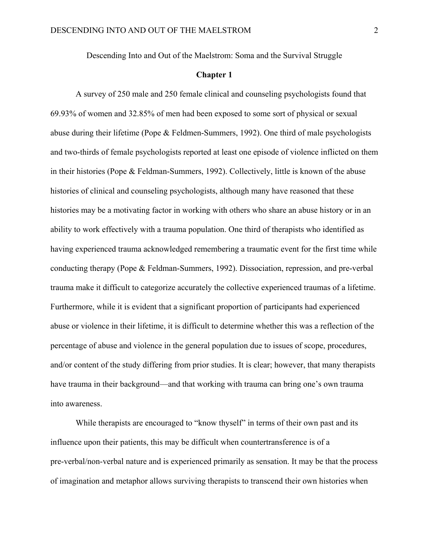Descending Into and Out of the Maelstrom: Soma and the Survival Struggle

#### **Chapter 1**

A survey of 250 male and 250 female clinical and counseling psychologists found that 69.93% of women and 32.85% of men had been exposed to some sort of physical or sexual abuse during their lifetime (Pope & Feldmen-Summers, 1992). One third of male psychologists and two-thirds of female psychologists reported at least one episode of violence inflicted on them in their histories (Pope & Feldman-Summers, 1992). Collectively, little is known of the abuse histories of clinical and counseling psychologists, although many have reasoned that these histories may be a motivating factor in working with others who share an abuse history or in an ability to work effectively with a trauma population. One third of therapists who identified as having experienced trauma acknowledged remembering a traumatic event for the first time while conducting therapy (Pope & Feldman-Summers, 1992). Dissociation, repression, and pre-verbal trauma make it difficult to categorize accurately the collective experienced traumas of a lifetime. Furthermore, while it is evident that a significant proportion of participants had experienced abuse or violence in their lifetime, it is difficult to determine whether this was a reflection of the percentage of abuse and violence in the general population due to issues of scope, procedures, and/or content of the study differing from prior studies. It is clear; however, that many therapists have trauma in their background—and that working with trauma can bring one's own trauma into awareness.

While therapists are encouraged to "know thyself" in terms of their own past and its influence upon their patients, this may be difficult when countertransference is of a pre-verbal/non-verbal nature and is experienced primarily as sensation. It may be that the process of imagination and metaphor allows surviving therapists to transcend their own histories when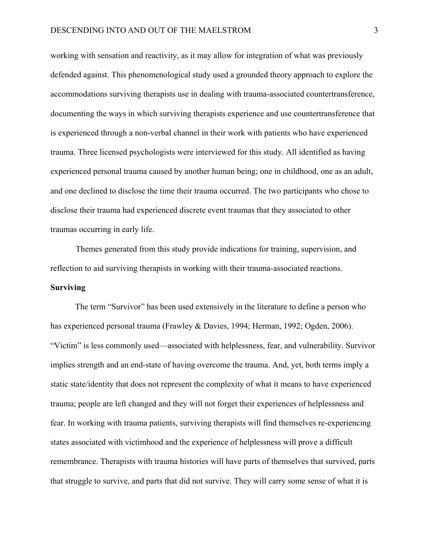working with sensation and reactivity, as it may allow for integration of what was previously defended against. This phenomenological study used a grounded theory approach to explore the accommodations surviving therapists use in dealing with trauma-associated countertransference, documenting the ways in which surviving therapists experience and use countertransference that is experienced through a non-verbal channel in their work with patients who have experienced trauma. Three licensed psychologists were interviewed for this study. All identified as having experienced personal trauma caused by another human being; one in childhood, one as an adult, and one declined to disclose the time their trauma occurred. The two participants who chose to disclose their trauma had experienced discrete event traumas that they associated to other traumas occurring in early life.

 Themes generated from this study provide indications for training, supervision, and reflection to aid surviving therapists in working with their trauma-associated reactions. **Surviving**

The term "Survivor" has been used extensively in the literature to define a person who has experienced personal trauma (Frawley & Davies, 1994; Herman, 1992; Ogden, 2006). "Victim" is less commonly used—associated with helplessness, fear, and vulnerability. Survivor implies strength and an end-state of having overcome the trauma. And, yet, both terms imply a static state/identity that does not represent the complexity of what it means to have experienced trauma; people are left changed and they will not forget their experiences of helplessness and fear. In working with trauma patients, surviving therapists will find themselves re-experiencing states associated with victimhood and the experience of helplessness will prove a difficult remembrance. Therapists with trauma histories will have parts of themselves that survived, parts that struggle to survive, and parts that did not survive. They will carry some sense of what it is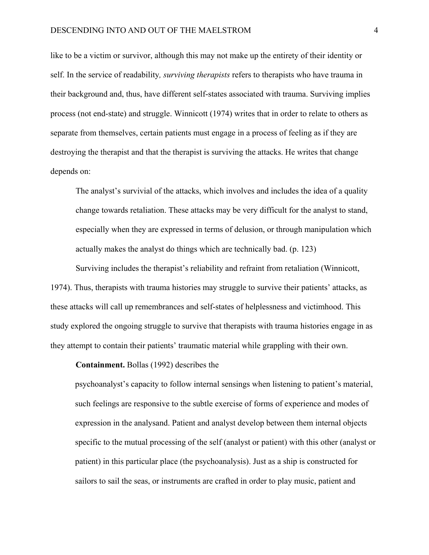like to be a victim or survivor, although this may not make up the entirety of their identity or self. In the service of readability*, surviving therapists* refers to therapists who have trauma in their background and, thus, have different self-states associated with trauma. Surviving implies process (not end-state) and struggle. Winnicott (1974) writes that in order to relate to others as separate from themselves, certain patients must engage in a process of feeling as if they are destroying the therapist and that the therapist is surviving the attacks. He writes that change depends on:

 The analyst's survivial of the attacks, which involves and includes the idea of a quality change towards retaliation. These attacks may be very difficult for the analyst to stand, especially when they are expressed in terms of delusion, or through manipulation which actually makes the analyst do things which are technically bad. (p. 123)

 Surviving includes the therapist's reliability and refraint from retaliation (Winnicott, 1974). Thus, therapists with trauma histories may struggle to survive their patients' attacks, as these attacks will call up remembrances and self-states of helplessness and victimhood. This study explored the ongoing struggle to survive that therapists with trauma histories engage in as they attempt to contain their patients' traumatic material while grappling with their own.

 **Containment.** Bollas (1992) describes the

psychoanalyst's capacity to follow internal sensings when listening to patient's material, such feelings are responsive to the subtle exercise of forms of experience and modes of expression in the analysand. Patient and analyst develop between them internal objects specific to the mutual processing of the self (analyst or patient) with this other (analyst or patient) in this particular place (the psychoanalysis). Just as a ship is constructed for sailors to sail the seas, or instruments are crafted in order to play music, patient and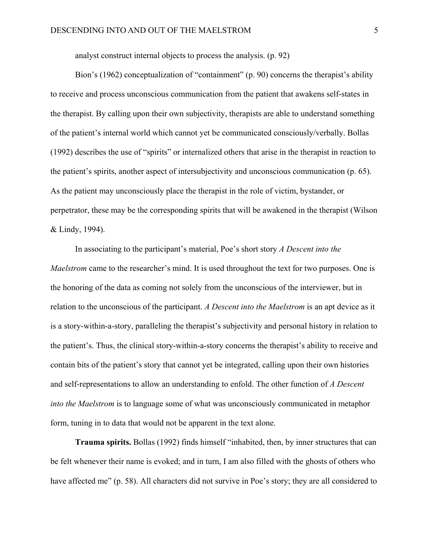analyst construct internal objects to process the analysis. (p. 92)

Bion's (1962) conceptualization of "containment" (p. 90) concerns the therapist's ability to receive and process unconscious communication from the patient that awakens self-states in the therapist. By calling upon their own subjectivity, therapists are able to understand something of the patient's internal world which cannot yet be communicated consciously/verbally. Bollas (1992) describes the use of "spirits" or internalized others that arise in the therapist in reaction to the patient's spirits, another aspect of intersubjectivity and unconscious communication (p. 65). As the patient may unconsciously place the therapist in the role of victim, bystander, or perpetrator, these may be the corresponding spirits that will be awakened in the therapist (Wilson & Lindy, 1994).

In associating to the participant's material, Poe's short story *A Descent into the Maelstrom* came to the researcher's mind. It is used throughout the text for two purposes. One is the honoring of the data as coming not solely from the unconscious of the interviewer, but in relation to the unconscious of the participant. *A Descent into the Maelstrom* is an apt device as it is a story-within-a-story, paralleling the therapist's subjectivity and personal history in relation to the patient's. Thus, the clinical story-within-a-story concerns the therapist's ability to receive and contain bits of the patient's story that cannot yet be integrated, calling upon their own histories and self-representations to allow an understanding to enfold. The other function of *A Descent into the Maelstrom* is to language some of what was unconsciously communicated in metaphor form, tuning in to data that would not be apparent in the text alone.

**Trauma spirits.** Bollas (1992) finds himself "inhabited, then, by inner structures that can be felt whenever their name is evoked; and in turn, I am also filled with the ghosts of others who have affected me" (p. 58). All characters did not survive in Poe's story; they are all considered to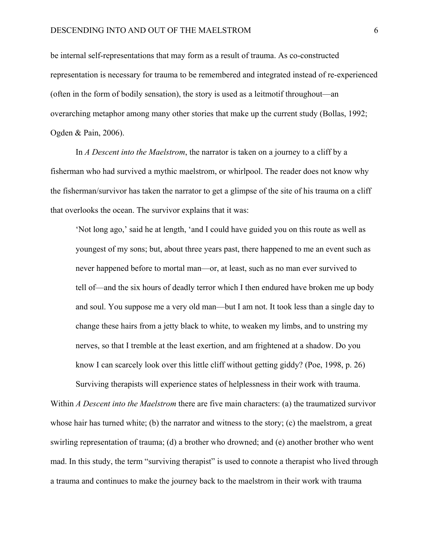be internal self-representations that may form as a result of trauma. As co-constructed representation is necessary for trauma to be remembered and integrated instead of re-experienced (often in the form of bodily sensation), the story is used as a leitmotif throughout—an overarching metaphor among many other stories that make up the current study (Bollas, 1992; Ogden & Pain, 2006).

In *A Descent into the Maelstrom*, the narrator is taken on a journey to a cliff by a fisherman who had survived a mythic maelstrom, or whirlpool. The reader does not know why the fisherman/survivor has taken the narrator to get a glimpse of the site of his trauma on a cliff that overlooks the ocean. The survivor explains that it was:

 'Not long ago,' said he at length, 'and I could have guided you on this route as well as youngest of my sons; but, about three years past, there happened to me an event such as never happened before to mortal man—or, at least, such as no man ever survived to tell of—and the six hours of deadly terror which I then endured have broken me up body and soul. You suppose me a very old man—but I am not. It took less than a single day to change these hairs from a jetty black to white, to weaken my limbs, and to unstring my nerves, so that I tremble at the least exertion, and am frightened at a shadow. Do you know I can scarcely look over this little cliff without getting giddy? (Poe, 1998, p. 26)

Surviving therapists will experience states of helplessness in their work with trauma. Within *A Descent into the Maelstrom* there are five main characters: (a) the traumatized survivor whose hair has turned white; (b) the narrator and witness to the story; (c) the maelstrom, a great swirling representation of trauma; (d) a brother who drowned; and (e) another brother who went mad. In this study, the term "surviving therapist" is used to connote a therapist who lived through a trauma and continues to make the journey back to the maelstrom in their work with trauma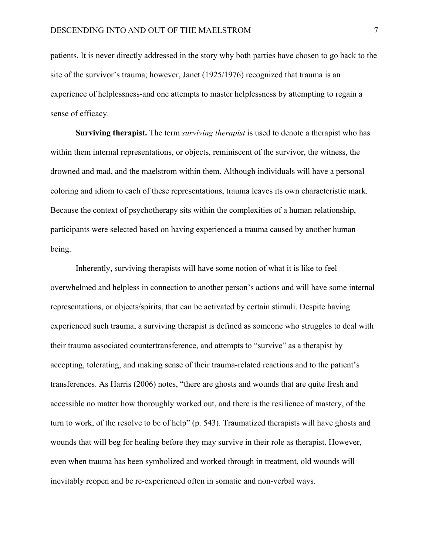patients. It is never directly addressed in the story why both parties have chosen to go back to the site of the survivor's trauma; however, Janet (1925/1976) recognized that trauma is an experience of helplessness-and one attempts to master helplessness by attempting to regain a sense of efficacy.

**Surviving therapist.** The term *surviving therapist* is used to denote a therapist who has within them internal representations, or objects, reminiscent of the survivor, the witness, the drowned and mad, and the maelstrom within them. Although individuals will have a personal coloring and idiom to each of these representations, trauma leaves its own characteristic mark. Because the context of psychotherapy sits within the complexities of a human relationship, participants were selected based on having experienced a trauma caused by another human being.

Inherently, surviving therapists will have some notion of what it is like to feel overwhelmed and helpless in connection to another person's actions and will have some internal representations, or objects/spirits, that can be activated by certain stimuli. Despite having experienced such trauma, a surviving therapist is defined as someone who struggles to deal with their trauma associated countertransference, and attempts to "survive" as a therapist by accepting, tolerating, and making sense of their trauma-related reactions and to the patient's transferences. As Harris (2006) notes, "there are ghosts and wounds that are quite fresh and accessible no matter how thoroughly worked out, and there is the resilience of mastery, of the turn to work, of the resolve to be of help" (p. 543). Traumatized therapists will have ghosts and wounds that will beg for healing before they may survive in their role as therapist. However, even when trauma has been symbolized and worked through in treatment, old wounds will inevitably reopen and be re-experienced often in somatic and non-verbal ways.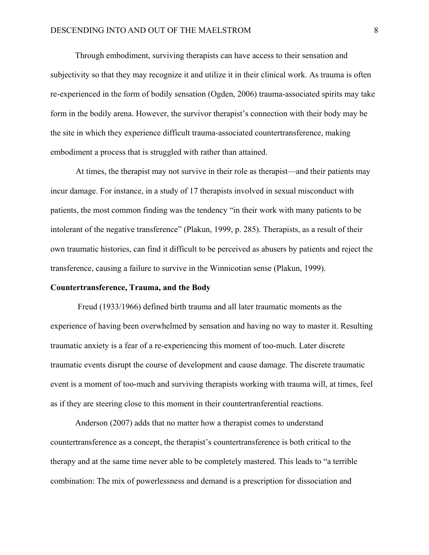Through embodiment, surviving therapists can have access to their sensation and subjectivity so that they may recognize it and utilize it in their clinical work. As trauma is often re-experienced in the form of bodily sensation (Ogden, 2006) trauma-associated spirits may take form in the bodily arena. However, the survivor therapist's connection with their body may be the site in which they experience difficult trauma-associated countertransference, making embodiment a process that is struggled with rather than attained.

 At times, the therapist may not survive in their role as therapist—and their patients may incur damage. For instance, in a study of 17 therapists involved in sexual misconduct with patients, the most common finding was the tendency "in their work with many patients to be intolerant of the negative transference" (Plakun, 1999, p. 285). Therapists, as a result of their own traumatic histories, can find it difficult to be perceived as abusers by patients and reject the transference, causing a failure to survive in the Winnicotian sense (Plakun, 1999).

#### **Countertransference, Trauma, and the Body**

 Freud (1933/1966) defined birth trauma and all later traumatic moments as the experience of having been overwhelmed by sensation and having no way to master it. Resulting traumatic anxiety is a fear of a re-experiencing this moment of too-much. Later discrete traumatic events disrupt the course of development and cause damage. The discrete traumatic event is a moment of too-much and surviving therapists working with trauma will, at times, feel as if they are steering close to this moment in their countertranferential reactions.

Anderson (2007) adds that no matter how a therapist comes to understand countertransference as a concept, the therapist's countertransference is both critical to the therapy and at the same time never able to be completely mastered. This leads to "a terrible combination: The mix of powerlessness and demand is a prescription for dissociation and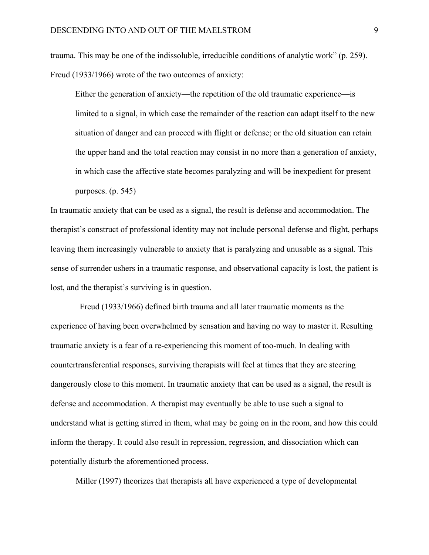trauma. This may be one of the indissoluble, irreducible conditions of analytic work" (p. 259). Freud (1933/1966) wrote of the two outcomes of anxiety:

Either the generation of anxiety—the repetition of the old traumatic experience—is limited to a signal, in which case the remainder of the reaction can adapt itself to the new situation of danger and can proceed with flight or defense; or the old situation can retain the upper hand and the total reaction may consist in no more than a generation of anxiety, in which case the affective state becomes paralyzing and will be inexpedient for present purposes. (p. 545)

In traumatic anxiety that can be used as a signal, the result is defense and accommodation. The therapist's construct of professional identity may not include personal defense and flight, perhaps leaving them increasingly vulnerable to anxiety that is paralyzing and unusable as a signal. This sense of surrender ushers in a traumatic response, and observational capacity is lost, the patient is lost, and the therapist's surviving is in question.

 Freud (1933/1966) defined birth trauma and all later traumatic moments as the experience of having been overwhelmed by sensation and having no way to master it. Resulting traumatic anxiety is a fear of a re-experiencing this moment of too-much. In dealing with countertransferential responses, surviving therapists will feel at times that they are steering dangerously close to this moment. In traumatic anxiety that can be used as a signal, the result is defense and accommodation. A therapist may eventually be able to use such a signal to understand what is getting stirred in them, what may be going on in the room, and how this could inform the therapy. It could also result in repression, regression, and dissociation which can potentially disturb the aforementioned process.

Miller (1997) theorizes that therapists all have experienced a type of developmental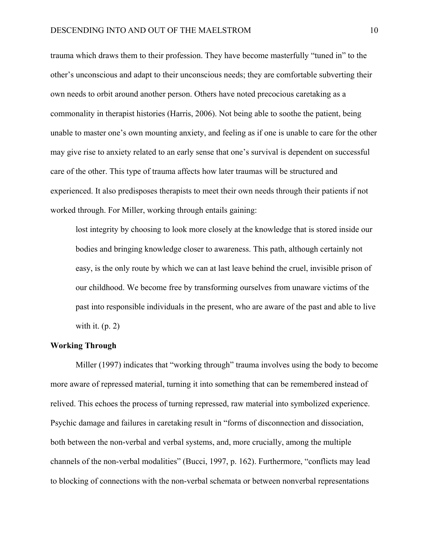trauma which draws them to their profession. They have become masterfully "tuned in" to the other's unconscious and adapt to their unconscious needs; they are comfortable subverting their own needs to orbit around another person. Others have noted precocious caretaking as a commonality in therapist histories (Harris, 2006). Not being able to soothe the patient, being unable to master one's own mounting anxiety, and feeling as if one is unable to care for the other may give rise to anxiety related to an early sense that one's survival is dependent on successful care of the other. This type of trauma affects how later traumas will be structured and experienced. It also predisposes therapists to meet their own needs through their patients if not worked through. For Miller, working through entails gaining:

 lost integrity by choosing to look more closely at the knowledge that is stored inside our bodies and bringing knowledge closer to awareness. This path, although certainly not easy, is the only route by which we can at last leave behind the cruel, invisible prison of our childhood. We become free by transforming ourselves from unaware victims of the past into responsible individuals in the present, who are aware of the past and able to live with it.  $(p. 2)$ 

#### **Working Through**

 Miller (1997) indicates that "working through" trauma involves using the body to become more aware of repressed material, turning it into something that can be remembered instead of relived. This echoes the process of turning repressed, raw material into symbolized experience. Psychic damage and failures in caretaking result in "forms of disconnection and dissociation, both between the non-verbal and verbal systems, and, more crucially, among the multiple channels of the non-verbal modalities" (Bucci, 1997, p. 162). Furthermore, "conflicts may lead to blocking of connections with the non-verbal schemata or between nonverbal representations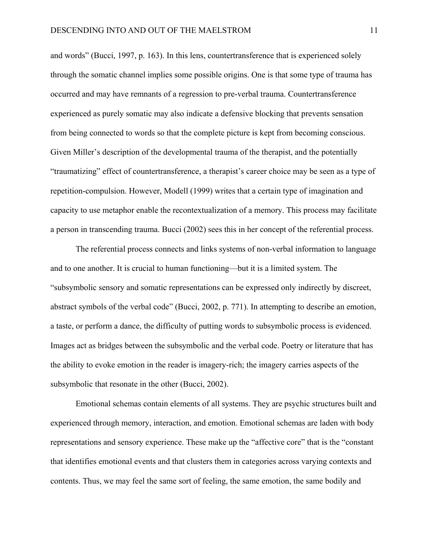and words" (Bucci, 1997, p. 163). In this lens, countertransference that is experienced solely through the somatic channel implies some possible origins. One is that some type of trauma has occurred and may have remnants of a regression to pre-verbal trauma. Countertransference experienced as purely somatic may also indicate a defensive blocking that prevents sensation from being connected to words so that the complete picture is kept from becoming conscious. Given Miller's description of the developmental trauma of the therapist, and the potentially "traumatizing" effect of countertransference, a therapist's career choice may be seen as a type of repetition-compulsion. However, Modell (1999) writes that a certain type of imagination and capacity to use metaphor enable the recontextualization of a memory. This process may facilitate a person in transcending trauma. Bucci (2002) sees this in her concept of the referential process.

 The referential process connects and links systems of non-verbal information to language and to one another. It is crucial to human functioning—but it is a limited system. The "subsymbolic sensory and somatic representations can be expressed only indirectly by discreet, abstract symbols of the verbal code" (Bucci, 2002, p. 771). In attempting to describe an emotion, a taste, or perform a dance, the difficulty of putting words to subsymbolic process is evidenced. Images act as bridges between the subsymbolic and the verbal code. Poetry or literature that has the ability to evoke emotion in the reader is imagery-rich; the imagery carries aspects of the subsymbolic that resonate in the other (Bucci, 2002).

 Emotional schemas contain elements of all systems. They are psychic structures built and experienced through memory, interaction, and emotion. Emotional schemas are laden with body representations and sensory experience. These make up the "affective core" that is the "constant that identifies emotional events and that clusters them in categories across varying contexts and contents. Thus, we may feel the same sort of feeling, the same emotion, the same bodily and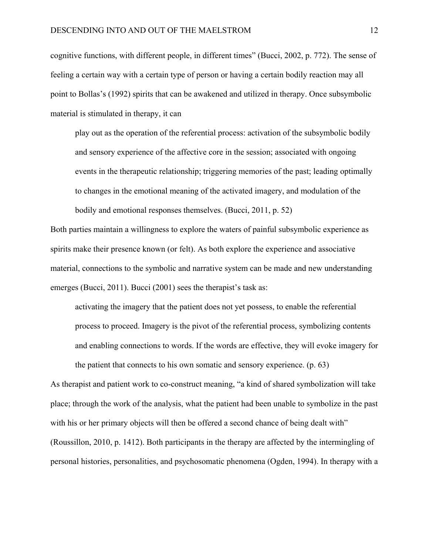cognitive functions, with different people, in different times" (Bucci, 2002, p. 772). The sense of feeling a certain way with a certain type of person or having a certain bodily reaction may all point to Bollas's (1992) spirits that can be awakened and utilized in therapy. Once subsymbolic material is stimulated in therapy, it can

play out as the operation of the referential process: activation of the subsymbolic bodily and sensory experience of the affective core in the session; associated with ongoing events in the therapeutic relationship; triggering memories of the past; leading optimally to changes in the emotional meaning of the activated imagery, and modulation of the bodily and emotional responses themselves. (Bucci, 2011, p. 52)

Both parties maintain a willingness to explore the waters of painful subsymbolic experience as spirits make their presence known (or felt). As both explore the experience and associative material, connections to the symbolic and narrative system can be made and new understanding emerges (Bucci, 2011). Bucci (2001) sees the therapist's task as:

activating the imagery that the patient does not yet possess, to enable the referential process to proceed. Imagery is the pivot of the referential process, symbolizing contents and enabling connections to words. If the words are effective, they will evoke imagery for the patient that connects to his own somatic and sensory experience. (p. 63)

As therapist and patient work to co-construct meaning, "a kind of shared symbolization will take place; through the work of the analysis, what the patient had been unable to symbolize in the past with his or her primary objects will then be offered a second chance of being dealt with" (Roussillon, 2010, p. 1412). Both participants in the therapy are affected by the intermingling of personal histories, personalities, and psychosomatic phenomena (Ogden, 1994). In therapy with a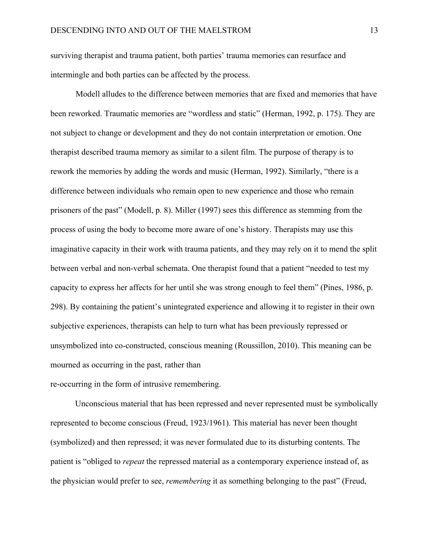surviving therapist and trauma patient, both parties' trauma memories can resurface and intermingle and both parties can be affected by the process.

 Modell alludes to the difference between memories that are fixed and memories that have been reworked. Traumatic memories are "wordless and static" (Herman, 1992, p. 175). They are not subject to change or development and they do not contain interpretation or emotion. One therapist described trauma memory as similar to a silent film. The purpose of therapy is to rework the memories by adding the words and music (Herman, 1992). Similarly, "there is a difference between individuals who remain open to new experience and those who remain prisoners of the past" (Modell, p. 8). Miller (1997) sees this difference as stemming from the process of using the body to become more aware of one's history. Therapists may use this imaginative capacity in their work with trauma patients, and they may rely on it to mend the split between verbal and non-verbal schemata. One therapist found that a patient "needed to test my capacity to express her affects for her until she was strong enough to feel them" (Pines, 1986, p. 298). By containing the patient's unintegrated experience and allowing it to register in their own subjective experiences, therapists can help to turn what has been previously repressed or unsymbolized into co-constructed, conscious meaning (Roussillon, 2010). This meaning can be mourned as occurring in the past, rather than re-occurring in the form of intrusive remembering.

Unconscious material that has been repressed and never represented must be symbolically represented to become conscious (Freud, 1923/1961). This material has never been thought (symbolized) and then repressed; it was never formulated due to its disturbing contents. The patient is "obliged to *repeat* the repressed material as a contemporary experience instead of, as the physician would prefer to see, *remembering* it as something belonging to the past" (Freud,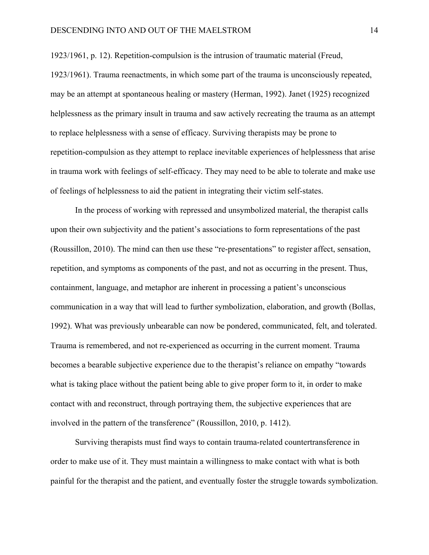1923/1961, p. 12). Repetition-compulsion is the intrusion of traumatic material (Freud,

1923/1961). Trauma reenactments, in which some part of the trauma is unconsciously repeated, may be an attempt at spontaneous healing or mastery (Herman, 1992). Janet (1925) recognized helplessness as the primary insult in trauma and saw actively recreating the trauma as an attempt to replace helplessness with a sense of efficacy. Surviving therapists may be prone to repetition-compulsion as they attempt to replace inevitable experiences of helplessness that arise in trauma work with feelings of self-efficacy. They may need to be able to tolerate and make use of feelings of helplessness to aid the patient in integrating their victim self-states.

In the process of working with repressed and unsymbolized material, the therapist calls upon their own subjectivity and the patient's associations to form representations of the past (Roussillon, 2010). The mind can then use these "re-presentations" to register affect, sensation, repetition, and symptoms as components of the past, and not as occurring in the present. Thus, containment, language, and metaphor are inherent in processing a patient's unconscious communication in a way that will lead to further symbolization, elaboration, and growth (Bollas, 1992). What was previously unbearable can now be pondered, communicated, felt, and tolerated. Trauma is remembered, and not re-experienced as occurring in the current moment. Trauma becomes a bearable subjective experience due to the therapist's reliance on empathy "towards what is taking place without the patient being able to give proper form to it, in order to make contact with and reconstruct, through portraying them, the subjective experiences that are involved in the pattern of the transference" (Roussillon, 2010, p. 1412).

Surviving therapists must find ways to contain trauma-related countertransference in order to make use of it. They must maintain a willingness to make contact with what is both painful for the therapist and the patient, and eventually foster the struggle towards symbolization.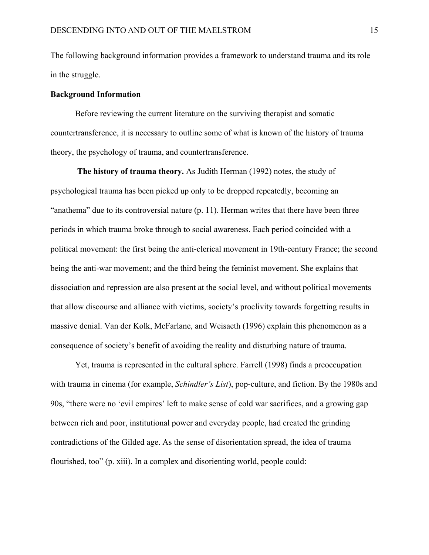The following background information provides a framework to understand trauma and its role in the struggle.

#### **Background Information**

Before reviewing the current literature on the surviving therapist and somatic countertransference, it is necessary to outline some of what is known of the history of trauma theory, the psychology of trauma, and countertransference.

**The history of trauma theory.** As Judith Herman (1992) notes, the study of psychological trauma has been picked up only to be dropped repeatedly, becoming an "anathema" due to its controversial nature (p. 11). Herman writes that there have been three periods in which trauma broke through to social awareness. Each period coincided with a political movement: the first being the anti-clerical movement in 19th-century France; the second being the anti-war movement; and the third being the feminist movement. She explains that dissociation and repression are also present at the social level, and without political movements that allow discourse and alliance with victims, society's proclivity towards forgetting results in massive denial. Van der Kolk, McFarlane, and Weisaeth (1996) explain this phenomenon as a consequence of society's benefit of avoiding the reality and disturbing nature of trauma.

Yet, trauma is represented in the cultural sphere. Farrell (1998) finds a preoccupation with trauma in cinema (for example, *Schindler's List*), pop-culture, and fiction. By the 1980s and 90s, "there were no 'evil empires' left to make sense of cold war sacrifices, and a growing gap between rich and poor, institutional power and everyday people, had created the grinding contradictions of the Gilded age. As the sense of disorientation spread, the idea of trauma flourished, too" (p. xiii). In a complex and disorienting world, people could: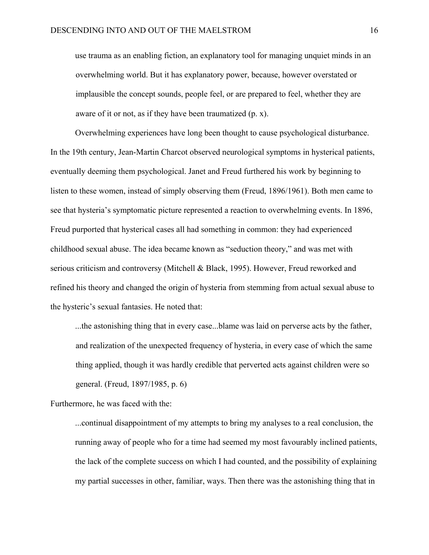use trauma as an enabling fiction, an explanatory tool for managing unquiet minds in an overwhelming world. But it has explanatory power, because, however overstated or implausible the concept sounds, people feel, or are prepared to feel, whether they are aware of it or not, as if they have been traumatized (p. x).

Overwhelming experiences have long been thought to cause psychological disturbance. In the 19th century, Jean-Martin Charcot observed neurological symptoms in hysterical patients, eventually deeming them psychological. Janet and Freud furthered his work by beginning to listen to these women, instead of simply observing them (Freud, 1896/1961). Both men came to see that hysteria's symptomatic picture represented a reaction to overwhelming events. In 1896, Freud purported that hysterical cases all had something in common: they had experienced childhood sexual abuse. The idea became known as "seduction theory," and was met with serious criticism and controversy (Mitchell & Black, 1995). However, Freud reworked and refined his theory and changed the origin of hysteria from stemming from actual sexual abuse to the hysteric's sexual fantasies. He noted that:

...the astonishing thing that in every case...blame was laid on perverse acts by the father, and realization of the unexpected frequency of hysteria, in every case of which the same thing applied, though it was hardly credible that perverted acts against children were so general. (Freud, 1897/1985, p. 6)

Furthermore, he was faced with the:

...continual disappointment of my attempts to bring my analyses to a real conclusion, the running away of people who for a time had seemed my most favourably inclined patients, the lack of the complete success on which I had counted, and the possibility of explaining my partial successes in other, familiar, ways. Then there was the astonishing thing that in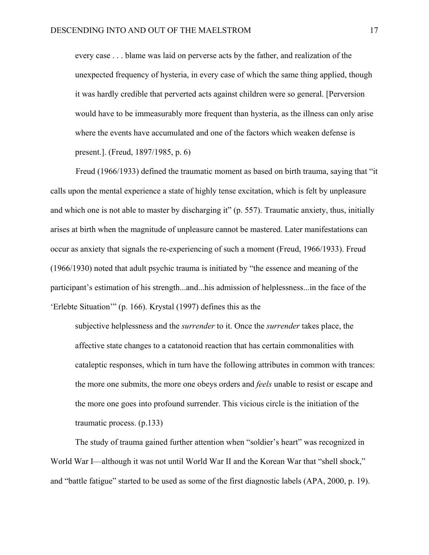every case . . . blame was laid on perverse acts by the father, and realization of the unexpected frequency of hysteria, in every case of which the same thing applied, though it was hardly credible that perverted acts against children were so general. [Perversion would have to be immeasurably more frequent than hysteria, as the illness can only arise where the events have accumulated and one of the factors which weaken defense is present.]. (Freud, 1897/1985, p. 6)

 Freud (1966/1933) defined the traumatic moment as based on birth trauma, saying that "it calls upon the mental experience a state of highly tense excitation, which is felt by unpleasure and which one is not able to master by discharging it" (p. 557). Traumatic anxiety, thus, initially arises at birth when the magnitude of unpleasure cannot be mastered. Later manifestations can occur as anxiety that signals the re-experiencing of such a moment (Freud, 1966/1933). Freud (1966/1930) noted that adult psychic trauma is initiated by "the essence and meaning of the participant's estimation of his strength...and...his admission of helplessness...in the face of the 'Erlebte Situation'" (p. 166). Krystal (1997) defines this as the

subjective helplessness and the *surrender* to it. Once the *surrender* takes place, the affective state changes to a catatonoid reaction that has certain commonalities with cataleptic responses, which in turn have the following attributes in common with trances: the more one submits, the more one obeys orders and *feels* unable to resist or escape and the more one goes into profound surrender. This vicious circle is the initiation of the traumatic process. (p.133)

The study of trauma gained further attention when "soldier's heart" was recognized in World War I—although it was not until World War II and the Korean War that "shell shock," and "battle fatigue" started to be used as some of the first diagnostic labels (APA, 2000, p. 19).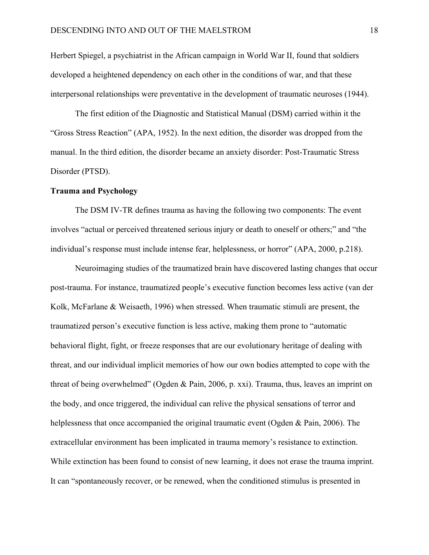Herbert Spiegel, a psychiatrist in the African campaign in World War II, found that soldiers developed a heightened dependency on each other in the conditions of war, and that these interpersonal relationships were preventative in the development of traumatic neuroses (1944).

The first edition of the Diagnostic and Statistical Manual (DSM) carried within it the "Gross Stress Reaction" (APA, 1952). In the next edition, the disorder was dropped from the manual. In the third edition, the disorder became an anxiety disorder: Post-Traumatic Stress Disorder (PTSD).

#### **Trauma and Psychology**

The DSM IV-TR defines trauma as having the following two components: The event involves "actual or perceived threatened serious injury or death to oneself or others;" and "the individual's response must include intense fear, helplessness, or horror" (APA, 2000, p.218).

Neuroimaging studies of the traumatized brain have discovered lasting changes that occur post-trauma. For instance, traumatized people's executive function becomes less active (van der Kolk, McFarlane & Weisaeth, 1996) when stressed. When traumatic stimuli are present, the traumatized person's executive function is less active, making them prone to "automatic behavioral flight, fight, or freeze responses that are our evolutionary heritage of dealing with threat, and our individual implicit memories of how our own bodies attempted to cope with the threat of being overwhelmed" (Ogden & Pain, 2006, p. xxi). Trauma, thus, leaves an imprint on the body, and once triggered, the individual can relive the physical sensations of terror and helplessness that once accompanied the original traumatic event (Ogden & Pain, 2006). The extracellular environment has been implicated in trauma memory's resistance to extinction. While extinction has been found to consist of new learning, it does not erase the trauma imprint. It can "spontaneously recover, or be renewed, when the conditioned stimulus is presented in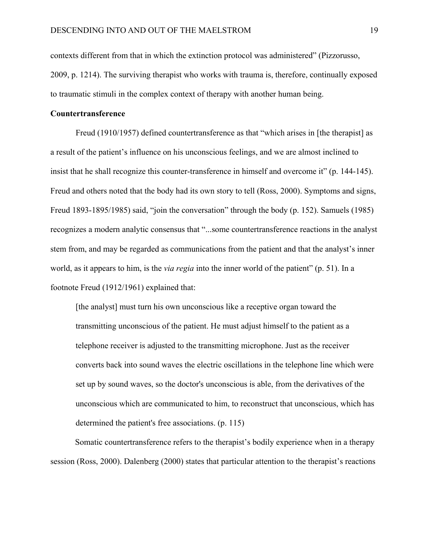contexts different from that in which the extinction protocol was administered" (Pizzorusso, 2009, p. 1214). The surviving therapist who works with trauma is, therefore, continually exposed to traumatic stimuli in the complex context of therapy with another human being.

#### **Countertransference**

 Freud (1910/1957) defined countertransference as that "which arises in [the therapist] as a result of the patient's influence on his unconscious feelings, and we are almost inclined to insist that he shall recognize this counter-transference in himself and overcome it" (p. 144-145). Freud and others noted that the body had its own story to tell (Ross, 2000). Symptoms and signs, Freud 1893-1895/1985) said, "join the conversation" through the body (p. 152). Samuels (1985) recognizes a modern analytic consensus that "...some countertransference reactions in the analyst stem from, and may be regarded as communications from the patient and that the analyst's inner world, as it appears to him, is the *via regia* into the inner world of the patient" (p. 51). In a footnote Freud (1912/1961) explained that:

 [the analyst] must turn his own unconscious like a receptive organ toward the transmitting unconscious of the patient. He must adjust himself to the patient as a telephone receiver is adjusted to the transmitting microphone. Just as the receiver converts back into sound waves the electric oscillations in the telephone line which were set up by sound waves, so the doctor's unconscious is able, from the derivatives of the unconscious which are communicated to him, to reconstruct that unconscious, which has determined the patient's free associations. (p. 115)

Somatic countertransference refers to the therapist's bodily experience when in a therapy session (Ross, 2000). Dalenberg (2000) states that particular attention to the therapist's reactions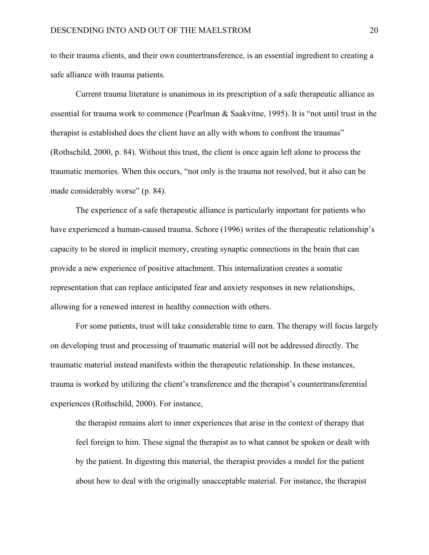to their trauma clients, and their own countertransference, is an essential ingredient to creating a safe alliance with trauma patients.

 Current trauma literature is unanimous in its prescription of a safe therapeutic alliance as essential for trauma work to commence (Pearlman & Saakvitne, 1995). It is "not until trust in the therapist is established does the client have an ally with whom to confront the traumas" (Rothschild, 2000, p. 84). Without this trust, the client is once again left alone to process the traumatic memories. When this occurs, "not only is the trauma not resolved, but it also can be made considerably worse" (p. 84).

The experience of a safe therapeutic alliance is particularly important for patients who have experienced a human-caused trauma. Schore (1996) writes of the therapeutic relationship's capacity to be stored in implicit memory, creating synaptic connections in the brain that can provide a new experience of positive attachment. This internalization creates a somatic representation that can replace anticipated fear and anxiety responses in new relationships, allowing for a renewed interest in healthy connection with others.

For some patients, trust will take considerable time to earn. The therapy will focus largely on developing trust and processing of traumatic material will not be addressed directly. The traumatic material instead manifests within the therapeutic relationship. In these instances, trauma is worked by utilizing the client's transference and the therapist's countertransferential experiences (Rothschild, 2000). For instance,

the therapist remains alert to inner experiences that arise in the context of therapy that feel foreign to him. These signal the therapist as to what cannot be spoken or dealt with by the patient. In digesting this material, the therapist provides a model for the patient about how to deal with the originally unacceptable material. For instance, the therapist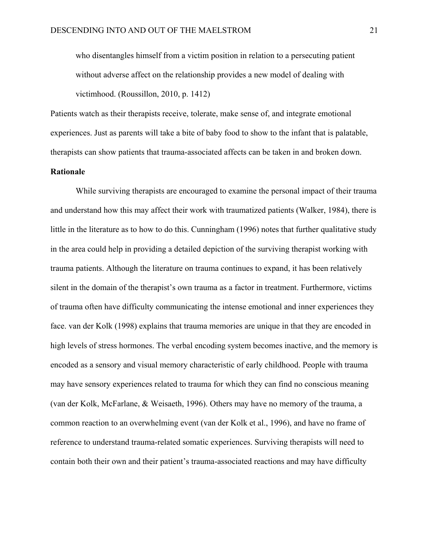who disentangles himself from a victim position in relation to a persecuting patient without adverse affect on the relationship provides a new model of dealing with victimhood. (Roussillon, 2010, p. 1412)

Patients watch as their therapists receive, tolerate, make sense of, and integrate emotional experiences. Just as parents will take a bite of baby food to show to the infant that is palatable, therapists can show patients that trauma-associated affects can be taken in and broken down.

#### **Rationale**

While surviving therapists are encouraged to examine the personal impact of their trauma and understand how this may affect their work with traumatized patients (Walker, 1984), there is little in the literature as to how to do this. Cunningham (1996) notes that further qualitative study in the area could help in providing a detailed depiction of the surviving therapist working with trauma patients. Although the literature on trauma continues to expand, it has been relatively silent in the domain of the therapist's own trauma as a factor in treatment. Furthermore, victims of trauma often have difficulty communicating the intense emotional and inner experiences they face. van der Kolk (1998) explains that trauma memories are unique in that they are encoded in high levels of stress hormones. The verbal encoding system becomes inactive, and the memory is encoded as a sensory and visual memory characteristic of early childhood. People with trauma may have sensory experiences related to trauma for which they can find no conscious meaning (van der Kolk, McFarlane, & Weisaeth, 1996). Others may have no memory of the trauma, a common reaction to an overwhelming event (van der Kolk et al., 1996), and have no frame of reference to understand trauma-related somatic experiences. Surviving therapists will need to contain both their own and their patient's trauma-associated reactions and may have difficulty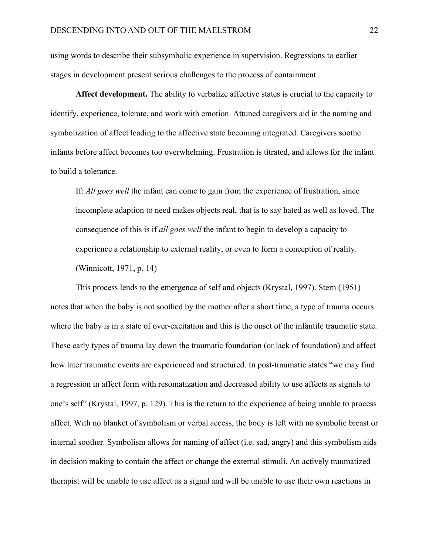using words to describe their subsymbolic experience in supervision. Regressions to earlier stages in development present serious challenges to the process of containment.

**Affect development.** The ability to verbalize affective states is crucial to the capacity to identify, experience, tolerate, and work with emotion. Attuned caregivers aid in the naming and symbolization of affect leading to the affective state becoming integrated. Caregivers soothe infants before affect becomes too overwhelming. Frustration is titrated, and allows for the infant to build a tolerance.

If: *All goes well* the infant can come to gain from the experience of frustration, since incomplete adaption to need makes objects real, that is to say hated as well as loved. The consequence of this is if *all goes well* the infant to begin to develop a capacity to experience a relationship to external reality, or even to form a conception of reality. (Winnicott, 1971, p. 14)

This process lends to the emergence of self and objects (Krystal, 1997). Stern (1951) notes that when the baby is not soothed by the mother after a short time, a type of trauma occurs where the baby is in a state of over-excitation and this is the onset of the infantile traumatic state. These early types of trauma lay down the traumatic foundation (or lack of foundation) and affect how later traumatic events are experienced and structured. In post-traumatic states "we may find a regression in affect form with resomatization and decreased ability to use affects as signals to one's self" (Krystal, 1997, p. 129). This is the return to the experience of being unable to process affect. With no blanket of symbolism or verbal access, the body is left with no symbolic breast or internal soother. Symbolism allows for naming of affect (i.e. sad, angry) and this symbolism aids in decision making to contain the affect or change the external stimuli. An actively traumatized therapist will be unable to use affect as a signal and will be unable to use their own reactions in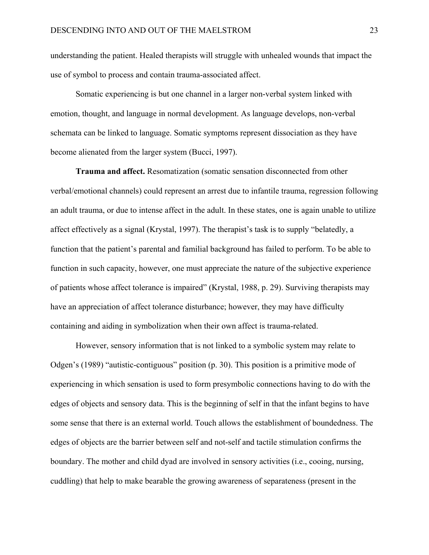understanding the patient. Healed therapists will struggle with unhealed wounds that impact the use of symbol to process and contain trauma-associated affect.

Somatic experiencing is but one channel in a larger non-verbal system linked with emotion, thought, and language in normal development. As language develops, non-verbal schemata can be linked to language. Somatic symptoms represent dissociation as they have become alienated from the larger system (Bucci, 1997).

**Trauma and affect.** Resomatization (somatic sensation disconnected from other verbal/emotional channels) could represent an arrest due to infantile trauma, regression following an adult trauma, or due to intense affect in the adult. In these states, one is again unable to utilize affect effectively as a signal (Krystal, 1997). The therapist's task is to supply "belatedly, a function that the patient's parental and familial background has failed to perform. To be able to function in such capacity, however, one must appreciate the nature of the subjective experience of patients whose affect tolerance is impaired" (Krystal, 1988, p. 29). Surviving therapists may have an appreciation of affect tolerance disturbance; however, they may have difficulty containing and aiding in symbolization when their own affect is trauma-related.

However, sensory information that is not linked to a symbolic system may relate to Odgen's (1989) "autistic-contiguous" position (p. 30). This position is a primitive mode of experiencing in which sensation is used to form presymbolic connections having to do with the edges of objects and sensory data. This is the beginning of self in that the infant begins to have some sense that there is an external world. Touch allows the establishment of boundedness. The edges of objects are the barrier between self and not-self and tactile stimulation confirms the boundary. The mother and child dyad are involved in sensory activities (i.e., cooing, nursing, cuddling) that help to make bearable the growing awareness of separateness (present in the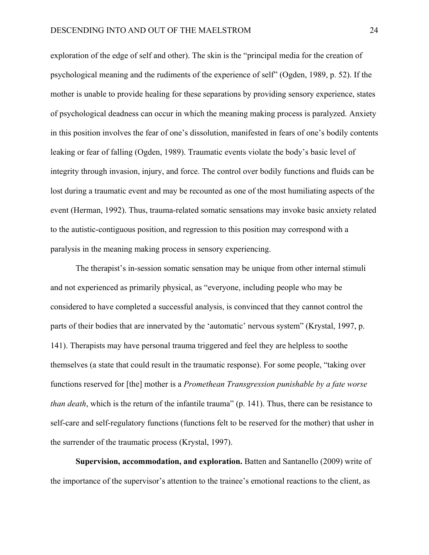exploration of the edge of self and other). The skin is the "principal media for the creation of psychological meaning and the rudiments of the experience of self" (Ogden, 1989, p. 52). If the mother is unable to provide healing for these separations by providing sensory experience, states of psychological deadness can occur in which the meaning making process is paralyzed. Anxiety in this position involves the fear of one's dissolution, manifested in fears of one's bodily contents leaking or fear of falling (Ogden, 1989). Traumatic events violate the body's basic level of integrity through invasion, injury, and force. The control over bodily functions and fluids can be lost during a traumatic event and may be recounted as one of the most humiliating aspects of the event (Herman, 1992). Thus, trauma-related somatic sensations may invoke basic anxiety related to the autistic-contiguous position, and regression to this position may correspond with a paralysis in the meaning making process in sensory experiencing.

The therapist's in-session somatic sensation may be unique from other internal stimuli and not experienced as primarily physical, as "everyone, including people who may be considered to have completed a successful analysis, is convinced that they cannot control the parts of their bodies that are innervated by the 'automatic' nervous system" (Krystal, 1997, p. 141). Therapists may have personal trauma triggered and feel they are helpless to soothe themselves (a state that could result in the traumatic response). For some people, "taking over functions reserved for [the] mother is a *Promethean Transgression punishable by a fate worse than death*, which is the return of the infantile trauma" (p. 141). Thus, there can be resistance to self-care and self-regulatory functions (functions felt to be reserved for the mother) that usher in the surrender of the traumatic process (Krystal, 1997).

 **Supervision, accommodation, and exploration.** Batten and Santanello (2009) write of the importance of the supervisor's attention to the trainee's emotional reactions to the client, as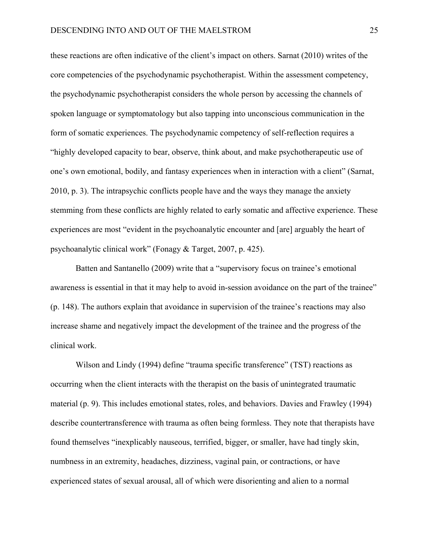these reactions are often indicative of the client's impact on others. Sarnat (2010) writes of the core competencies of the psychodynamic psychotherapist. Within the assessment competency, the psychodynamic psychotherapist considers the whole person by accessing the channels of spoken language or symptomatology but also tapping into unconscious communication in the form of somatic experiences. The psychodynamic competency of self-reflection requires a "highly developed capacity to bear, observe, think about, and make psychotherapeutic use of one's own emotional, bodily, and fantasy experiences when in interaction with a client" (Sarnat, 2010, p. 3). The intrapsychic conflicts people have and the ways they manage the anxiety stemming from these conflicts are highly related to early somatic and affective experience. These experiences are most "evident in the psychoanalytic encounter and [are] arguably the heart of psychoanalytic clinical work" (Fonagy & Target, 2007, p. 425).

 Batten and Santanello (2009) write that a "supervisory focus on trainee's emotional awareness is essential in that it may help to avoid in-session avoidance on the part of the trainee" (p. 148). The authors explain that avoidance in supervision of the trainee's reactions may also increase shame and negatively impact the development of the trainee and the progress of the clinical work.

Wilson and Lindy (1994) define "trauma specific transference" (TST) reactions as occurring when the client interacts with the therapist on the basis of unintegrated traumatic material (p. 9). This includes emotional states, roles, and behaviors. Davies and Frawley (1994) describe countertransference with trauma as often being formless. They note that therapists have found themselves "inexplicably nauseous, terrified, bigger, or smaller, have had tingly skin, numbness in an extremity, headaches, dizziness, vaginal pain, or contractions, or have experienced states of sexual arousal, all of which were disorienting and alien to a normal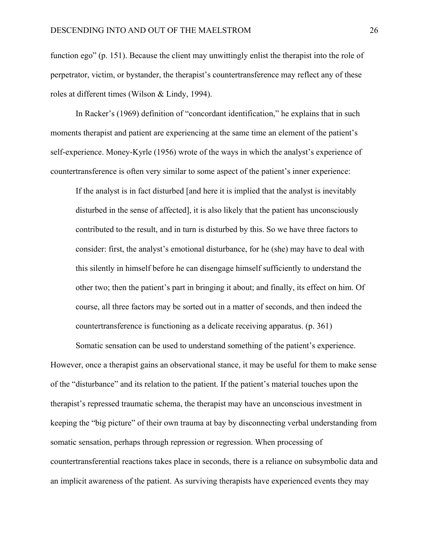function ego" (p. 151). Because the client may unwittingly enlist the therapist into the role of perpetrator, victim, or bystander, the therapist's countertransference may reflect any of these roles at different times (Wilson & Lindy, 1994).

 In Racker's (1969) definition of "concordant identification," he explains that in such moments therapist and patient are experiencing at the same time an element of the patient's self-experience. Money-Kyrle (1956) wrote of the ways in which the analyst's experience of countertransference is often very similar to some aspect of the patient's inner experience:

If the analyst is in fact disturbed [and here it is implied that the analyst is inevitably disturbed in the sense of affected], it is also likely that the patient has unconsciously contributed to the result, and in turn is disturbed by this. So we have three factors to consider: first, the analyst's emotional disturbance, for he (she) may have to deal with this silently in himself before he can disengage himself sufficiently to understand the other two; then the patient's part in bringing it about; and finally, its effect on him. Of course, all three factors may be sorted out in a matter of seconds, and then indeed the countertransference is functioning as a delicate receiving apparatus. (p. 361)

 Somatic sensation can be used to understand something of the patient's experience. However, once a therapist gains an observational stance, it may be useful for them to make sense of the "disturbance" and its relation to the patient. If the patient's material touches upon the therapist's repressed traumatic schema, the therapist may have an unconscious investment in keeping the "big picture" of their own trauma at bay by disconnecting verbal understanding from somatic sensation, perhaps through repression or regression. When processing of countertransferential reactions takes place in seconds, there is a reliance on subsymbolic data and an implicit awareness of the patient. As surviving therapists have experienced events they may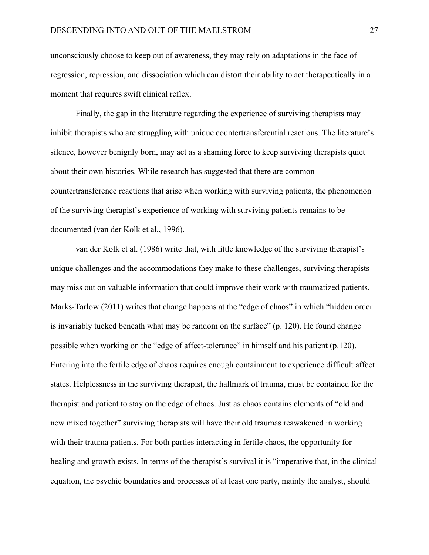unconsciously choose to keep out of awareness, they may rely on adaptations in the face of regression, repression, and dissociation which can distort their ability to act therapeutically in a moment that requires swift clinical reflex.

 Finally, the gap in the literature regarding the experience of surviving therapists may inhibit therapists who are struggling with unique countertransferential reactions. The literature's silence, however benignly born, may act as a shaming force to keep surviving therapists quiet about their own histories. While research has suggested that there are common countertransference reactions that arise when working with surviving patients, the phenomenon of the surviving therapist's experience of working with surviving patients remains to be documented (van der Kolk et al., 1996).

 van der Kolk et al. (1986) write that, with little knowledge of the surviving therapist's unique challenges and the accommodations they make to these challenges, surviving therapists may miss out on valuable information that could improve their work with traumatized patients. Marks-Tarlow (2011) writes that change happens at the "edge of chaos" in which "hidden order is invariably tucked beneath what may be random on the surface" (p. 120). He found change possible when working on the "edge of affect-tolerance" in himself and his patient (p.120). Entering into the fertile edge of chaos requires enough containment to experience difficult affect states. Helplessness in the surviving therapist, the hallmark of trauma, must be contained for the therapist and patient to stay on the edge of chaos. Just as chaos contains elements of "old and new mixed together" surviving therapists will have their old traumas reawakened in working with their trauma patients. For both parties interacting in fertile chaos, the opportunity for healing and growth exists. In terms of the therapist's survival it is "imperative that, in the clinical equation, the psychic boundaries and processes of at least one party, mainly the analyst, should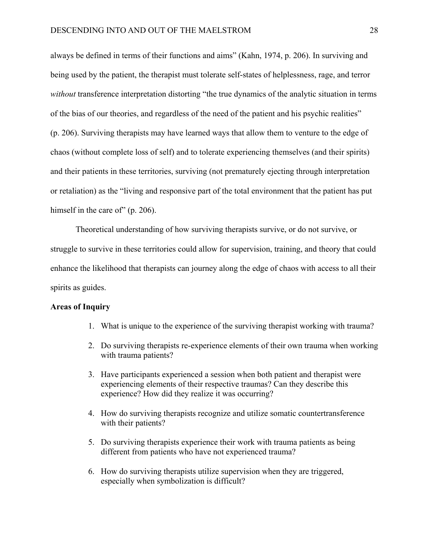always be defined in terms of their functions and aims" (Kahn, 1974, p. 206). In surviving and being used by the patient, the therapist must tolerate self-states of helplessness, rage, and terror *without* transference interpretation distorting "the true dynamics of the analytic situation in terms of the bias of our theories, and regardless of the need of the patient and his psychic realities" (p. 206). Surviving therapists may have learned ways that allow them to venture to the edge of chaos (without complete loss of self) and to tolerate experiencing themselves (and their spirits) and their patients in these territories, surviving (not prematurely ejecting through interpretation or retaliation) as the "living and responsive part of the total environment that the patient has put himself in the care of" (p. 206).

 Theoretical understanding of how surviving therapists survive, or do not survive, or struggle to survive in these territories could allow for supervision, training, and theory that could enhance the likelihood that therapists can journey along the edge of chaos with access to all their spirits as guides.

#### **Areas of Inquiry**

- 1. What is unique to the experience of the surviving therapist working with trauma?
- 2. Do surviving therapists re-experience elements of their own trauma when working with trauma patients?
- 3. Have participants experienced a session when both patient and therapist were experiencing elements of their respective traumas? Can they describe this experience? How did they realize it was occurring?
- 4. How do surviving therapists recognize and utilize somatic countertransference with their patients?
- 5. Do surviving therapists experience their work with trauma patients as being different from patients who have not experienced trauma?
- 6. How do surviving therapists utilize supervision when they are triggered, especially when symbolization is difficult?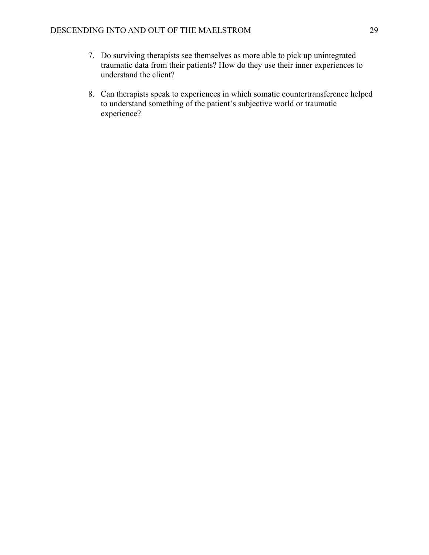- 7. Do surviving therapists see themselves as more able to pick up unintegrated traumatic data from their patients? How do they use their inner experiences to understand the client?
- 8. Can therapists speak to experiences in which somatic countertransference helped to understand something of the patient's subjective world or traumatic experience?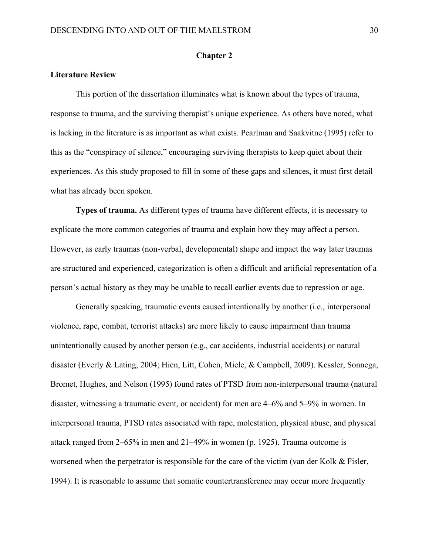#### **Chapter 2**

#### **Literature Review**

 This portion of the dissertation illuminates what is known about the types of trauma, response to trauma, and the surviving therapist's unique experience. As others have noted, what is lacking in the literature is as important as what exists. Pearlman and Saakvitne (1995) refer to this as the "conspiracy of silence," encouraging surviving therapists to keep quiet about their experiences. As this study proposed to fill in some of these gaps and silences, it must first detail what has already been spoken.

 **Types of trauma.** As different types of trauma have different effects, it is necessary to explicate the more common categories of trauma and explain how they may affect a person. However, as early traumas (non-verbal, developmental) shape and impact the way later traumas are structured and experienced, categorization is often a difficult and artificial representation of a person's actual history as they may be unable to recall earlier events due to repression or age.

 Generally speaking, traumatic events caused intentionally by another (i.e., interpersonal violence, rape, combat, terrorist attacks) are more likely to cause impairment than trauma unintentionally caused by another person (e.g., car accidents, industrial accidents) or natural disaster (Everly & Lating, 2004; Hien, Litt, Cohen, Miele, & Campbell, 2009). Kessler, Sonnega, Bromet, Hughes, and Nelson (1995) found rates of PTSD from non-interpersonal trauma (natural disaster, witnessing a traumatic event, or accident) for men are 4–6% and 5–9% in women. In interpersonal trauma, PTSD rates associated with rape, molestation, physical abuse, and physical attack ranged from 2–65% in men and 21–49% in women (p. 1925). Trauma outcome is worsened when the perpetrator is responsible for the care of the victim (van der Kolk & Fisler, 1994). It is reasonable to assume that somatic countertransference may occur more frequently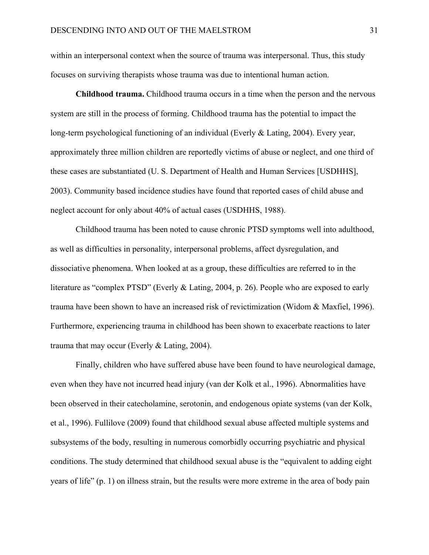within an interpersonal context when the source of trauma was interpersonal. Thus, this study focuses on surviving therapists whose trauma was due to intentional human action.

 **Childhood trauma.** Childhood trauma occurs in a time when the person and the nervous system are still in the process of forming. Childhood trauma has the potential to impact the long-term psychological functioning of an individual (Everly & Lating, 2004). Every year, approximately three million children are reportedly victims of abuse or neglect, and one third of these cases are substantiated (U. S. Department of Health and Human Services [USDHHS], 2003). Community based incidence studies have found that reported cases of child abuse and neglect account for only about 40% of actual cases (USDHHS, 1988).

 Childhood trauma has been noted to cause chronic PTSD symptoms well into adulthood, as well as difficulties in personality, interpersonal problems, affect dysregulation, and dissociative phenomena. When looked at as a group, these difficulties are referred to in the literature as "complex PTSD" (Everly & Lating, 2004, p. 26). People who are exposed to early trauma have been shown to have an increased risk of revictimization (Widom & Maxfiel, 1996). Furthermore, experiencing trauma in childhood has been shown to exacerbate reactions to later trauma that may occur (Everly & Lating, 2004).

 Finally, children who have suffered abuse have been found to have neurological damage, even when they have not incurred head injury (van der Kolk et al., 1996). Abnormalities have been observed in their catecholamine, serotonin, and endogenous opiate systems (van der Kolk, et al., 1996). Fullilove (2009) found that childhood sexual abuse affected multiple systems and subsystems of the body, resulting in numerous comorbidly occurring psychiatric and physical conditions. The study determined that childhood sexual abuse is the "equivalent to adding eight years of life" (p. 1) on illness strain, but the results were more extreme in the area of body pain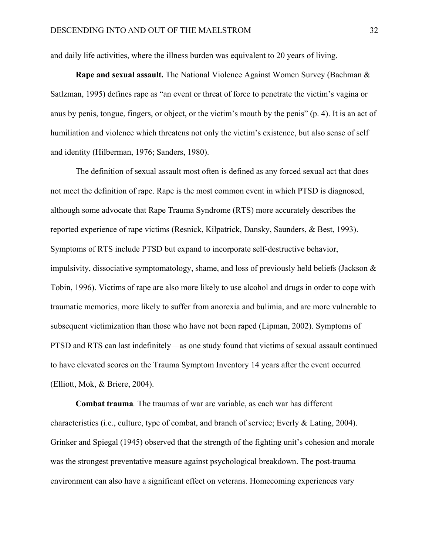and daily life activities, where the illness burden was equivalent to 20 years of living.

 **Rape and sexual assault.** The National Violence Against Women Survey (Bachman & Satlzman, 1995) defines rape as "an event or threat of force to penetrate the victim's vagina or anus by penis, tongue, fingers, or object, or the victim's mouth by the penis" (p. 4). It is an act of humiliation and violence which threatens not only the victim's existence, but also sense of self and identity (Hilberman, 1976; Sanders, 1980).

 The definition of sexual assault most often is defined as any forced sexual act that does not meet the definition of rape. Rape is the most common event in which PTSD is diagnosed, although some advocate that Rape Trauma Syndrome (RTS) more accurately describes the reported experience of rape victims (Resnick, Kilpatrick, Dansky, Saunders, & Best, 1993). Symptoms of RTS include PTSD but expand to incorporate self-destructive behavior, impulsivity, dissociative symptomatology, shame, and loss of previously held beliefs (Jackson & Tobin, 1996). Victims of rape are also more likely to use alcohol and drugs in order to cope with traumatic memories, more likely to suffer from anorexia and bulimia, and are more vulnerable to subsequent victimization than those who have not been raped (Lipman, 2002). Symptoms of PTSD and RTS can last indefinitely—as one study found that victims of sexual assault continued to have elevated scores on the Trauma Symptom Inventory 14 years after the event occurred (Elliott, Mok, & Briere, 2004).

 **Combat trauma***.* The traumas of war are variable, as each war has different characteristics (i.e., culture, type of combat, and branch of service; Everly & Lating, 2004). Grinker and Spiegal (1945) observed that the strength of the fighting unit's cohesion and morale was the strongest preventative measure against psychological breakdown. The post-trauma environment can also have a significant effect on veterans. Homecoming experiences vary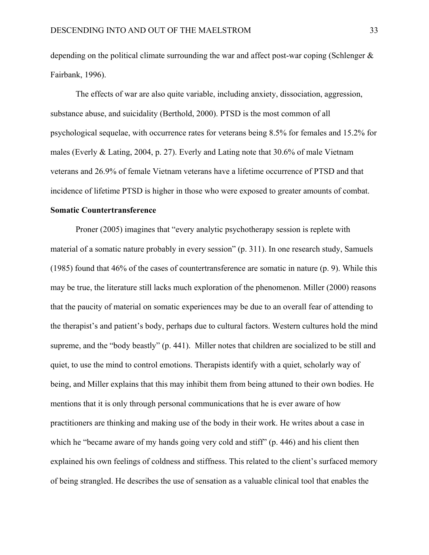depending on the political climate surrounding the war and affect post-war coping (Schlenger & Fairbank, 1996).

 The effects of war are also quite variable, including anxiety, dissociation, aggression, substance abuse, and suicidality (Berthold, 2000). PTSD is the most common of all psychological sequelae, with occurrence rates for veterans being 8.5% for females and 15.2% for males (Everly & Lating, 2004, p. 27). Everly and Lating note that 30.6% of male Vietnam veterans and 26.9% of female Vietnam veterans have a lifetime occurrence of PTSD and that incidence of lifetime PTSD is higher in those who were exposed to greater amounts of combat.

# **Somatic Countertransference**

 Proner (2005) imagines that "every analytic psychotherapy session is replete with material of a somatic nature probably in every session" (p. 311). In one research study, Samuels (1985) found that 46% of the cases of countertransference are somatic in nature (p. 9). While this may be true, the literature still lacks much exploration of the phenomenon. Miller (2000) reasons that the paucity of material on somatic experiences may be due to an overall fear of attending to the therapist's and patient's body, perhaps due to cultural factors. Western cultures hold the mind supreme, and the "body beastly" (p. 441). Miller notes that children are socialized to be still and quiet, to use the mind to control emotions. Therapists identify with a quiet, scholarly way of being, and Miller explains that this may inhibit them from being attuned to their own bodies. He mentions that it is only through personal communications that he is ever aware of how practitioners are thinking and making use of the body in their work. He writes about a case in which he "became aware of my hands going very cold and stiff" (p. 446) and his client then explained his own feelings of coldness and stiffness. This related to the client's surfaced memory of being strangled. He describes the use of sensation as a valuable clinical tool that enables the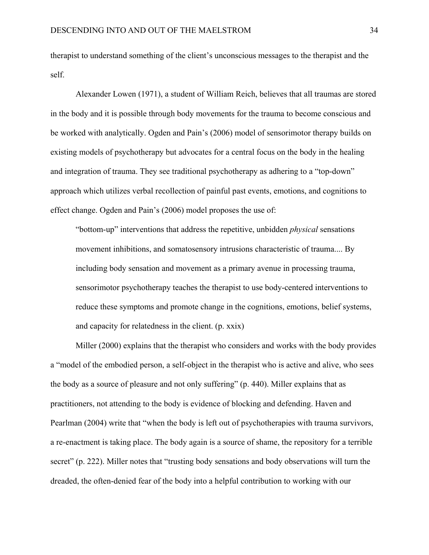therapist to understand something of the client's unconscious messages to the therapist and the self.

 Alexander Lowen (1971), a student of William Reich, believes that all traumas are stored in the body and it is possible through body movements for the trauma to become conscious and be worked with analytically. Ogden and Pain's (2006) model of sensorimotor therapy builds on existing models of psychotherapy but advocates for a central focus on the body in the healing and integration of trauma. They see traditional psychotherapy as adhering to a "top-down" approach which utilizes verbal recollection of painful past events, emotions, and cognitions to effect change. Ogden and Pain's (2006) model proposes the use of:

 "bottom-up" interventions that address the repetitive, unbidden *physical* sensations movement inhibitions, and somatosensory intrusions characteristic of trauma.... By including body sensation and movement as a primary avenue in processing trauma, sensorimotor psychotherapy teaches the therapist to use body-centered interventions to reduce these symptoms and promote change in the cognitions, emotions, belief systems, and capacity for relatedness in the client. (p. xxix)

 Miller (2000) explains that the therapist who considers and works with the body provides a "model of the embodied person, a self-object in the therapist who is active and alive, who sees the body as a source of pleasure and not only suffering" (p. 440). Miller explains that as practitioners, not attending to the body is evidence of blocking and defending. Haven and Pearlman (2004) write that "when the body is left out of psychotherapies with trauma survivors, a re-enactment is taking place. The body again is a source of shame, the repository for a terrible secret" (p. 222). Miller notes that "trusting body sensations and body observations will turn the dreaded, the often-denied fear of the body into a helpful contribution to working with our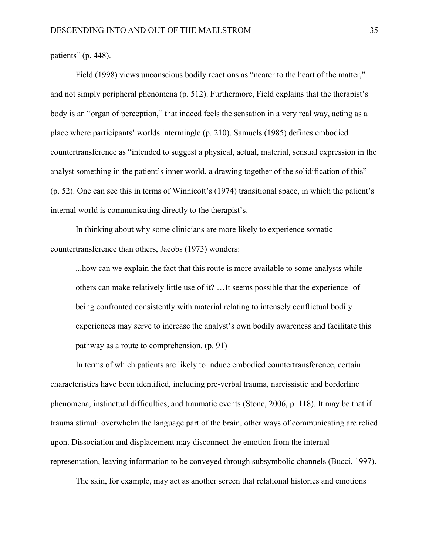patients" (p. 448).

Field (1998) views unconscious bodily reactions as "nearer to the heart of the matter," and not simply peripheral phenomena (p. 512). Furthermore, Field explains that the therapist's body is an "organ of perception," that indeed feels the sensation in a very real way, acting as a place where participants' worlds intermingle (p. 210). Samuels (1985) defines embodied countertransference as "intended to suggest a physical, actual, material, sensual expression in the analyst something in the patient's inner world, a drawing together of the solidification of this" (p. 52). One can see this in terms of Winnicott's (1974) transitional space, in which the patient's internal world is communicating directly to the therapist's.

 In thinking about why some clinicians are more likely to experience somatic countertransference than others, Jacobs (1973) wonders:

 ...how can we explain the fact that this route is more available to some analysts while others can make relatively little use of it? …It seems possible that the experience of being confronted consistently with material relating to intensely conflictual bodily experiences may serve to increase the analyst's own bodily awareness and facilitate this pathway as a route to comprehension. (p. 91)

 In terms of which patients are likely to induce embodied countertransference, certain characteristics have been identified, including pre-verbal trauma, narcissistic and borderline phenomena, instinctual difficulties, and traumatic events (Stone, 2006, p. 118). It may be that if trauma stimuli overwhelm the language part of the brain, other ways of communicating are relied upon. Dissociation and displacement may disconnect the emotion from the internal representation, leaving information to be conveyed through subsymbolic channels (Bucci, 1997).

The skin, for example, may act as another screen that relational histories and emotions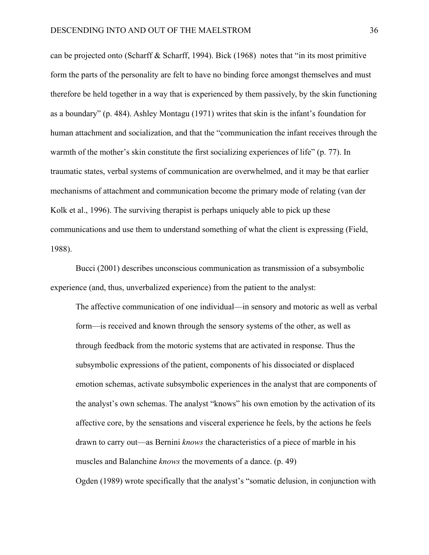can be projected onto (Scharff & Scharff, 1994). Bick (1968) notes that "in its most primitive form the parts of the personality are felt to have no binding force amongst themselves and must therefore be held together in a way that is experienced by them passively, by the skin functioning as a boundary" (p. 484). Ashley Montagu (1971) writes that skin is the infant's foundation for human attachment and socialization, and that the "communication the infant receives through the warmth of the mother's skin constitute the first socializing experiences of life" (p. 77). In traumatic states, verbal systems of communication are overwhelmed, and it may be that earlier mechanisms of attachment and communication become the primary mode of relating (van der Kolk et al., 1996). The surviving therapist is perhaps uniquely able to pick up these communications and use them to understand something of what the client is expressing (Field, 1988).

 Bucci (2001) describes unconscious communication as transmission of a subsymbolic experience (and, thus, unverbalized experience) from the patient to the analyst:

 The affective communication of one individual—in sensory and motoric as well as verbal form—is received and known through the sensory systems of the other, as well as through feedback from the motoric systems that are activated in response. Thus the subsymbolic expressions of the patient, components of his dissociated or displaced emotion schemas, activate subsymbolic experiences in the analyst that are components of the analyst's own schemas. The analyst "knows" his own emotion by the activation of its affective core, by the sensations and visceral experience he feels, by the actions he feels drawn to carry out—as Bernini *knows* the characteristics of a piece of marble in his muscles and Balanchine *knows* the movements of a dance. (p. 49)

Ogden (1989) wrote specifically that the analyst's "somatic delusion, in conjunction with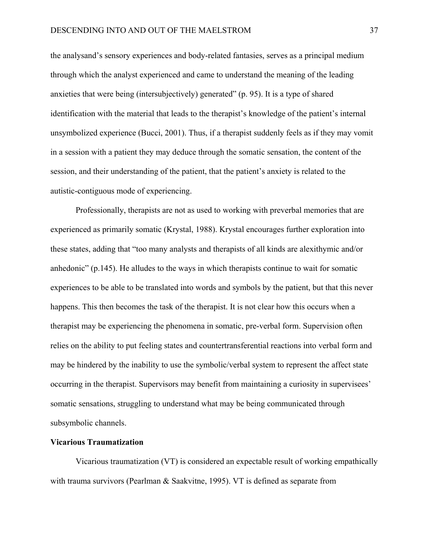the analysand's sensory experiences and body-related fantasies, serves as a principal medium through which the analyst experienced and came to understand the meaning of the leading anxieties that were being (intersubjectively) generated" (p. 95). It is a type of shared identification with the material that leads to the therapist's knowledge of the patient's internal unsymbolized experience (Bucci, 2001). Thus, if a therapist suddenly feels as if they may vomit in a session with a patient they may deduce through the somatic sensation, the content of the session, and their understanding of the patient, that the patient's anxiety is related to the autistic-contiguous mode of experiencing.

 Professionally, therapists are not as used to working with preverbal memories that are experienced as primarily somatic (Krystal, 1988). Krystal encourages further exploration into these states, adding that "too many analysts and therapists of all kinds are alexithymic and/or anhedonic" (p.145). He alludes to the ways in which therapists continue to wait for somatic experiences to be able to be translated into words and symbols by the patient, but that this never happens. This then becomes the task of the therapist. It is not clear how this occurs when a therapist may be experiencing the phenomena in somatic, pre-verbal form. Supervision often relies on the ability to put feeling states and countertransferential reactions into verbal form and may be hindered by the inability to use the symbolic/verbal system to represent the affect state occurring in the therapist. Supervisors may benefit from maintaining a curiosity in supervisees' somatic sensations, struggling to understand what may be being communicated through subsymbolic channels.

# **Vicarious Traumatization**

 Vicarious traumatization (VT) is considered an expectable result of working empathically with trauma survivors (Pearlman & Saakvitne, 1995). VT is defined as separate from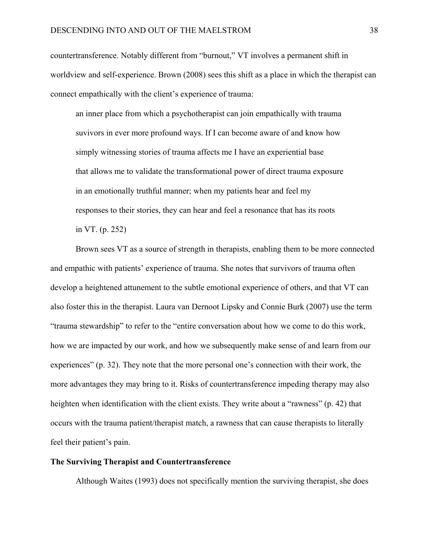countertransference. Notably different from "burnout," VT involves a permanent shift in worldview and self-experience. Brown (2008) sees this shift as a place in which the therapist can connect empathically with the client's experience of trauma:

 an inner place from which a psychotherapist can join empathically with trauma suvivors in ever more profound ways. If I can become aware of and know how simply witnessing stories of trauma affects me I have an experiential base that allows me to validate the transformational power of direct trauma exposure in an emotionally truthful manner; when my patients hear and feel my responses to their stories, they can hear and feel a resonance that has its roots in VT. (p. 252)

 Brown sees VT as a source of strength in therapists, enabling them to be more connected and empathic with patients' experience of trauma. She notes that survivors of trauma often develop a heightened attunement to the subtle emotional experience of others, and that VT can also foster this in the therapist. Laura van Dernoot Lipsky and Connie Burk (2007) use the term "trauma stewardship" to refer to the "entire conversation about how we come to do this work, how we are impacted by our work, and how we subsequently make sense of and learn from our experiences" (p. 32). They note that the more personal one's connection with their work, the more advantages they may bring to it. Risks of countertransference impeding therapy may also heighten when identification with the client exists. They write about a "rawness" (p. 42) that occurs with the trauma patient/therapist match, a rawness that can cause therapists to literally feel their patient's pain.

# **The Surviving Therapist and Countertransference**

Although Waites (1993) does not specifically mention the surviving therapist, she does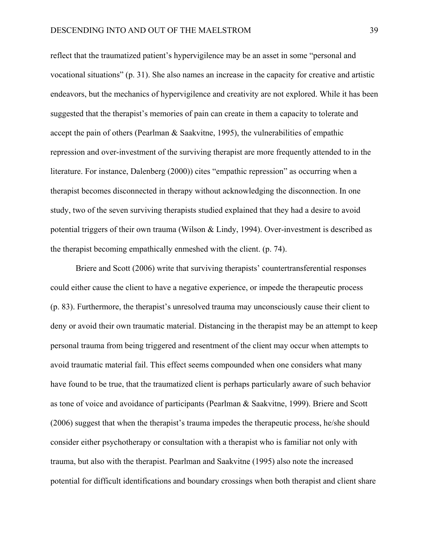reflect that the traumatized patient's hypervigilence may be an asset in some "personal and vocational situations" (p. 31). She also names an increase in the capacity for creative and artistic endeavors, but the mechanics of hypervigilence and creativity are not explored. While it has been suggested that the therapist's memories of pain can create in them a capacity to tolerate and accept the pain of others (Pearlman & Saakvitne, 1995), the vulnerabilities of empathic repression and over-investment of the surviving therapist are more frequently attended to in the literature. For instance, Dalenberg (2000)) cites "empathic repression" as occurring when a therapist becomes disconnected in therapy without acknowledging the disconnection. In one study, two of the seven surviving therapists studied explained that they had a desire to avoid potential triggers of their own trauma (Wilson & Lindy, 1994). Over-investment is described as the therapist becoming empathically enmeshed with the client. (p. 74).

 Briere and Scott (2006) write that surviving therapists' countertransferential responses could either cause the client to have a negative experience, or impede the therapeutic process (p. 83). Furthermore, the therapist's unresolved trauma may unconsciously cause their client to deny or avoid their own traumatic material. Distancing in the therapist may be an attempt to keep personal trauma from being triggered and resentment of the client may occur when attempts to avoid traumatic material fail. This effect seems compounded when one considers what many have found to be true, that the traumatized client is perhaps particularly aware of such behavior as tone of voice and avoidance of participants (Pearlman & Saakvitne, 1999). Briere and Scott (2006) suggest that when the therapist's trauma impedes the therapeutic process, he/she should consider either psychotherapy or consultation with a therapist who is familiar not only with trauma, but also with the therapist. Pearlman and Saakvitne (1995) also note the increased potential for difficult identifications and boundary crossings when both therapist and client share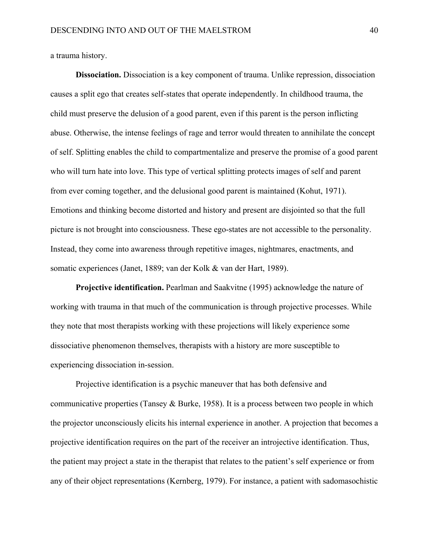a trauma history.

 **Dissociation.** Dissociation is a key component of trauma. Unlike repression, dissociation causes a split ego that creates self-states that operate independently. In childhood trauma, the child must preserve the delusion of a good parent, even if this parent is the person inflicting abuse. Otherwise, the intense feelings of rage and terror would threaten to annihilate the concept of self. Splitting enables the child to compartmentalize and preserve the promise of a good parent who will turn hate into love. This type of vertical splitting protects images of self and parent from ever coming together, and the delusional good parent is maintained (Kohut, 1971). Emotions and thinking become distorted and history and present are disjointed so that the full picture is not brought into consciousness. These ego-states are not accessible to the personality. Instead, they come into awareness through repetitive images, nightmares, enactments, and somatic experiences (Janet, 1889; van der Kolk & van der Hart, 1989).

 **Projective identification.** Pearlman and Saakvitne (1995) acknowledge the nature of working with trauma in that much of the communication is through projective processes. While they note that most therapists working with these projections will likely experience some dissociative phenomenon themselves, therapists with a history are more susceptible to experiencing dissociation in-session.

 Projective identification is a psychic maneuver that has both defensive and communicative properties (Tansey & Burke, 1958). It is a process between two people in which the projector unconsciously elicits his internal experience in another. A projection that becomes a projective identification requires on the part of the receiver an introjective identification. Thus, the patient may project a state in the therapist that relates to the patient's self experience or from any of their object representations (Kernberg, 1979). For instance, a patient with sadomasochistic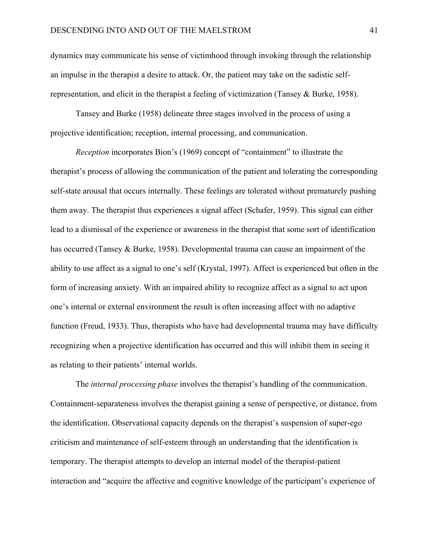dynamics may communicate his sense of victimhood through invoking through the relationship an impulse in the therapist a desire to attack. Or, the patient may take on the sadistic selfrepresentation, and elicit in the therapist a feeling of victimization (Tansey & Burke, 1958).

 Tansey and Burke (1958) delineate three stages involved in the process of using a projective identification; reception, internal processing, and communication.

*Reception* incorporates Bion's (1969) concept of "containment" to illustrate the therapist's process of allowing the communication of the patient and tolerating the corresponding self-state arousal that occurs internally. These feelings are tolerated without prematurely pushing them away. The therapist thus experiences a signal affect (Schafer, 1959). This signal can either lead to a dismissal of the experience or awareness in the therapist that some sort of identification has occurred (Tansey & Burke, 1958). Developmental trauma can cause an impairment of the ability to use affect as a signal to one's self (Krystal, 1997). Affect is experienced but often in the form of increasing anxiety. With an impaired ability to recognize affect as a signal to act upon one's internal or external environment the result is often increasing affect with no adaptive function (Freud, 1933). Thus, therapists who have had developmental trauma may have difficulty recognizing when a projective identification has occurred and this will inhibit them in seeing it as relating to their patients' internal worlds.

 The *internal processing phase* involves the therapist's handling of the communication. Containment-separateness involves the therapist gaining a sense of perspective, or distance, from the identification. Observational capacity depends on the therapist's suspension of super-ego criticism and maintenance of self-esteem through an understanding that the identification is temporary. The therapist attempts to develop an internal model of the therapist-patient interaction and "acquire the affective and cognitive knowledge of the participant's experience of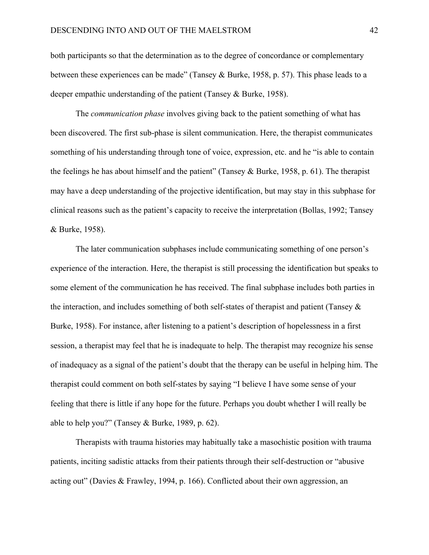both participants so that the determination as to the degree of concordance or complementary between these experiences can be made" (Tansey & Burke, 1958, p. 57). This phase leads to a deeper empathic understanding of the patient (Tansey & Burke, 1958).

 The *communication phase* involves giving back to the patient something of what has been discovered. The first sub-phase is silent communication. Here, the therapist communicates something of his understanding through tone of voice, expression, etc. and he "is able to contain the feelings he has about himself and the patient" (Tansey & Burke, 1958, p. 61). The therapist may have a deep understanding of the projective identification, but may stay in this subphase for clinical reasons such as the patient's capacity to receive the interpretation (Bollas, 1992; Tansey & Burke, 1958).

 The later communication subphases include communicating something of one person's experience of the interaction. Here, the therapist is still processing the identification but speaks to some element of the communication he has received. The final subphase includes both parties in the interaction, and includes something of both self-states of therapist and patient (Tansey  $\&$ Burke, 1958). For instance, after listening to a patient's description of hopelessness in a first session, a therapist may feel that he is inadequate to help. The therapist may recognize his sense of inadequacy as a signal of the patient's doubt that the therapy can be useful in helping him. The therapist could comment on both self-states by saying "I believe I have some sense of your feeling that there is little if any hope for the future. Perhaps you doubt whether I will really be able to help you?" (Tansey & Burke, 1989, p. 62).

 Therapists with trauma histories may habitually take a masochistic position with trauma patients, inciting sadistic attacks from their patients through their self-destruction or "abusive acting out" (Davies  $\&$  Frawley, 1994, p. 166). Conflicted about their own aggression, an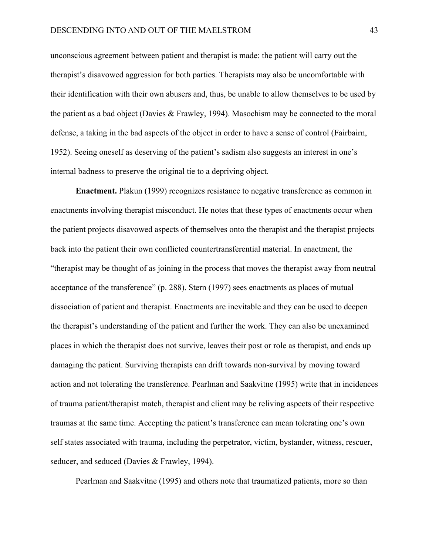unconscious agreement between patient and therapist is made: the patient will carry out the therapist's disavowed aggression for both parties. Therapists may also be uncomfortable with their identification with their own abusers and, thus, be unable to allow themselves to be used by the patient as a bad object (Davies & Frawley, 1994). Masochism may be connected to the moral defense, a taking in the bad aspects of the object in order to have a sense of control (Fairbairn, 1952). Seeing oneself as deserving of the patient's sadism also suggests an interest in one's internal badness to preserve the original tie to a depriving object.

 **Enactment.** Plakun (1999) recognizes resistance to negative transference as common in enactments involving therapist misconduct. He notes that these types of enactments occur when the patient projects disavowed aspects of themselves onto the therapist and the therapist projects back into the patient their own conflicted countertransferential material. In enactment, the "therapist may be thought of as joining in the process that moves the therapist away from neutral acceptance of the transference" (p. 288). Stern (1997) sees enactments as places of mutual dissociation of patient and therapist. Enactments are inevitable and they can be used to deepen the therapist's understanding of the patient and further the work. They can also be unexamined places in which the therapist does not survive, leaves their post or role as therapist, and ends up damaging the patient. Surviving therapists can drift towards non-survival by moving toward action and not tolerating the transference. Pearlman and Saakvitne (1995) write that in incidences of trauma patient/therapist match, therapist and client may be reliving aspects of their respective traumas at the same time. Accepting the patient's transference can mean tolerating one's own self states associated with trauma, including the perpetrator, victim, bystander, witness, rescuer, seducer, and seduced (Davies & Frawley, 1994).

Pearlman and Saakvitne (1995) and others note that traumatized patients, more so than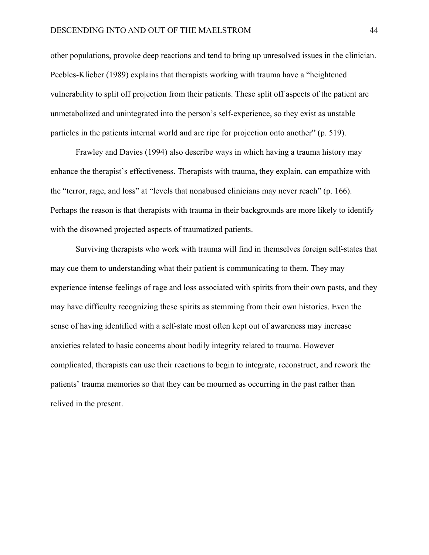other populations, provoke deep reactions and tend to bring up unresolved issues in the clinician. Peebles-Klieber (1989) explains that therapists working with trauma have a "heightened vulnerability to split off projection from their patients. These split off aspects of the patient are unmetabolized and unintegrated into the person's self-experience, so they exist as unstable particles in the patients internal world and are ripe for projection onto another" (p. 519).

 Frawley and Davies (1994) also describe ways in which having a trauma history may enhance the therapist's effectiveness. Therapists with trauma, they explain, can empathize with the "terror, rage, and loss" at "levels that nonabused clinicians may never reach" (p. 166). Perhaps the reason is that therapists with trauma in their backgrounds are more likely to identify with the disowned projected aspects of traumatized patients.

 Surviving therapists who work with trauma will find in themselves foreign self-states that may cue them to understanding what their patient is communicating to them. They may experience intense feelings of rage and loss associated with spirits from their own pasts, and they may have difficulty recognizing these spirits as stemming from their own histories. Even the sense of having identified with a self-state most often kept out of awareness may increase anxieties related to basic concerns about bodily integrity related to trauma. However complicated, therapists can use their reactions to begin to integrate, reconstruct, and rework the patients' trauma memories so that they can be mourned as occurring in the past rather than relived in the present.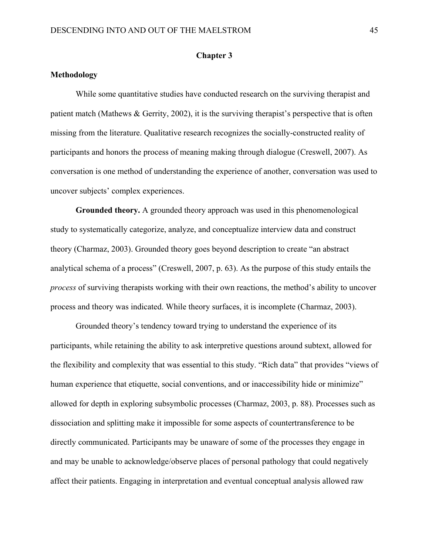# **Chapter 3**

# **Methodology**

While some quantitative studies have conducted research on the surviving therapist and patient match (Mathews  $\&$  Gerrity, 2002), it is the surviving therapist's perspective that is often missing from the literature. Qualitative research recognizes the socially-constructed reality of participants and honors the process of meaning making through dialogue (Creswell, 2007). As conversation is one method of understanding the experience of another, conversation was used to uncover subjects' complex experiences.

**Grounded theory.** A grounded theory approach was used in this phenomenological study to systematically categorize, analyze, and conceptualize interview data and construct theory (Charmaz, 2003). Grounded theory goes beyond description to create "an abstract analytical schema of a process" (Creswell, 2007, p. 63). As the purpose of this study entails the *process* of surviving therapists working with their own reactions, the method's ability to uncover process and theory was indicated. While theory surfaces, it is incomplete (Charmaz, 2003).

 Grounded theory's tendency toward trying to understand the experience of its participants, while retaining the ability to ask interpretive questions around subtext, allowed for the flexibility and complexity that was essential to this study. "Rich data" that provides "views of human experience that etiquette, social conventions, and or inaccessibility hide or minimize" allowed for depth in exploring subsymbolic processes (Charmaz, 2003, p. 88). Processes such as dissociation and splitting make it impossible for some aspects of countertransference to be directly communicated. Participants may be unaware of some of the processes they engage in and may be unable to acknowledge/observe places of personal pathology that could negatively affect their patients. Engaging in interpretation and eventual conceptual analysis allowed raw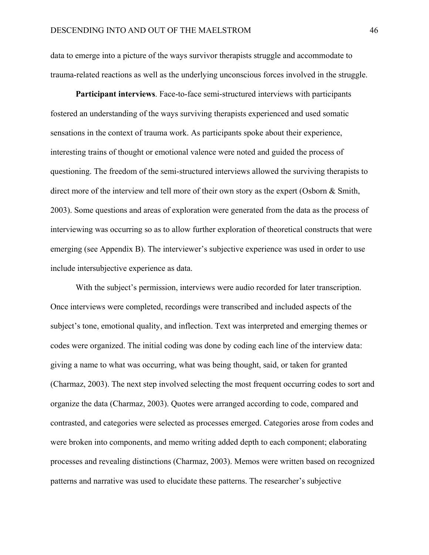data to emerge into a picture of the ways survivor therapists struggle and accommodate to trauma-related reactions as well as the underlying unconscious forces involved in the struggle.

**Participant interviews**. Face-to-face semi-structured interviews with participants fostered an understanding of the ways surviving therapists experienced and used somatic sensations in the context of trauma work. As participants spoke about their experience, interesting trains of thought or emotional valence were noted and guided the process of questioning. The freedom of the semi-structured interviews allowed the surviving therapists to direct more of the interview and tell more of their own story as the expert (Osborn & Smith, 2003). Some questions and areas of exploration were generated from the data as the process of interviewing was occurring so as to allow further exploration of theoretical constructs that were emerging (see Appendix B). The interviewer's subjective experience was used in order to use include intersubjective experience as data.

With the subject's permission, interviews were audio recorded for later transcription. Once interviews were completed, recordings were transcribed and included aspects of the subject's tone, emotional quality, and inflection. Text was interpreted and emerging themes or codes were organized. The initial coding was done by coding each line of the interview data: giving a name to what was occurring, what was being thought, said, or taken for granted (Charmaz, 2003). The next step involved selecting the most frequent occurring codes to sort and organize the data (Charmaz, 2003). Quotes were arranged according to code, compared and contrasted, and categories were selected as processes emerged. Categories arose from codes and were broken into components, and memo writing added depth to each component; elaborating processes and revealing distinctions (Charmaz, 2003). Memos were written based on recognized patterns and narrative was used to elucidate these patterns. The researcher's subjective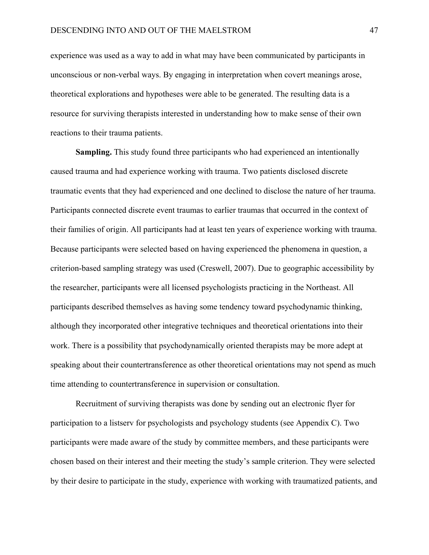experience was used as a way to add in what may have been communicated by participants in unconscious or non-verbal ways. By engaging in interpretation when covert meanings arose, theoretical explorations and hypotheses were able to be generated. The resulting data is a resource for surviving therapists interested in understanding how to make sense of their own reactions to their trauma patients.

**Sampling.** This study found three participants who had experienced an intentionally caused trauma and had experience working with trauma. Two patients disclosed discrete traumatic events that they had experienced and one declined to disclose the nature of her trauma. Participants connected discrete event traumas to earlier traumas that occurred in the context of their families of origin. All participants had at least ten years of experience working with trauma. Because participants were selected based on having experienced the phenomena in question, a criterion-based sampling strategy was used (Creswell, 2007). Due to geographic accessibility by the researcher, participants were all licensed psychologists practicing in the Northeast. All participants described themselves as having some tendency toward psychodynamic thinking, although they incorporated other integrative techniques and theoretical orientations into their work. There is a possibility that psychodynamically oriented therapists may be more adept at speaking about their countertransference as other theoretical orientations may not spend as much time attending to countertransference in supervision or consultation.

Recruitment of surviving therapists was done by sending out an electronic flyer for participation to a listserv for psychologists and psychology students (see Appendix C). Two participants were made aware of the study by committee members, and these participants were chosen based on their interest and their meeting the study's sample criterion. They were selected by their desire to participate in the study, experience with working with traumatized patients, and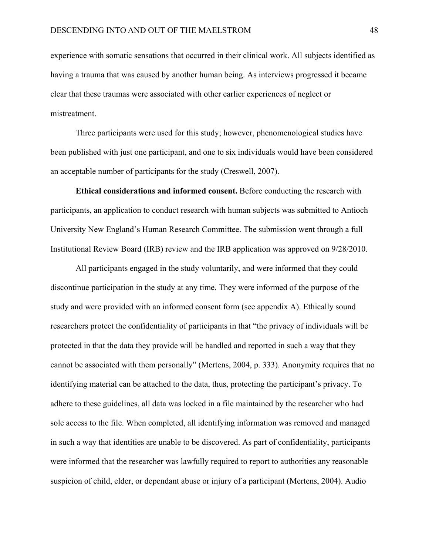experience with somatic sensations that occurred in their clinical work. All subjects identified as having a trauma that was caused by another human being. As interviews progressed it became clear that these traumas were associated with other earlier experiences of neglect or mistreatment.

Three participants were used for this study; however, phenomenological studies have been published with just one participant, and one to six individuals would have been considered an acceptable number of participants for the study (Creswell, 2007).

**Ethical considerations and informed consent.** Before conducting the research with participants, an application to conduct research with human subjects was submitted to Antioch University New England's Human Research Committee. The submission went through a full Institutional Review Board (IRB) review and the IRB application was approved on 9/28/2010.

All participants engaged in the study voluntarily, and were informed that they could discontinue participation in the study at any time. They were informed of the purpose of the study and were provided with an informed consent form (see appendix A). Ethically sound researchers protect the confidentiality of participants in that "the privacy of individuals will be protected in that the data they provide will be handled and reported in such a way that they cannot be associated with them personally" (Mertens, 2004, p. 333). Anonymity requires that no identifying material can be attached to the data, thus, protecting the participant's privacy. To adhere to these guidelines, all data was locked in a file maintained by the researcher who had sole access to the file. When completed, all identifying information was removed and managed in such a way that identities are unable to be discovered. As part of confidentiality, participants were informed that the researcher was lawfully required to report to authorities any reasonable suspicion of child, elder, or dependant abuse or injury of a participant (Mertens, 2004). Audio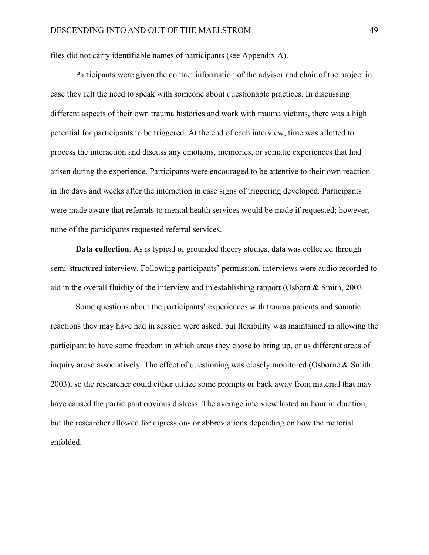files did not carry identifiable names of participants (see Appendix A).

 Participants were given the contact information of the advisor and chair of the project in case they felt the need to speak with someone about questionable practices. In discussing different aspects of their own trauma histories and work with trauma victims, there was a high potential for participants to be triggered. At the end of each interview, time was allotted to process the interaction and discuss any emotions, memories, or somatic experiences that had arisen during the experience. Participants were encouraged to be attentive to their own reaction in the days and weeks after the interaction in case signs of triggering developed. Participants were made aware that referrals to mental health services would be made if requested; however, none of the participants requested referral services.

**Data collection**. As is typical of grounded theory studies, data was collected through semi-structured interview. Following participants' permission, interviews were audio recorded to aid in the overall fluidity of the interview and in establishing rapport (Osborn & Smith, 2003

Some questions about the participants' experiences with trauma patients and somatic reactions they may have had in session were asked, but flexibility was maintained in allowing the participant to have some freedom in which areas they chose to bring up, or as different areas of inquiry arose associatively. The effect of questioning was closely monitored (Osborne & Smith, 2003), so the researcher could either utilize some prompts or back away from material that may have caused the participant obvious distress. The average interview lasted an hour in duration, but the researcher allowed for digressions or abbreviations depending on how the material enfolded.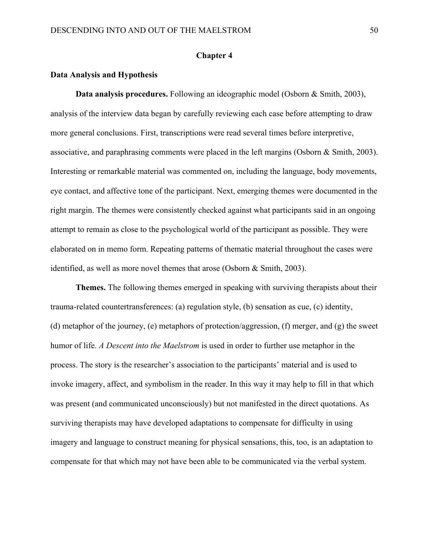# **Chapter 4**

### **Data Analysis and Hypothesis**

 **Data analysis procedures.** Following an ideographic model (Osborn & Smith, 2003), analysis of the interview data began by carefully reviewing each case before attempting to draw more general conclusions. First, transcriptions were read several times before interpretive, associative, and paraphrasing comments were placed in the left margins (Osborn & Smith, 2003). Interesting or remarkable material was commented on, including the language, body movements, eye contact, and affective tone of the participant. Next, emerging themes were documented in the right margin. The themes were consistently checked against what participants said in an ongoing attempt to remain as close to the psychological world of the participant as possible. They were elaborated on in memo form. Repeating patterns of thematic material throughout the cases were identified, as well as more novel themes that arose (Osborn & Smith, 2003).

**Themes.** The following themes emerged in speaking with surviving therapists about their trauma-related countertransferences: (a) regulation style, (b) sensation as cue, (c) identity, (d) metaphor of the journey, (e) metaphors of protection/aggression, (f) merger, and (g) the sweet humor of life. *A Descent into the Maelstrom* is used in order to further use metaphor in the process. The story is the researcher's association to the participants' material and is used to invoke imagery, affect, and symbolism in the reader. In this way it may help to fill in that which was present (and communicated unconsciously) but not manifested in the direct quotations. As surviving therapists may have developed adaptations to compensate for difficulty in using imagery and language to construct meaning for physical sensations, this, too, is an adaptation to compensate for that which may not have been able to be communicated via the verbal system.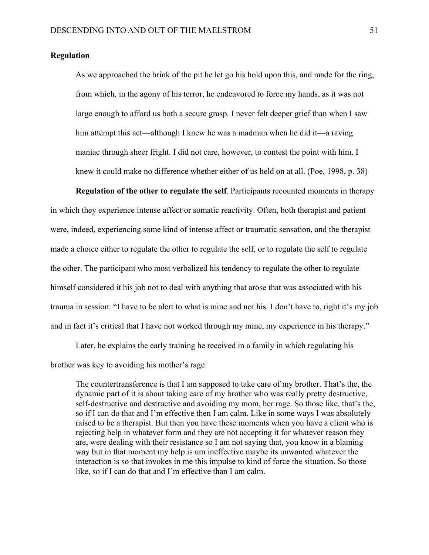### **Regulation**

As we approached the brink of the pit he let go his hold upon this, and made for the ring, from which, in the agony of his terror, he endeavored to force my hands, as it was not large enough to afford us both a secure grasp. I never felt deeper grief than when I saw him attempt this act—although I knew he was a madman when he did it—a raving maniac through sheer fright. I did not care, however, to contest the point with him. I knew it could make no difference whether either of us held on at all. (Poe, 1998, p. 38)

 **Regulation of the other to regulate the self**. Participants recounted moments in therapy in which they experience intense affect or somatic reactivity. Often, both therapist and patient were, indeed, experiencing some kind of intense affect or traumatic sensation, and the therapist made a choice either to regulate the other to regulate the self, or to regulate the self to regulate the other. The participant who most verbalized his tendency to regulate the other to regulate himself considered it his job not to deal with anything that arose that was associated with his trauma in session: "I have to be alert to what is mine and not his. I don't have to, right it's my job and in fact it's critical that I have not worked through my mine, my experience in his therapy."

 Later, he explains the early training he received in a family in which regulating his brother was key to avoiding his mother's rage:

 The countertransference is that I am supposed to take care of my brother. That's the, the dynamic part of it is about taking care of my brother who was really pretty destructive, self-destructive and destructive and avoiding my mom, her rage. So those like, that's the, so if I can do that and I'm effective then I am calm. Like in some ways I was absolutely raised to be a therapist. But then you have these moments when you have a client who is rejecting help in whatever form and they are not accepting it for whatever reason they are, were dealing with their resistance so I am not saying that, you know in a blaming way but in that moment my help is um ineffective maybe its unwanted whatever the interaction is so that invokes in me this impulse to kind of force the situation. So those like, so if I can do that and I'm effective than I am calm.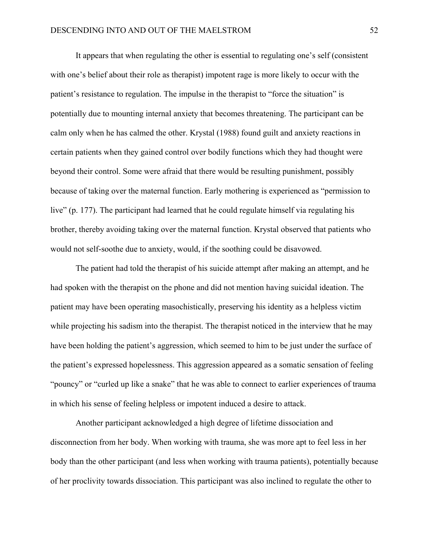It appears that when regulating the other is essential to regulating one's self (consistent with one's belief about their role as therapist) impotent rage is more likely to occur with the patient's resistance to regulation. The impulse in the therapist to "force the situation" is potentially due to mounting internal anxiety that becomes threatening. The participant can be calm only when he has calmed the other. Krystal (1988) found guilt and anxiety reactions in certain patients when they gained control over bodily functions which they had thought were beyond their control. Some were afraid that there would be resulting punishment, possibly because of taking over the maternal function. Early mothering is experienced as "permission to live" (p. 177). The participant had learned that he could regulate himself via regulating his brother, thereby avoiding taking over the maternal function. Krystal observed that patients who would not self-soothe due to anxiety, would, if the soothing could be disavowed.

 The patient had told the therapist of his suicide attempt after making an attempt, and he had spoken with the therapist on the phone and did not mention having suicidal ideation. The patient may have been operating masochistically, preserving his identity as a helpless victim while projecting his sadism into the therapist. The therapist noticed in the interview that he may have been holding the patient's aggression, which seemed to him to be just under the surface of the patient's expressed hopelessness. This aggression appeared as a somatic sensation of feeling "pouncy" or "curled up like a snake" that he was able to connect to earlier experiences of trauma in which his sense of feeling helpless or impotent induced a desire to attack.

 Another participant acknowledged a high degree of lifetime dissociation and disconnection from her body. When working with trauma, she was more apt to feel less in her body than the other participant (and less when working with trauma patients), potentially because of her proclivity towards dissociation. This participant was also inclined to regulate the other to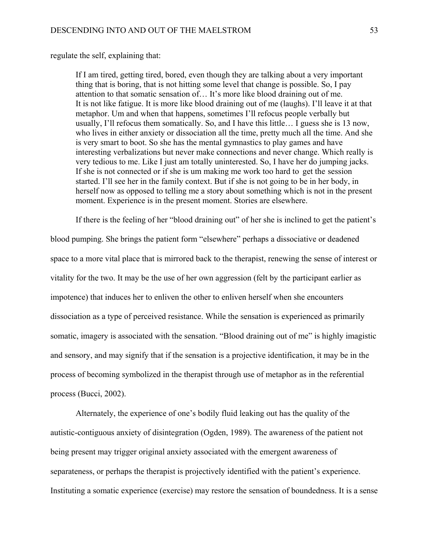regulate the self, explaining that:

If I am tired, getting tired, bored, even though they are talking about a very important thing that is boring, that is not hitting some level that change is possible. So, I pay attention to that somatic sensation of… It's more like blood draining out of me. It is not like fatigue. It is more like blood draining out of me (laughs). I'll leave it at that metaphor. Um and when that happens, sometimes I'll refocus people verbally but usually, I'll refocus them somatically. So, and I have this little… I guess she is 13 now, who lives in either anxiety or dissociation all the time, pretty much all the time. And she is very smart to boot. So she has the mental gymnastics to play games and have interesting verbalizations but never make connections and never change. Which really is very tedious to me. Like I just am totally uninterested. So, I have her do jumping jacks. If she is not connected or if she is um making me work too hard to get the session started. I'll see her in the family context. But if she is not going to be in her body, in herself now as opposed to telling me a story about something which is not in the present moment. Experience is in the present moment. Stories are elsewhere.

If there is the feeling of her "blood draining out" of her she is inclined to get the patient's blood pumping. She brings the patient form "elsewhere" perhaps a dissociative or deadened space to a more vital place that is mirrored back to the therapist, renewing the sense of interest or vitality for the two. It may be the use of her own aggression (felt by the participant earlier as impotence) that induces her to enliven the other to enliven herself when she encounters dissociation as a type of perceived resistance. While the sensation is experienced as primarily somatic, imagery is associated with the sensation. "Blood draining out of me" is highly imagistic and sensory, and may signify that if the sensation is a projective identification, it may be in the process of becoming symbolized in the therapist through use of metaphor as in the referential process (Bucci, 2002).

 Alternately, the experience of one's bodily fluid leaking out has the quality of the autistic-contiguous anxiety of disintegration (Ogden, 1989). The awareness of the patient not being present may trigger original anxiety associated with the emergent awareness of separateness, or perhaps the therapist is projectively identified with the patient's experience. Instituting a somatic experience (exercise) may restore the sensation of boundedness. It is a sense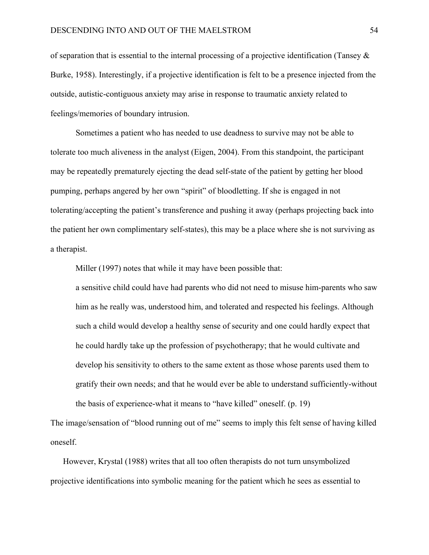of separation that is essential to the internal processing of a projective identification (Tansey  $\&$ Burke, 1958). Interestingly, if a projective identification is felt to be a presence injected from the outside, autistic-contiguous anxiety may arise in response to traumatic anxiety related to feelings/memories of boundary intrusion.

 Sometimes a patient who has needed to use deadness to survive may not be able to tolerate too much aliveness in the analyst (Eigen, 2004). From this standpoint, the participant may be repeatedly prematurely ejecting the dead self-state of the patient by getting her blood pumping, perhaps angered by her own "spirit" of bloodletting. If she is engaged in not tolerating/accepting the patient's transference and pushing it away (perhaps projecting back into the patient her own complimentary self-states), this may be a place where she is not surviving as a therapist.

Miller (1997) notes that while it may have been possible that:

 a sensitive child could have had parents who did not need to misuse him-parents who saw him as he really was, understood him, and tolerated and respected his feelings. Although such a child would develop a healthy sense of security and one could hardly expect that he could hardly take up the profession of psychotherapy; that he would cultivate and develop his sensitivity to others to the same extent as those whose parents used them to gratify their own needs; and that he would ever be able to understand sufficiently-without the basis of experience-what it means to "have killed" oneself. (p. 19)

The image/sensation of "blood running out of me" seems to imply this felt sense of having killed oneself.

However, Krystal (1988) writes that all too often therapists do not turn unsymbolized projective identifications into symbolic meaning for the patient which he sees as essential to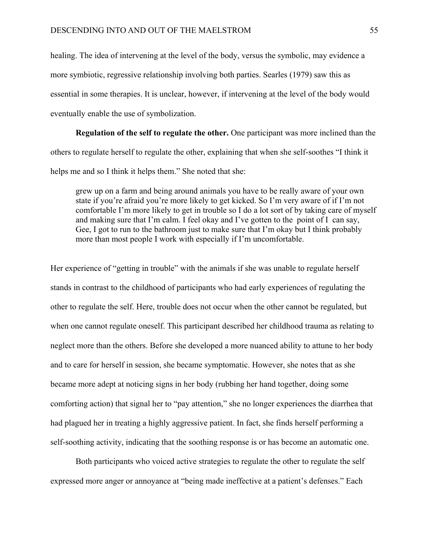healing. The idea of intervening at the level of the body, versus the symbolic, may evidence a more symbiotic, regressive relationship involving both parties. Searles (1979) saw this as essential in some therapies. It is unclear, however, if intervening at the level of the body would eventually enable the use of symbolization.

 **Regulation of the self to regulate the other.** One participant was more inclined than the others to regulate herself to regulate the other, explaining that when she self-soothes "I think it helps me and so I think it helps them." She noted that she:

 grew up on a farm and being around animals you have to be really aware of your own state if you're afraid you're more likely to get kicked. So I'm very aware of if I'm not comfortable I'm more likely to get in trouble so I do a lot sort of by taking care of myself and making sure that I'm calm. I feel okay and I've gotten to the point of I can say, Gee, I got to run to the bathroom just to make sure that I'm okay but I think probably more than most people I work with especially if I'm uncomfortable.

Her experience of "getting in trouble" with the animals if she was unable to regulate herself stands in contrast to the childhood of participants who had early experiences of regulating the other to regulate the self. Here, trouble does not occur when the other cannot be regulated, but when one cannot regulate oneself. This participant described her childhood trauma as relating to neglect more than the others. Before she developed a more nuanced ability to attune to her body and to care for herself in session, she became symptomatic. However, she notes that as she became more adept at noticing signs in her body (rubbing her hand together, doing some comforting action) that signal her to "pay attention," she no longer experiences the diarrhea that had plagued her in treating a highly aggressive patient. In fact, she finds herself performing a self-soothing activity, indicating that the soothing response is or has become an automatic one.

 Both participants who voiced active strategies to regulate the other to regulate the self expressed more anger or annoyance at "being made ineffective at a patient's defenses." Each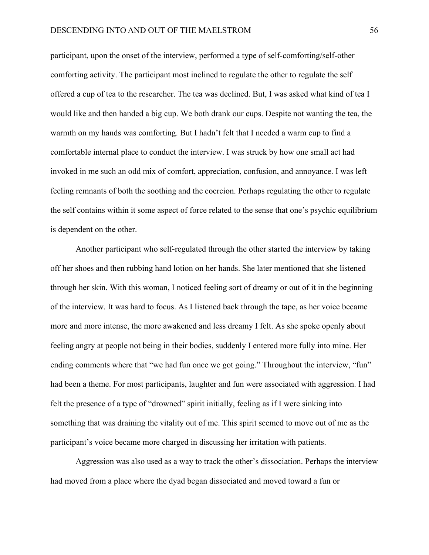participant, upon the onset of the interview, performed a type of self-comforting/self-other comforting activity. The participant most inclined to regulate the other to regulate the self offered a cup of tea to the researcher. The tea was declined. But, I was asked what kind of tea I would like and then handed a big cup. We both drank our cups. Despite not wanting the tea, the warmth on my hands was comforting. But I hadn't felt that I needed a warm cup to find a comfortable internal place to conduct the interview. I was struck by how one small act had invoked in me such an odd mix of comfort, appreciation, confusion, and annoyance. I was left feeling remnants of both the soothing and the coercion. Perhaps regulating the other to regulate the self contains within it some aspect of force related to the sense that one's psychic equilibrium is dependent on the other.

 Another participant who self-regulated through the other started the interview by taking off her shoes and then rubbing hand lotion on her hands. She later mentioned that she listened through her skin. With this woman, I noticed feeling sort of dreamy or out of it in the beginning of the interview. It was hard to focus. As I listened back through the tape, as her voice became more and more intense, the more awakened and less dreamy I felt. As she spoke openly about feeling angry at people not being in their bodies, suddenly I entered more fully into mine. Her ending comments where that "we had fun once we got going." Throughout the interview, "fun" had been a theme. For most participants, laughter and fun were associated with aggression. I had felt the presence of a type of "drowned" spirit initially, feeling as if I were sinking into something that was draining the vitality out of me. This spirit seemed to move out of me as the participant's voice became more charged in discussing her irritation with patients.

 Aggression was also used as a way to track the other's dissociation. Perhaps the interview had moved from a place where the dyad began dissociated and moved toward a fun or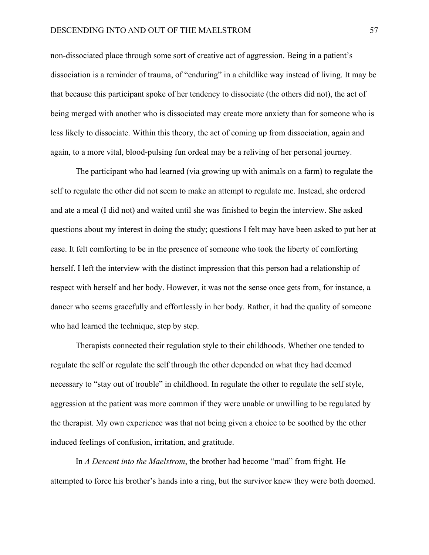# DESCENDING INTO AND OUT OF THE MAELSTROM 57

non-dissociated place through some sort of creative act of aggression. Being in a patient's dissociation is a reminder of trauma, of "enduring" in a childlike way instead of living. It may be that because this participant spoke of her tendency to dissociate (the others did not), the act of being merged with another who is dissociated may create more anxiety than for someone who is less likely to dissociate. Within this theory, the act of coming up from dissociation, again and again, to a more vital, blood-pulsing fun ordeal may be a reliving of her personal journey.

 The participant who had learned (via growing up with animals on a farm) to regulate the self to regulate the other did not seem to make an attempt to regulate me. Instead, she ordered and ate a meal (I did not) and waited until she was finished to begin the interview. She asked questions about my interest in doing the study; questions I felt may have been asked to put her at ease. It felt comforting to be in the presence of someone who took the liberty of comforting herself. I left the interview with the distinct impression that this person had a relationship of respect with herself and her body. However, it was not the sense once gets from, for instance, a dancer who seems gracefully and effortlessly in her body. Rather, it had the quality of someone who had learned the technique, step by step.

 Therapists connected their regulation style to their childhoods. Whether one tended to regulate the self or regulate the self through the other depended on what they had deemed necessary to "stay out of trouble" in childhood. In regulate the other to regulate the self style, aggression at the patient was more common if they were unable or unwilling to be regulated by the therapist. My own experience was that not being given a choice to be soothed by the other induced feelings of confusion, irritation, and gratitude.

 In *A Descent into the Maelstrom*, the brother had become "mad" from fright. He attempted to force his brother's hands into a ring, but the survivor knew they were both doomed.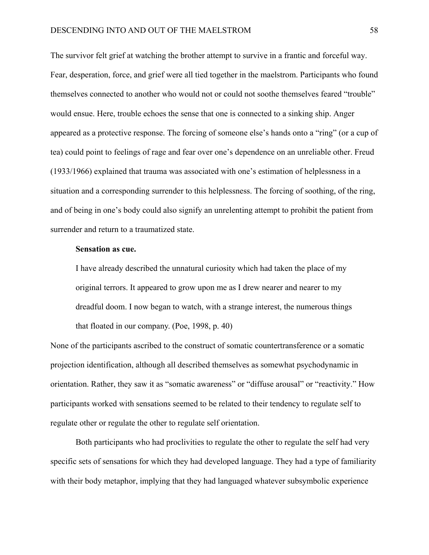The survivor felt grief at watching the brother attempt to survive in a frantic and forceful way. Fear, desperation, force, and grief were all tied together in the maelstrom. Participants who found themselves connected to another who would not or could not soothe themselves feared "trouble" would ensue. Here, trouble echoes the sense that one is connected to a sinking ship. Anger appeared as a protective response. The forcing of someone else's hands onto a "ring" (or a cup of tea) could point to feelings of rage and fear over one's dependence on an unreliable other. Freud (1933/1966) explained that trauma was associated with one's estimation of helplessness in a situation and a corresponding surrender to this helplessness. The forcing of soothing, of the ring, and of being in one's body could also signify an unrelenting attempt to prohibit the patient from surrender and return to a traumatized state.

# **Sensation as cue.**

I have already described the unnatural curiosity which had taken the place of my original terrors. It appeared to grow upon me as I drew nearer and nearer to my dreadful doom. I now began to watch, with a strange interest, the numerous things that floated in our company. (Poe, 1998, p. 40)

None of the participants ascribed to the construct of somatic countertransference or a somatic projection identification, although all described themselves as somewhat psychodynamic in orientation. Rather, they saw it as "somatic awareness" or "diffuse arousal" or "reactivity." How participants worked with sensations seemed to be related to their tendency to regulate self to regulate other or regulate the other to regulate self orientation.

 Both participants who had proclivities to regulate the other to regulate the self had very specific sets of sensations for which they had developed language. They had a type of familiarity with their body metaphor, implying that they had languaged whatever subsymbolic experience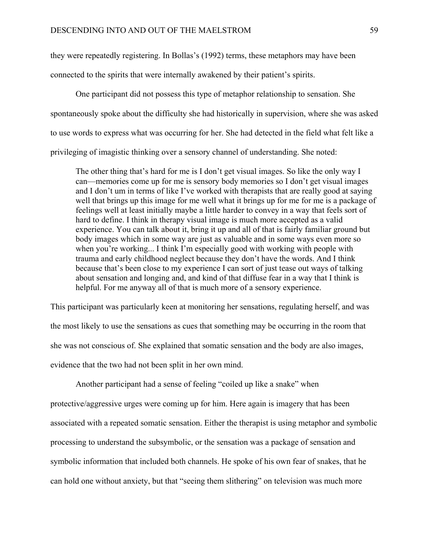they were repeatedly registering. In Bollas's (1992) terms, these metaphors may have been

connected to the spirits that were internally awakened by their patient's spirits.

 One participant did not possess this type of metaphor relationship to sensation. She spontaneously spoke about the difficulty she had historically in supervision, where she was asked to use words to express what was occurring for her. She had detected in the field what felt like a privileging of imagistic thinking over a sensory channel of understanding. She noted:

 The other thing that's hard for me is I don't get visual images. So like the only way I can—memories come up for me is sensory body memories so I don't get visual images and I don't um in terms of like I've worked with therapists that are really good at saying well that brings up this image for me well what it brings up for me for me is a package of feelings well at least initially maybe a little harder to convey in a way that feels sort of hard to define. I think in therapy visual image is much more accepted as a valid experience. You can talk about it, bring it up and all of that is fairly familiar ground but body images which in some way are just as valuable and in some ways even more so when you're working... I think I'm especially good with working with people with trauma and early childhood neglect because they don't have the words. And I think because that's been close to my experience I can sort of just tease out ways of talking about sensation and longing and, and kind of that diffuse fear in a way that I think is helpful. For me anyway all of that is much more of a sensory experience.

This participant was particularly keen at monitoring her sensations, regulating herself, and was the most likely to use the sensations as cues that something may be occurring in the room that she was not conscious of. She explained that somatic sensation and the body are also images, evidence that the two had not been split in her own mind.

 Another participant had a sense of feeling "coiled up like a snake" when protective/aggressive urges were coming up for him. Here again is imagery that has been associated with a repeated somatic sensation. Either the therapist is using metaphor and symbolic processing to understand the subsymbolic, or the sensation was a package of sensation and symbolic information that included both channels. He spoke of his own fear of snakes, that he can hold one without anxiety, but that "seeing them slithering" on television was much more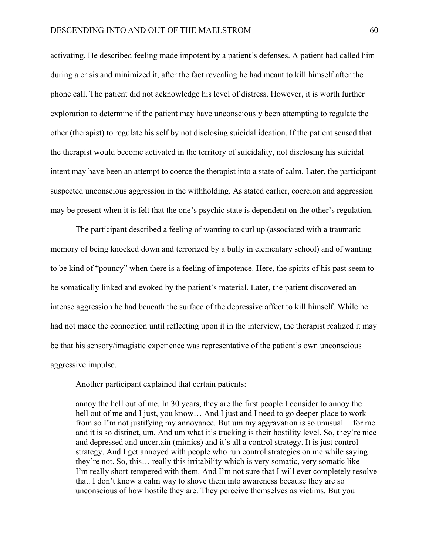activating. He described feeling made impotent by a patient's defenses. A patient had called him during a crisis and minimized it, after the fact revealing he had meant to kill himself after the phone call. The patient did not acknowledge his level of distress. However, it is worth further exploration to determine if the patient may have unconsciously been attempting to regulate the other (therapist) to regulate his self by not disclosing suicidal ideation. If the patient sensed that the therapist would become activated in the territory of suicidality, not disclosing his suicidal intent may have been an attempt to coerce the therapist into a state of calm. Later, the participant suspected unconscious aggression in the withholding. As stated earlier, coercion and aggression may be present when it is felt that the one's psychic state is dependent on the other's regulation.

 The participant described a feeling of wanting to curl up (associated with a traumatic memory of being knocked down and terrorized by a bully in elementary school) and of wanting to be kind of "pouncy" when there is a feeling of impotence. Here, the spirits of his past seem to be somatically linked and evoked by the patient's material. Later, the patient discovered an intense aggression he had beneath the surface of the depressive affect to kill himself. While he had not made the connection until reflecting upon it in the interview, the therapist realized it may be that his sensory/imagistic experience was representative of the patient's own unconscious aggressive impulse.

Another participant explained that certain patients:

 annoy the hell out of me. In 30 years, they are the first people I consider to annoy the hell out of me and I just, you know... And I just and I need to go deeper place to work from so I'm not justifying my annoyance. But um my aggravation is so unusual for me and it is so distinct, um. And um what it's tracking is their hostility level. So, they're nice and depressed and uncertain (mimics) and it's all a control strategy. It is just control strategy. And I get annoyed with people who run control strategies on me while saying they're not. So, this… really this irritability which is very somatic, very somatic like I'm really short-tempered with them. And I'm not sure that I will ever completely resolve that. I don't know a calm way to shove them into awareness because they are so unconscious of how hostile they are. They perceive themselves as victims. But you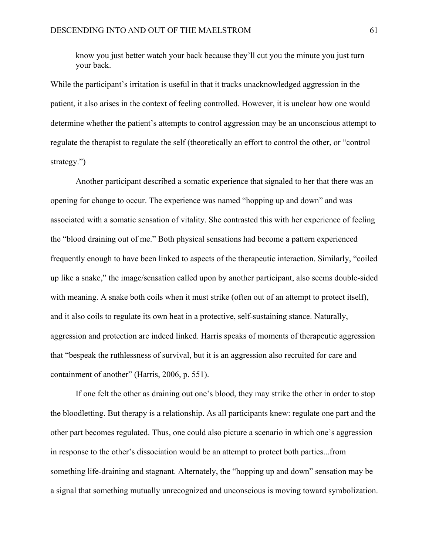know you just better watch your back because they'll cut you the minute you just turn your back.

While the participant's irritation is useful in that it tracks unacknowledged aggression in the patient, it also arises in the context of feeling controlled. However, it is unclear how one would determine whether the patient's attempts to control aggression may be an unconscious attempt to regulate the therapist to regulate the self (theoretically an effort to control the other, or "control strategy.")

 Another participant described a somatic experience that signaled to her that there was an opening for change to occur. The experience was named "hopping up and down" and was associated with a somatic sensation of vitality. She contrasted this with her experience of feeling the "blood draining out of me." Both physical sensations had become a pattern experienced frequently enough to have been linked to aspects of the therapeutic interaction. Similarly, "coiled up like a snake," the image/sensation called upon by another participant, also seems double-sided with meaning. A snake both coils when it must strike (often out of an attempt to protect itself), and it also coils to regulate its own heat in a protective, self-sustaining stance. Naturally, aggression and protection are indeed linked. Harris speaks of moments of therapeutic aggression that "bespeak the ruthlessness of survival, but it is an aggression also recruited for care and containment of another" (Harris, 2006, p. 551).

 If one felt the other as draining out one's blood, they may strike the other in order to stop the bloodletting. But therapy is a relationship. As all participants knew: regulate one part and the other part becomes regulated. Thus, one could also picture a scenario in which one's aggression in response to the other's dissociation would be an attempt to protect both parties...from something life-draining and stagnant. Alternately, the "hopping up and down" sensation may be a signal that something mutually unrecognized and unconscious is moving toward symbolization.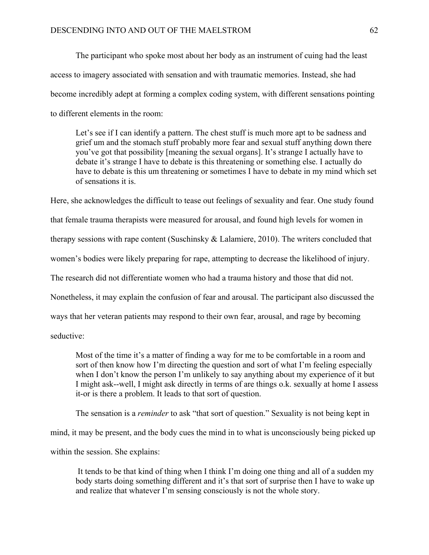The participant who spoke most about her body as an instrument of cuing had the least access to imagery associated with sensation and with traumatic memories. Instead, she had become incredibly adept at forming a complex coding system, with different sensations pointing to different elements in the room:

 Let's see if I can identify a pattern. The chest stuff is much more apt to be sadness and grief um and the stomach stuff probably more fear and sexual stuff anything down there you've got that possibility [meaning the sexual organs]. It's strange I actually have to debate it's strange I have to debate is this threatening or something else. I actually do have to debate is this um threatening or sometimes I have to debate in my mind which set of sensations it is.

Here, she acknowledges the difficult to tease out feelings of sexuality and fear. One study found that female trauma therapists were measured for arousal, and found high levels for women in therapy sessions with rape content (Suschinsky & Lalamiere, 2010). The writers concluded that women's bodies were likely preparing for rape, attempting to decrease the likelihood of injury. The research did not differentiate women who had a trauma history and those that did not. Nonetheless, it may explain the confusion of fear and arousal. The participant also discussed the ways that her veteran patients may respond to their own fear, arousal, and rage by becoming

seductive:

 Most of the time it's a matter of finding a way for me to be comfortable in a room and sort of then know how I'm directing the question and sort of what I'm feeling especially when I don't know the person I'm unlikely to say anything about my experience of it but I might ask--well, I might ask directly in terms of are things o.k. sexually at home I assess it-or is there a problem. It leads to that sort of question.

The sensation is a *reminder* to ask "that sort of question." Sexuality is not being kept in

mind, it may be present, and the body cues the mind in to what is unconsciously being picked up

within the session. She explains:

 It tends to be that kind of thing when I think I'm doing one thing and all of a sudden my body starts doing something different and it's that sort of surprise then I have to wake up and realize that whatever I'm sensing consciously is not the whole story.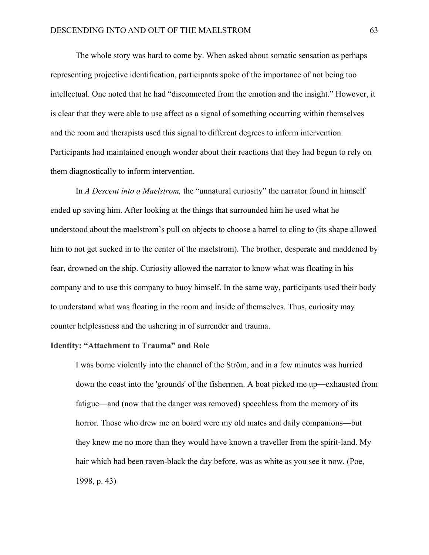The whole story was hard to come by. When asked about somatic sensation as perhaps representing projective identification, participants spoke of the importance of not being too intellectual. One noted that he had "disconnected from the emotion and the insight." However, it is clear that they were able to use affect as a signal of something occurring within themselves and the room and therapists used this signal to different degrees to inform intervention. Participants had maintained enough wonder about their reactions that they had begun to rely on them diagnostically to inform intervention.

 In *A Descent into a Maelstrom,* the "unnatural curiosity" the narrator found in himself ended up saving him. After looking at the things that surrounded him he used what he understood about the maelstrom's pull on objects to choose a barrel to cling to (its shape allowed him to not get sucked in to the center of the maelstrom). The brother, desperate and maddened by fear, drowned on the ship. Curiosity allowed the narrator to know what was floating in his company and to use this company to buoy himself. In the same way, participants used their body to understand what was floating in the room and inside of themselves. Thus, curiosity may counter helplessness and the ushering in of surrender and trauma.

# **Identity: "Attachment to Trauma" and Role**

I was borne violently into the channel of the Ström, and in a few minutes was hurried down the coast into the 'grounds' of the fishermen. A boat picked me up—exhausted from fatigue—and (now that the danger was removed) speechless from the memory of its horror. Those who drew me on board were my old mates and daily companions—but they knew me no more than they would have known a traveller from the spirit-land. My hair which had been raven-black the day before, was as white as you see it now. (Poe, 1998, p. 43)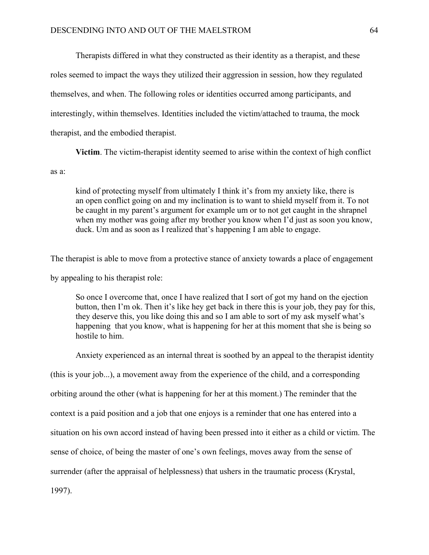Therapists differed in what they constructed as their identity as a therapist, and these roles seemed to impact the ways they utilized their aggression in session, how they regulated themselves, and when. The following roles or identities occurred among participants, and interestingly, within themselves. Identities included the victim/attached to trauma, the mock therapist, and the embodied therapist.

 **Victim**. The victim-therapist identity seemed to arise within the context of high conflict

#### as a:

 kind of protecting myself from ultimately I think it's from my anxiety like, there is an open conflict going on and my inclination is to want to shield myself from it. To not be caught in my parent's argument for example um or to not get caught in the shrapnel when my mother was going after my brother you know when I'd just as soon you know, duck. Um and as soon as I realized that's happening I am able to engage.

The therapist is able to move from a protective stance of anxiety towards a place of engagement by appealing to his therapist role:

So once I overcome that, once I have realized that I sort of got my hand on the ejection button, then I'm ok. Then it's like hey get back in there this is your job, they pay for this, they deserve this, you like doing this and so I am able to sort of my ask myself what's happening that you know, what is happening for her at this moment that she is being so hostile to him.

Anxiety experienced as an internal threat is soothed by an appeal to the therapist identity

(this is your job...), a movement away from the experience of the child, and a corresponding

orbiting around the other (what is happening for her at this moment.) The reminder that the

context is a paid position and a job that one enjoys is a reminder that one has entered into a

situation on his own accord instead of having been pressed into it either as a child or victim. The

sense of choice, of being the master of one's own feelings, moves away from the sense of

surrender (after the appraisal of helplessness) that ushers in the traumatic process (Krystal,

1997).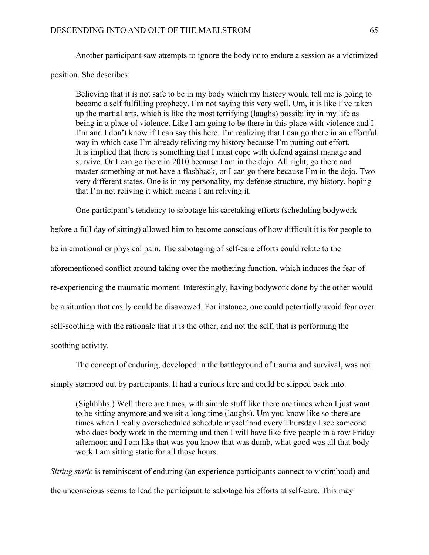Another participant saw attempts to ignore the body or to endure a session as a victimized position. She describes:

 Believing that it is not safe to be in my body which my history would tell me is going to become a self fulfilling prophecy. I'm not saying this very well. Um, it is like I've taken up the martial arts, which is like the most terrifying (laughs) possibility in my life as being in a place of violence. Like I am going to be there in this place with violence and I I'm and I don't know if I can say this here. I'm realizing that I can go there in an effortful way in which case I'm already reliving my history because I'm putting out effort. It is implied that there is something that I must cope with defend against manage and survive. Or I can go there in 2010 because I am in the dojo. All right, go there and master something or not have a flashback, or I can go there because I'm in the dojo. Two very different states. One is in my personality, my defense structure, my history, hoping that I'm not reliving it which means I am reliving it.

One participant's tendency to sabotage his caretaking efforts (scheduling bodywork

before a full day of sitting) allowed him to become conscious of how difficult it is for people to

be in emotional or physical pain. The sabotaging of self-care efforts could relate to the

aforementioned conflict around taking over the mothering function, which induces the fear of

re-experiencing the traumatic moment. Interestingly, having bodywork done by the other would

be a situation that easily could be disavowed. For instance, one could potentially avoid fear over

self-soothing with the rationale that it is the other, and not the self, that is performing the

soothing activity.

The concept of enduring, developed in the battleground of trauma and survival, was not

simply stamped out by participants. It had a curious lure and could be slipped back into.

 (Sighhhhs.) Well there are times, with simple stuff like there are times when I just want to be sitting anymore and we sit a long time (laughs). Um you know like so there are times when I really overscheduled schedule myself and every Thursday I see someone who does body work in the morning and then I will have like five people in a row Friday afternoon and I am like that was you know that was dumb, what good was all that body work I am sitting static for all those hours.

*Sitting static* is reminiscent of enduring (an experience participants connect to victimhood) and the unconscious seems to lead the participant to sabotage his efforts at self-care. This may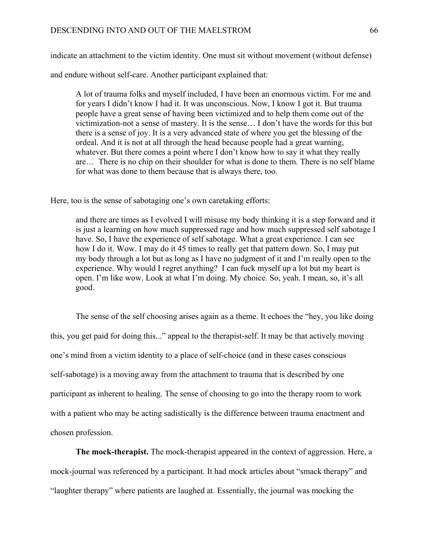indicate an attachment to the victim identity. One must sit without movement (without defense)

and endure without self-care. Another participant explained that:

 A lot of trauma folks and myself included, I have been an enormous victim. For me and for years I didn't know I had it. It was unconscious. Now, I know I got it. But trauma people have a great sense of having been victimized and to help them come out of the victimization-not a sense of mastery. It is the sense… I don't have the words for this but there is a sense of joy. It is a very advanced state of where you get the blessing of the ordeal. And it is not at all through the head because people had a great warning, whatever. But there comes a point where I don't know how to say it what they really are… There is no chip on their shoulder for what is done to them. There is no self blame for what was done to them because that is always there, too.

Here, too is the sense of sabotaging one's own caretaking efforts:

 and there are times as I evolved I will misuse my body thinking it is a step forward and it is just a learning on how much suppressed rage and how much suppressed self sabotage I have. So, I have the experience of self sabotage. What a great experience. I can see how I do it. Wow. I may do it 45 times to really get that pattern down. So, I may put my body through a lot but as long as I have no judgment of it and I'm really open to the experience. Why would I regret anything? I can fuck myself up a lot but my heart is open. I'm like wow. Look at what I'm doing. My choice. So, yeah. I mean, so, it's all good.

 The sense of the self choosing arises again as a theme. It echoes the "hey, you like doing this, you get paid for doing this..." appeal to the therapist-self. It may be that actively moving one's mind from a victim identity to a place of self-choice (and in these cases conscious self-sabotage) is a moving away from the attachment to trauma that is described by one participant as inherent to healing. The sense of choosing to go into the therapy room to work with a patient who may be acting sadistically is the difference between trauma enactment and chosen profession.

 **The mock-therapist.** The mock-therapist appeared in the context of aggression. Here, a mock-journal was referenced by a participant. It had mock articles about "smack therapy" and "laughter therapy" where patients are laughed at. Essentially, the journal was mocking the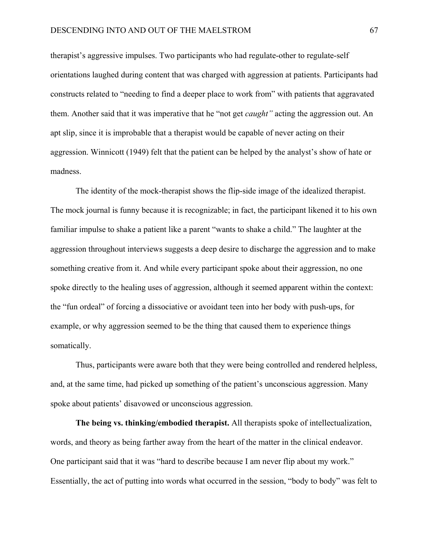therapist's aggressive impulses. Two participants who had regulate-other to regulate-self orientations laughed during content that was charged with aggression at patients. Participants had constructs related to "needing to find a deeper place to work from" with patients that aggravated them. Another said that it was imperative that he "not get *caught"* acting the aggression out. An apt slip, since it is improbable that a therapist would be capable of never acting on their aggression. Winnicott (1949) felt that the patient can be helped by the analyst's show of hate or madness.

 The identity of the mock-therapist shows the flip-side image of the idealized therapist. The mock journal is funny because it is recognizable; in fact, the participant likened it to his own familiar impulse to shake a patient like a parent "wants to shake a child." The laughter at the aggression throughout interviews suggests a deep desire to discharge the aggression and to make something creative from it. And while every participant spoke about their aggression, no one spoke directly to the healing uses of aggression, although it seemed apparent within the context: the "fun ordeal" of forcing a dissociative or avoidant teen into her body with push-ups, for example, or why aggression seemed to be the thing that caused them to experience things somatically.

 Thus, participants were aware both that they were being controlled and rendered helpless, and, at the same time, had picked up something of the patient's unconscious aggression. Many spoke about patients' disavowed or unconscious aggression.

 **The being vs. thinking/embodied therapist.** All therapists spoke of intellectualization, words, and theory as being farther away from the heart of the matter in the clinical endeavor. One participant said that it was "hard to describe because I am never flip about my work." Essentially, the act of putting into words what occurred in the session, "body to body" was felt to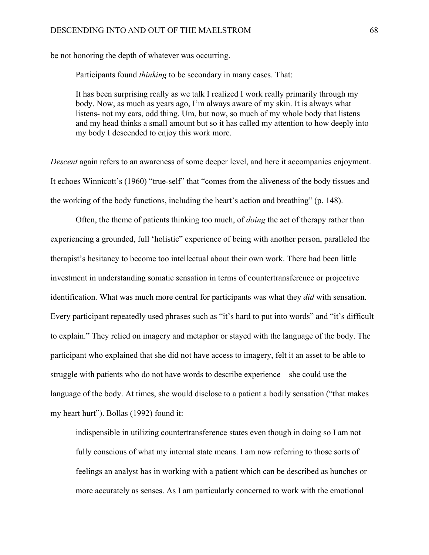be not honoring the depth of whatever was occurring.

Participants found *thinking* to be secondary in many cases. That:

 It has been surprising really as we talk I realized I work really primarily through my body. Now, as much as years ago, I'm always aware of my skin. It is always what listens- not my ears, odd thing. Um, but now, so much of my whole body that listens and my head thinks a small amount but so it has called my attention to how deeply into my body I descended to enjoy this work more.

*Descent* again refers to an awareness of some deeper level, and here it accompanies enjoyment. It echoes Winnicott's (1960) "true-self" that "comes from the aliveness of the body tissues and the working of the body functions, including the heart's action and breathing" (p. 148).

 Often, the theme of patients thinking too much, of *doing* the act of therapy rather than experiencing a grounded, full 'holistic" experience of being with another person, paralleled the therapist's hesitancy to become too intellectual about their own work. There had been little investment in understanding somatic sensation in terms of countertransference or projective identification. What was much more central for participants was what they *did* with sensation. Every participant repeatedly used phrases such as "it's hard to put into words" and "it's difficult to explain." They relied on imagery and metaphor or stayed with the language of the body. The participant who explained that she did not have access to imagery, felt it an asset to be able to struggle with patients who do not have words to describe experience—she could use the language of the body. At times, she would disclose to a patient a bodily sensation ("that makes my heart hurt"). Bollas (1992) found it:

 indispensible in utilizing countertransference states even though in doing so I am not fully conscious of what my internal state means. I am now referring to those sorts of feelings an analyst has in working with a patient which can be described as hunches or more accurately as senses. As I am particularly concerned to work with the emotional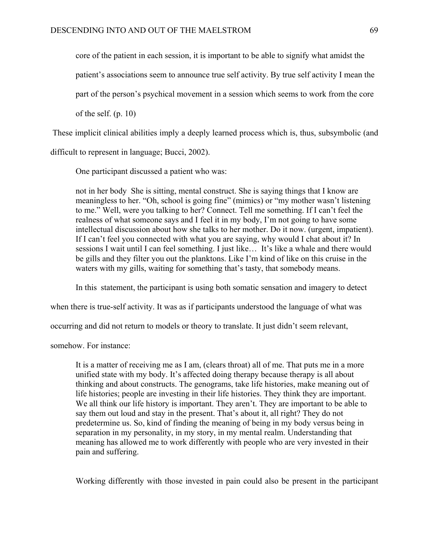core of the patient in each session, it is important to be able to signify what amidst the

patient's associations seem to announce true self activity. By true self activity I mean the

part of the person's psychical movement in a session which seems to work from the core

of the self. (p. 10)

These implicit clinical abilities imply a deeply learned process which is, thus, subsymbolic (and

difficult to represent in language; Bucci, 2002).

One participant discussed a patient who was:

not in her body She is sitting, mental construct. She is saying things that I know are meaningless to her. "Oh, school is going fine" (mimics) or "my mother wasn't listening to me." Well, were you talking to her? Connect. Tell me something. If I can't feel the realness of what someone says and I feel it in my body, I'm not going to have some intellectual discussion about how she talks to her mother. Do it now. (urgent, impatient). If I can't feel you connected with what you are saying, why would I chat about it? In sessions I wait until I can feel something. I just like… It's like a whale and there would be gills and they filter you out the planktons. Like I'm kind of like on this cruise in the waters with my gills, waiting for something that's tasty, that somebody means.

In this statement, the participant is using both somatic sensation and imagery to detect

when there is true-self activity. It was as if participants understood the language of what was

occurring and did not return to models or theory to translate. It just didn't seem relevant,

somehow. For instance:

 It is a matter of receiving me as I am, (clears throat) all of me. That puts me in a more unified state with my body. It's affected doing therapy because therapy is all about thinking and about constructs. The genograms, take life histories, make meaning out of life histories; people are investing in their life histories. They think they are important. We all think our life history is important. They aren't. They are important to be able to say them out loud and stay in the present. That's about it, all right? They do not predetermine us. So, kind of finding the meaning of being in my body versus being in separation in my personality, in my story, in my mental realm. Understanding that meaning has allowed me to work differently with people who are very invested in their pain and suffering.

Working differently with those invested in pain could also be present in the participant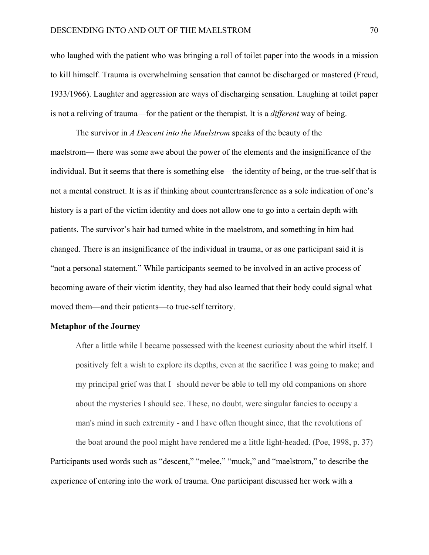who laughed with the patient who was bringing a roll of toilet paper into the woods in a mission to kill himself. Trauma is overwhelming sensation that cannot be discharged or mastered (Freud, 1933/1966). Laughter and aggression are ways of discharging sensation. Laughing at toilet paper is not a reliving of trauma—for the patient or the therapist. It is a *different* way of being.

 The survivor in *A Descent into the Maelstrom* speaks of the beauty of the maelstrom— there was some awe about the power of the elements and the insignificance of the individual. But it seems that there is something else—the identity of being, or the true-self that is not a mental construct. It is as if thinking about countertransference as a sole indication of one's history is a part of the victim identity and does not allow one to go into a certain depth with patients. The survivor's hair had turned white in the maelstrom, and something in him had changed. There is an insignificance of the individual in trauma, or as one participant said it is "not a personal statement." While participants seemed to be involved in an active process of becoming aware of their victim identity, they had also learned that their body could signal what moved them—and their patients—to true-self territory.

## **Metaphor of the Journey**

 After a little while I became possessed with the keenest curiosity about the whirl itself. I positively felt a wish to explore its depths, even at the sacrifice I was going to make; and my principal grief was that I should never be able to tell my old companions on shore about the mysteries I should see. These, no doubt, were singular fancies to occupy a man's mind in such extremity - and I have often thought since, that the revolutions of

 the boat around the pool might have rendered me a little light-headed. (Poe, 1998, p. 37) Participants used words such as "descent," "melee," "muck," and "maelstrom," to describe the experience of entering into the work of trauma. One participant discussed her work with a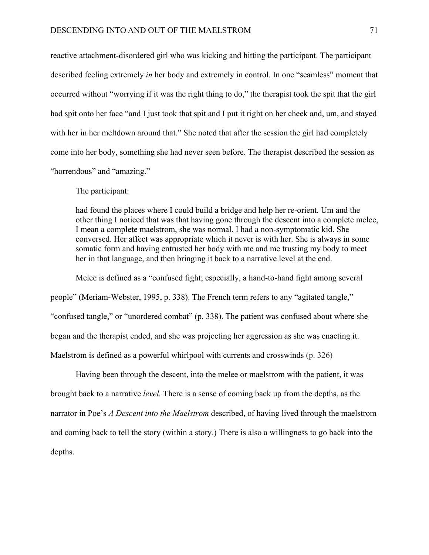reactive attachment-disordered girl who was kicking and hitting the participant. The participant described feeling extremely *in* her body and extremely in control. In one "seamless" moment that occurred without "worrying if it was the right thing to do," the therapist took the spit that the girl had spit onto her face "and I just took that spit and I put it right on her cheek and, um, and stayed with her in her meltdown around that." She noted that after the session the girl had completely come into her body, something she had never seen before. The therapist described the session as "horrendous" and "amazing."

The participant:

 had found the places where I could build a bridge and help her re-orient. Um and the other thing I noticed that was that having gone through the descent into a complete melee, I mean a complete maelstrom, she was normal. I had a non-symptomatic kid. She conversed. Her affect was appropriate which it never is with her. She is always in some somatic form and having entrusted her body with me and me trusting my body to meet her in that language, and then bringing it back to a narrative level at the end.

 Melee is defined as a "confused fight; especially, a hand-to-hand fight among several people" (Meriam-Webster, 1995, p. 338). The French term refers to any "agitated tangle," "confused tangle," or "unordered combat" (p. 338). The patient was confused about where she began and the therapist ended, and she was projecting her aggression as she was enacting it. Maelstrom is defined as a powerful whirlpool with currents and crosswinds (p. 326)

 Having been through the descent, into the melee or maelstrom with the patient, it was brought back to a narrative *level.* There is a sense of coming back up from the depths, as the narrator in Poe's *A Descent into the Maelstrom* described, of having lived through the maelstrom and coming back to tell the story (within a story.) There is also a willingness to go back into the depths.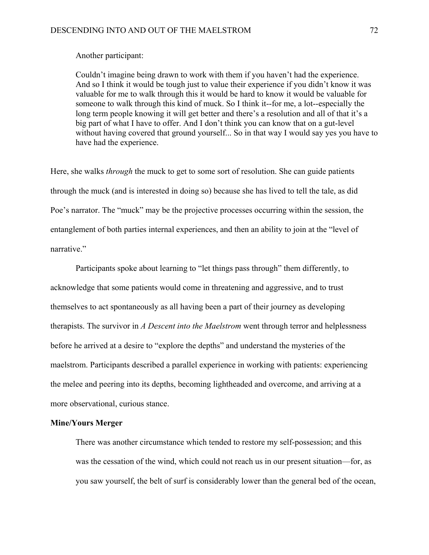## Another participant:

 Couldn't imagine being drawn to work with them if you haven't had the experience. And so I think it would be tough just to value their experience if you didn't know it was valuable for me to walk through this it would be hard to know it would be valuable for someone to walk through this kind of muck. So I think it--for me, a lot--especially the long term people knowing it will get better and there's a resolution and all of that it's a big part of what I have to offer. And I don't think you can know that on a gut-level without having covered that ground yourself... So in that way I would say yes you have to have had the experience.

Here, she walks *through* the muck to get to some sort of resolution. She can guide patients through the muck (and is interested in doing so) because she has lived to tell the tale, as did Poe's narrator. The "muck" may be the projective processes occurring within the session, the entanglement of both parties internal experiences, and then an ability to join at the "level of narrative."

 Participants spoke about learning to "let things pass through" them differently, to acknowledge that some patients would come in threatening and aggressive, and to trust themselves to act spontaneously as all having been a part of their journey as developing therapists. The survivor in *A Descent into the Maelstrom* went through terror and helplessness before he arrived at a desire to "explore the depths" and understand the mysteries of the maelstrom. Participants described a parallel experience in working with patients: experiencing the melee and peering into its depths, becoming lightheaded and overcome, and arriving at a more observational, curious stance.

#### **Mine/Yours Merger**

 There was another circumstance which tended to restore my self-possession; and this was the cessation of the wind, which could not reach us in our present situation—for, as you saw yourself, the belt of surf is considerably lower than the general bed of the ocean,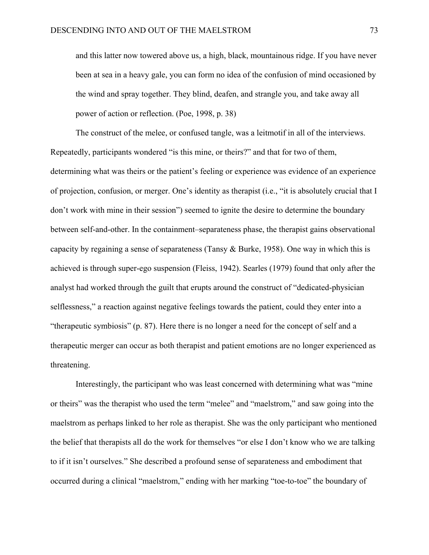and this latter now towered above us, a high, black, mountainous ridge. If you have never been at sea in a heavy gale, you can form no idea of the confusion of mind occasioned by the wind and spray together. They blind, deafen, and strangle you, and take away all power of action or reflection. (Poe, 1998, p. 38)

 The construct of the melee, or confused tangle, was a leitmotif in all of the interviews. Repeatedly, participants wondered "is this mine, or theirs?" and that for two of them, determining what was theirs or the patient's feeling or experience was evidence of an experience of projection, confusion, or merger. One's identity as therapist (i.e., "it is absolutely crucial that I don't work with mine in their session") seemed to ignite the desire to determine the boundary between self-and-other. In the containment–separateness phase, the therapist gains observational capacity by regaining a sense of separateness (Tansy & Burke, 1958). One way in which this is achieved is through super-ego suspension (Fleiss, 1942). Searles (1979) found that only after the analyst had worked through the guilt that erupts around the construct of "dedicated-physician selflessness," a reaction against negative feelings towards the patient, could they enter into a "therapeutic symbiosis" (p. 87). Here there is no longer a need for the concept of self and a therapeutic merger can occur as both therapist and patient emotions are no longer experienced as threatening.

 Interestingly, the participant who was least concerned with determining what was "mine or theirs" was the therapist who used the term "melee" and "maelstrom," and saw going into the maelstrom as perhaps linked to her role as therapist. She was the only participant who mentioned the belief that therapists all do the work for themselves "or else I don't know who we are talking to if it isn't ourselves." She described a profound sense of separateness and embodiment that occurred during a clinical "maelstrom," ending with her marking "toe-to-toe" the boundary of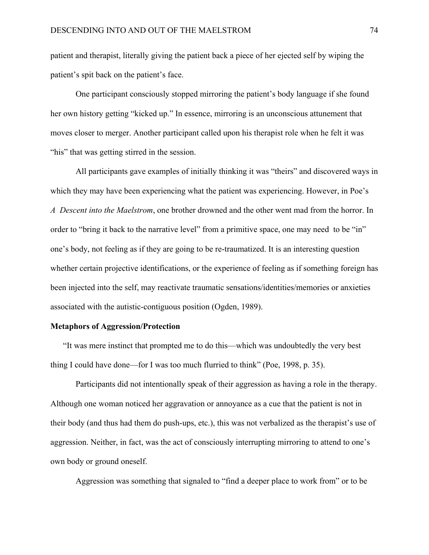patient and therapist, literally giving the patient back a piece of her ejected self by wiping the patient's spit back on the patient's face.

 One participant consciously stopped mirroring the patient's body language if she found her own history getting "kicked up." In essence, mirroring is an unconscious attunement that moves closer to merger. Another participant called upon his therapist role when he felt it was "his" that was getting stirred in the session.

 All participants gave examples of initially thinking it was "theirs" and discovered ways in which they may have been experiencing what the patient was experiencing. However, in Poe's *A Descent into the Maelstrom*, one brother drowned and the other went mad from the horror. In order to "bring it back to the narrative level" from a primitive space, one may need to be "in" one's body, not feeling as if they are going to be re-traumatized. It is an interesting question whether certain projective identifications, or the experience of feeling as if something foreign has been injected into the self, may reactivate traumatic sensations/identities/memories or anxieties associated with the autistic-contiguous position (Ogden, 1989).

### **Metaphors of Aggression/Protection**

"It was mere instinct that prompted me to do this—which was undoubtedly the very best thing I could have done—for I was too much flurried to think" (Poe, 1998, p. 35).

 Participants did not intentionally speak of their aggression as having a role in the therapy. Although one woman noticed her aggravation or annoyance as a cue that the patient is not in their body (and thus had them do push-ups, etc.), this was not verbalized as the therapist's use of aggression. Neither, in fact, was the act of consciously interrupting mirroring to attend to one's own body or ground oneself.

Aggression was something that signaled to "find a deeper place to work from" or to be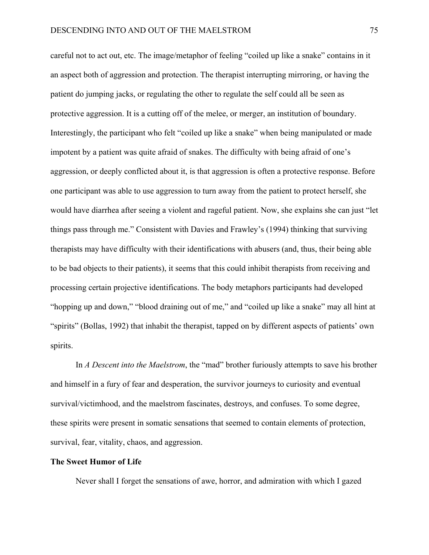careful not to act out, etc. The image/metaphor of feeling "coiled up like a snake" contains in it an aspect both of aggression and protection. The therapist interrupting mirroring, or having the patient do jumping jacks, or regulating the other to regulate the self could all be seen as protective aggression. It is a cutting off of the melee, or merger, an institution of boundary. Interestingly, the participant who felt "coiled up like a snake" when being manipulated or made impotent by a patient was quite afraid of snakes. The difficulty with being afraid of one's aggression, or deeply conflicted about it, is that aggression is often a protective response. Before one participant was able to use aggression to turn away from the patient to protect herself, she would have diarrhea after seeing a violent and rageful patient. Now, she explains she can just "let things pass through me." Consistent with Davies and Frawley's (1994) thinking that surviving therapists may have difficulty with their identifications with abusers (and, thus, their being able to be bad objects to their patients), it seems that this could inhibit therapists from receiving and processing certain projective identifications. The body metaphors participants had developed "hopping up and down," "blood draining out of me," and "coiled up like a snake" may all hint at "spirits" (Bollas, 1992) that inhabit the therapist, tapped on by different aspects of patients' own spirits.

 In *A Descent into the Maelstrom*, the "mad" brother furiously attempts to save his brother and himself in a fury of fear and desperation, the survivor journeys to curiosity and eventual survival/victimhood, and the maelstrom fascinates, destroys, and confuses. To some degree, these spirits were present in somatic sensations that seemed to contain elements of protection, survival, fear, vitality, chaos, and aggression.

# **The Sweet Humor of Life**

Never shall I forget the sensations of awe, horror, and admiration with which I gazed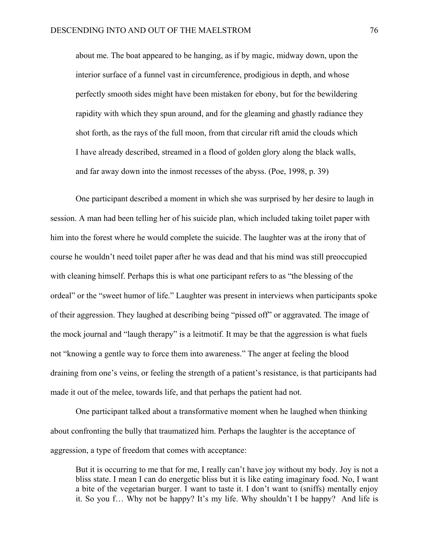about me. The boat appeared to be hanging, as if by magic, midway down, upon the interior surface of a funnel vast in circumference, prodigious in depth, and whose perfectly smooth sides might have been mistaken for ebony, but for the bewildering rapidity with which they spun around, and for the gleaming and ghastly radiance they shot forth, as the rays of the full moon, from that circular rift amid the clouds which I have already described, streamed in a flood of golden glory along the black walls, and far away down into the inmost recesses of the abyss. (Poe, 1998, p. 39)

 One participant described a moment in which she was surprised by her desire to laugh in session. A man had been telling her of his suicide plan, which included taking toilet paper with him into the forest where he would complete the suicide. The laughter was at the irony that of course he wouldn't need toilet paper after he was dead and that his mind was still preoccupied with cleaning himself. Perhaps this is what one participant refers to as "the blessing of the ordeal" or the "sweet humor of life." Laughter was present in interviews when participants spoke of their aggression. They laughed at describing being "pissed off" or aggravated. The image of the mock journal and "laugh therapy" is a leitmotif. It may be that the aggression is what fuels not "knowing a gentle way to force them into awareness." The anger at feeling the blood draining from one's veins, or feeling the strength of a patient's resistance, is that participants had made it out of the melee, towards life, and that perhaps the patient had not.

 One participant talked about a transformative moment when he laughed when thinking about confronting the bully that traumatized him. Perhaps the laughter is the acceptance of aggression, a type of freedom that comes with acceptance:

 But it is occurring to me that for me, I really can't have joy without my body. Joy is not a bliss state. I mean I can do energetic bliss but it is like eating imaginary food. No, I want a bite of the vegetarian burger. I want to taste it. I don't want to (sniffs) mentally enjoy it. So you f… Why not be happy? It's my life. Why shouldn't I be happy? And life is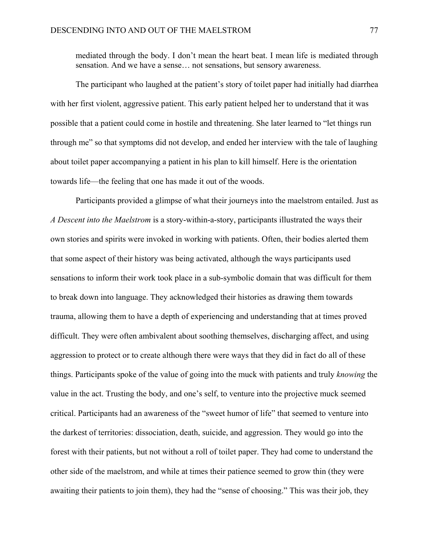mediated through the body. I don't mean the heart beat. I mean life is mediated through sensation. And we have a sense… not sensations, but sensory awareness.

 The participant who laughed at the patient's story of toilet paper had initially had diarrhea with her first violent, aggressive patient. This early patient helped her to understand that it was possible that a patient could come in hostile and threatening. She later learned to "let things run through me" so that symptoms did not develop, and ended her interview with the tale of laughing about toilet paper accompanying a patient in his plan to kill himself. Here is the orientation towards life—the feeling that one has made it out of the woods.

 Participants provided a glimpse of what their journeys into the maelstrom entailed. Just as *A Descent into the Maelstrom* is a story-within-a-story, participants illustrated the ways their own stories and spirits were invoked in working with patients. Often, their bodies alerted them that some aspect of their history was being activated, although the ways participants used sensations to inform their work took place in a sub-symbolic domain that was difficult for them to break down into language. They acknowledged their histories as drawing them towards trauma, allowing them to have a depth of experiencing and understanding that at times proved difficult. They were often ambivalent about soothing themselves, discharging affect, and using aggression to protect or to create although there were ways that they did in fact do all of these things. Participants spoke of the value of going into the muck with patients and truly *knowing* the value in the act. Trusting the body, and one's self, to venture into the projective muck seemed critical. Participants had an awareness of the "sweet humor of life" that seemed to venture into the darkest of territories: dissociation, death, suicide, and aggression. They would go into the forest with their patients, but not without a roll of toilet paper. They had come to understand the other side of the maelstrom, and while at times their patience seemed to grow thin (they were awaiting their patients to join them), they had the "sense of choosing." This was their job, they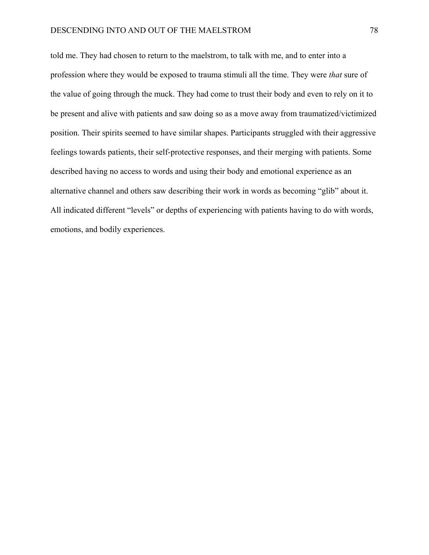told me. They had chosen to return to the maelstrom, to talk with me, and to enter into a profession where they would be exposed to trauma stimuli all the time. They were *that* sure of the value of going through the muck. They had come to trust their body and even to rely on it to be present and alive with patients and saw doing so as a move away from traumatized/victimized position. Their spirits seemed to have similar shapes. Participants struggled with their aggressive feelings towards patients, their self-protective responses, and their merging with patients. Some described having no access to words and using their body and emotional experience as an alternative channel and others saw describing their work in words as becoming "glib" about it. All indicated different "levels" or depths of experiencing with patients having to do with words, emotions, and bodily experiences.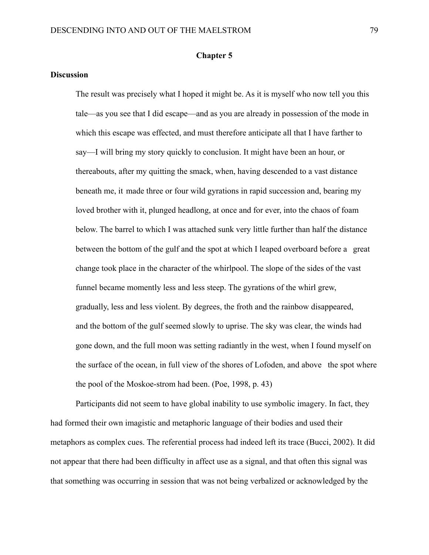## **Chapter 5**

## **Discussion**

The result was precisely what I hoped it might be. As it is myself who now tell you this tale—as you see that I did escape—and as you are already in possession of the mode in which this escape was effected, and must therefore anticipate all that I have farther to say—I will bring my story quickly to conclusion. It might have been an hour, or thereabouts, after my quitting the smack, when, having descended to a vast distance beneath me, it made three or four wild gyrations in rapid succession and, bearing my loved brother with it, plunged headlong, at once and for ever, into the chaos of foam below. The barrel to which I was attached sunk very little further than half the distance between the bottom of the gulf and the spot at which I leaped overboard before a great change took place in the character of the whirlpool. The slope of the sides of the vast funnel became momently less and less steep. The gyrations of the whirl grew, gradually, less and less violent. By degrees, the froth and the rainbow disappeared, and the bottom of the gulf seemed slowly to uprise. The sky was clear, the winds had gone down, and the full moon was setting radiantly in the west, when I found myself on the surface of the ocean, in full view of the shores of Lofoden, and above the spot where the pool of the Moskoe-strom had been. (Poe, 1998, p. 43)

 Participants did not seem to have global inability to use symbolic imagery. In fact, they had formed their own imagistic and metaphoric language of their bodies and used their metaphors as complex cues. The referential process had indeed left its trace (Bucci, 2002). It did not appear that there had been difficulty in affect use as a signal, and that often this signal was that something was occurring in session that was not being verbalized or acknowledged by the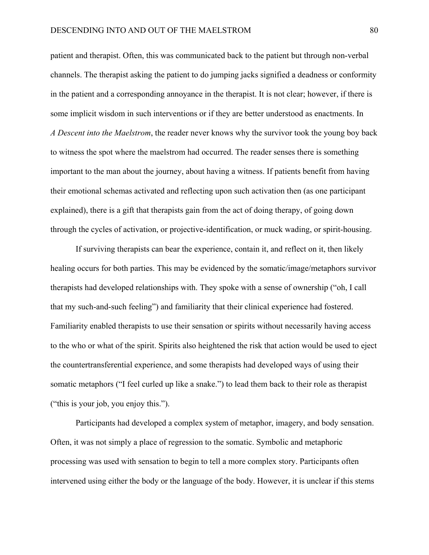patient and therapist. Often, this was communicated back to the patient but through non-verbal channels. The therapist asking the patient to do jumping jacks signified a deadness or conformity in the patient and a corresponding annoyance in the therapist. It is not clear; however, if there is some implicit wisdom in such interventions or if they are better understood as enactments. In *A Descent into the Maelstrom*, the reader never knows why the survivor took the young boy back to witness the spot where the maelstrom had occurred. The reader senses there is something important to the man about the journey, about having a witness. If patients benefit from having their emotional schemas activated and reflecting upon such activation then (as one participant explained), there is a gift that therapists gain from the act of doing therapy, of going down through the cycles of activation, or projective-identification, or muck wading, or spirit-housing.

 If surviving therapists can bear the experience, contain it, and reflect on it, then likely healing occurs for both parties. This may be evidenced by the somatic/image/metaphors survivor therapists had developed relationships with. They spoke with a sense of ownership ("oh, I call that my such-and-such feeling") and familiarity that their clinical experience had fostered. Familiarity enabled therapists to use their sensation or spirits without necessarily having access to the who or what of the spirit. Spirits also heightened the risk that action would be used to eject the countertransferential experience, and some therapists had developed ways of using their somatic metaphors ("I feel curled up like a snake.") to lead them back to their role as therapist ("this is your job, you enjoy this.").

 Participants had developed a complex system of metaphor, imagery, and body sensation. Often, it was not simply a place of regression to the somatic. Symbolic and metaphoric processing was used with sensation to begin to tell a more complex story. Participants often intervened using either the body or the language of the body. However, it is unclear if this stems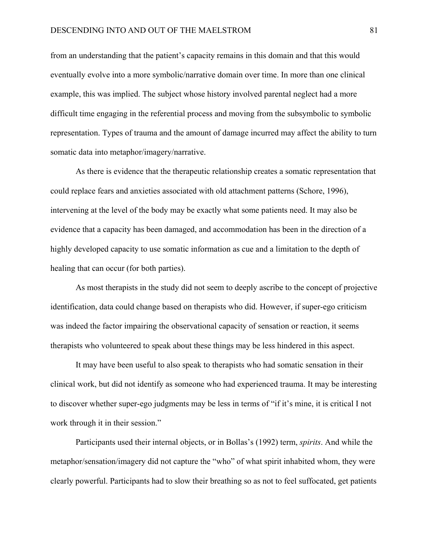from an understanding that the patient's capacity remains in this domain and that this would eventually evolve into a more symbolic/narrative domain over time. In more than one clinical example, this was implied. The subject whose history involved parental neglect had a more difficult time engaging in the referential process and moving from the subsymbolic to symbolic representation. Types of trauma and the amount of damage incurred may affect the ability to turn somatic data into metaphor/imagery/narrative.

 As there is evidence that the therapeutic relationship creates a somatic representation that could replace fears and anxieties associated with old attachment patterns (Schore, 1996), intervening at the level of the body may be exactly what some patients need. It may also be evidence that a capacity has been damaged, and accommodation has been in the direction of a highly developed capacity to use somatic information as cue and a limitation to the depth of healing that can occur (for both parties).

 As most therapists in the study did not seem to deeply ascribe to the concept of projective identification, data could change based on therapists who did. However, if super-ego criticism was indeed the factor impairing the observational capacity of sensation or reaction, it seems therapists who volunteered to speak about these things may be less hindered in this aspect.

 It may have been useful to also speak to therapists who had somatic sensation in their clinical work, but did not identify as someone who had experienced trauma. It may be interesting to discover whether super-ego judgments may be less in terms of "if it's mine, it is critical I not work through it in their session."

 Participants used their internal objects, or in Bollas's (1992) term, *spirits*. And while the metaphor/sensation/imagery did not capture the "who" of what spirit inhabited whom, they were clearly powerful. Participants had to slow their breathing so as not to feel suffocated, get patients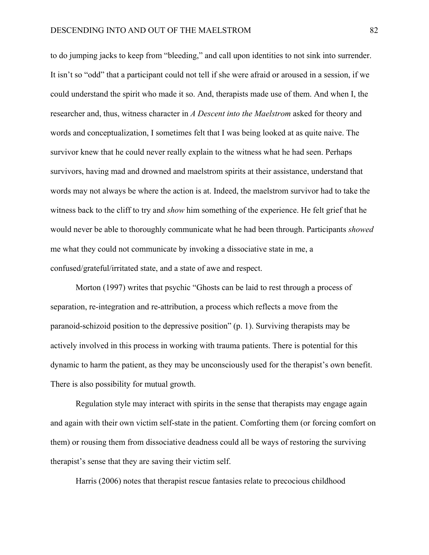to do jumping jacks to keep from "bleeding," and call upon identities to not sink into surrender. It isn't so "odd" that a participant could not tell if she were afraid or aroused in a session, if we could understand the spirit who made it so. And, therapists made use of them. And when I, the researcher and, thus, witness character in *A Descent into the Maelstrom* asked for theory and words and conceptualization, I sometimes felt that I was being looked at as quite naive. The survivor knew that he could never really explain to the witness what he had seen. Perhaps survivors, having mad and drowned and maelstrom spirits at their assistance, understand that words may not always be where the action is at. Indeed, the maelstrom survivor had to take the witness back to the cliff to try and *show* him something of the experience. He felt grief that he would never be able to thoroughly communicate what he had been through. Participants *showed*  me what they could not communicate by invoking a dissociative state in me, a confused/grateful/irritated state, and a state of awe and respect.

 Morton (1997) writes that psychic "Ghosts can be laid to rest through a process of separation, re-integration and re-attribution, a process which reflects a move from the paranoid-schizoid position to the depressive position" (p. 1). Surviving therapists may be actively involved in this process in working with trauma patients. There is potential for this dynamic to harm the patient, as they may be unconsciously used for the therapist's own benefit. There is also possibility for mutual growth.

 Regulation style may interact with spirits in the sense that therapists may engage again and again with their own victim self-state in the patient. Comforting them (or forcing comfort on them) or rousing them from dissociative deadness could all be ways of restoring the surviving therapist's sense that they are saving their victim self.

Harris (2006) notes that therapist rescue fantasies relate to precocious childhood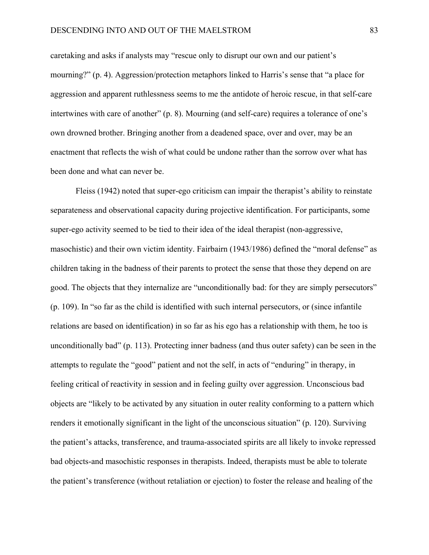caretaking and asks if analysts may "rescue only to disrupt our own and our patient's mourning?" (p. 4). Aggression/protection metaphors linked to Harris's sense that "a place for aggression and apparent ruthlessness seems to me the antidote of heroic rescue, in that self-care intertwines with care of another" (p. 8). Mourning (and self-care) requires a tolerance of one's own drowned brother. Bringing another from a deadened space, over and over, may be an enactment that reflects the wish of what could be undone rather than the sorrow over what has been done and what can never be.

 Fleiss (1942) noted that super-ego criticism can impair the therapist's ability to reinstate separateness and observational capacity during projective identification. For participants, some super-ego activity seemed to be tied to their idea of the ideal therapist (non-aggressive, masochistic) and their own victim identity. Fairbairn (1943/1986) defined the "moral defense" as children taking in the badness of their parents to protect the sense that those they depend on are good. The objects that they internalize are "unconditionally bad: for they are simply persecutors" (p. 109). In "so far as the child is identified with such internal persecutors, or (since infantile relations are based on identification) in so far as his ego has a relationship with them, he too is unconditionally bad" (p. 113). Protecting inner badness (and thus outer safety) can be seen in the attempts to regulate the "good" patient and not the self, in acts of "enduring" in therapy, in feeling critical of reactivity in session and in feeling guilty over aggression. Unconscious bad objects are "likely to be activated by any situation in outer reality conforming to a pattern which renders it emotionally significant in the light of the unconscious situation" (p. 120). Surviving the patient's attacks, transference, and trauma-associated spirits are all likely to invoke repressed bad objects-and masochistic responses in therapists. Indeed, therapists must be able to tolerate the patient's transference (without retaliation or ejection) to foster the release and healing of the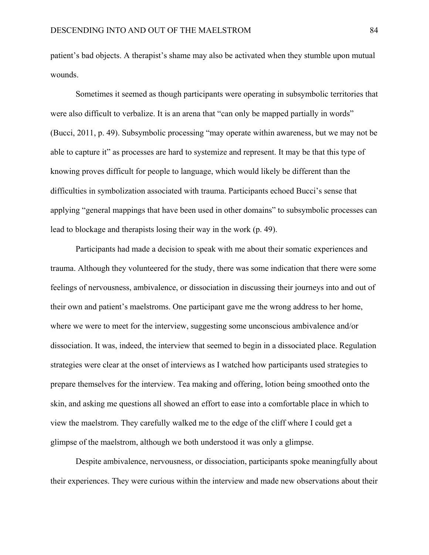patient's bad objects. A therapist's shame may also be activated when they stumble upon mutual wounds.

Sometimes it seemed as though participants were operating in subsymbolic territories that were also difficult to verbalize. It is an arena that "can only be mapped partially in words" (Bucci, 2011, p. 49). Subsymbolic processing "may operate within awareness, but we may not be able to capture it" as processes are hard to systemize and represent. It may be that this type of knowing proves difficult for people to language, which would likely be different than the difficulties in symbolization associated with trauma. Participants echoed Bucci's sense that applying "general mappings that have been used in other domains" to subsymbolic processes can lead to blockage and therapists losing their way in the work (p. 49).

Participants had made a decision to speak with me about their somatic experiences and trauma. Although they volunteered for the study, there was some indication that there were some feelings of nervousness, ambivalence, or dissociation in discussing their journeys into and out of their own and patient's maelstroms. One participant gave me the wrong address to her home, where we were to meet for the interview, suggesting some unconscious ambivalence and/or dissociation. It was, indeed, the interview that seemed to begin in a dissociated place. Regulation strategies were clear at the onset of interviews as I watched how participants used strategies to prepare themselves for the interview. Tea making and offering, lotion being smoothed onto the skin, and asking me questions all showed an effort to ease into a comfortable place in which to view the maelstrom. They carefully walked me to the edge of the cliff where I could get a glimpse of the maelstrom, although we both understood it was only a glimpse.

Despite ambivalence, nervousness, or dissociation, participants spoke meaningfully about their experiences. They were curious within the interview and made new observations about their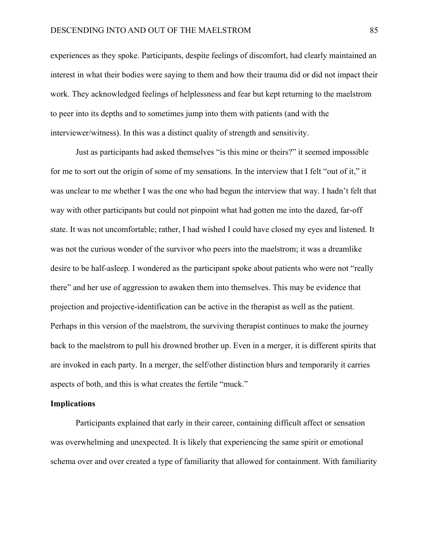experiences as they spoke. Participants, despite feelings of discomfort, had clearly maintained an interest in what their bodies were saying to them and how their trauma did or did not impact their work. They acknowledged feelings of helplessness and fear but kept returning to the maelstrom to peer into its depths and to sometimes jump into them with patients (and with the interviewer/witness). In this was a distinct quality of strength and sensitivity.

Just as participants had asked themselves "is this mine or theirs?" it seemed impossible for me to sort out the origin of some of my sensations. In the interview that I felt "out of it," it was unclear to me whether I was the one who had begun the interview that way. I hadn't felt that way with other participants but could not pinpoint what had gotten me into the dazed, far-off state. It was not uncomfortable; rather, I had wished I could have closed my eyes and listened. It was not the curious wonder of the survivor who peers into the maelstrom; it was a dreamlike desire to be half-asleep. I wondered as the participant spoke about patients who were not "really there" and her use of aggression to awaken them into themselves. This may be evidence that projection and projective-identification can be active in the therapist as well as the patient. Perhaps in this version of the maelstrom, the surviving therapist continues to make the journey back to the maelstrom to pull his drowned brother up. Even in a merger, it is different spirits that are invoked in each party. In a merger, the self/other distinction blurs and temporarily it carries aspects of both, and this is what creates the fertile "muck."

### **Implications**

Participants explained that early in their career, containing difficult affect or sensation was overwhelming and unexpected. It is likely that experiencing the same spirit or emotional schema over and over created a type of familiarity that allowed for containment. With familiarity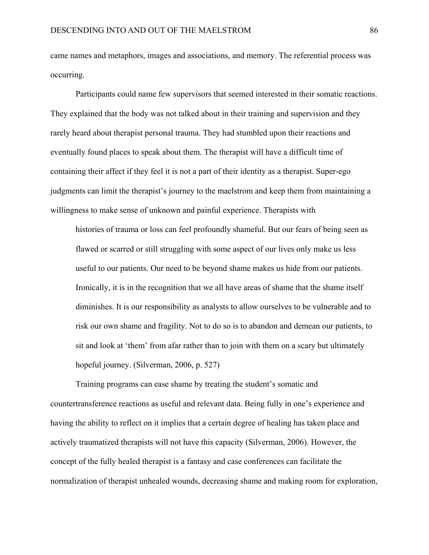came names and metaphors, images and associations, and memory. The referential process was occurring.

Participants could name few supervisors that seemed interested in their somatic reactions. They explained that the body was not talked about in their training and supervision and they rarely heard about therapist personal trauma. They had stumbled upon their reactions and eventually found places to speak about them. The therapist will have a difficult time of containing their affect if they feel it is not a part of their identity as a therapist. Super-ego judgments can limit the therapist's journey to the maelstrom and keep them from maintaining a willingness to make sense of unknown and painful experience. Therapists with

histories of trauma or loss can feel profoundly shameful. But our fears of being seen as flawed or scarred or still struggling with some aspect of our lives only make us less useful to our patients. Our need to be beyond shame makes us hide from our patients. Ironically, it is in the recognition that we all have areas of shame that the shame itself diminishes. It is our responsibility as analysts to allow ourselves to be vulnerable and to risk our own shame and fragility. Not to do so is to abandon and demean our patients, to sit and look at 'them' from afar rather than to join with them on a scary but ultimately hopeful journey. (Silverman, 2006, p. 527)

Training programs can ease shame by treating the student's somatic and countertransference reactions as useful and relevant data. Being fully in one's experience and having the ability to reflect on it implies that a certain degree of healing has taken place and actively traumatized therapists will not have this capacity (Silverman, 2006). However, the concept of the fully healed therapist is a fantasy and case conferences can facilitate the normalization of therapist unhealed wounds, decreasing shame and making room for exploration,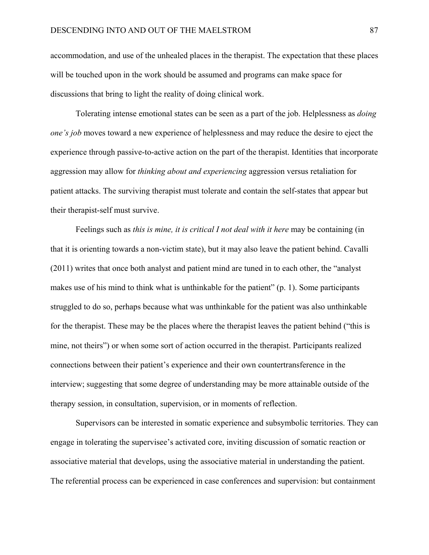accommodation, and use of the unhealed places in the therapist. The expectation that these places will be touched upon in the work should be assumed and programs can make space for discussions that bring to light the reality of doing clinical work.

Tolerating intense emotional states can be seen as a part of the job. Helplessness as *doing one's job* moves toward a new experience of helplessness and may reduce the desire to eject the experience through passive-to-active action on the part of the therapist. Identities that incorporate aggression may allow for *thinking about and experiencing* aggression versus retaliation for patient attacks. The surviving therapist must tolerate and contain the self-states that appear but their therapist-self must survive.

 Feelings such as *this is mine, it is critical I not deal with it here* may be containing (in that it is orienting towards a non-victim state), but it may also leave the patient behind. Cavalli (2011) writes that once both analyst and patient mind are tuned in to each other, the "analyst makes use of his mind to think what is unthinkable for the patient" (p. 1). Some participants struggled to do so, perhaps because what was unthinkable for the patient was also unthinkable for the therapist. These may be the places where the therapist leaves the patient behind ("this is mine, not theirs") or when some sort of action occurred in the therapist. Participants realized connections between their patient's experience and their own countertransference in the interview; suggesting that some degree of understanding may be more attainable outside of the therapy session, in consultation, supervision, or in moments of reflection.

 Supervisors can be interested in somatic experience and subsymbolic territories. They can engage in tolerating the supervisee's activated core, inviting discussion of somatic reaction or associative material that develops, using the associative material in understanding the patient. The referential process can be experienced in case conferences and supervision: but containment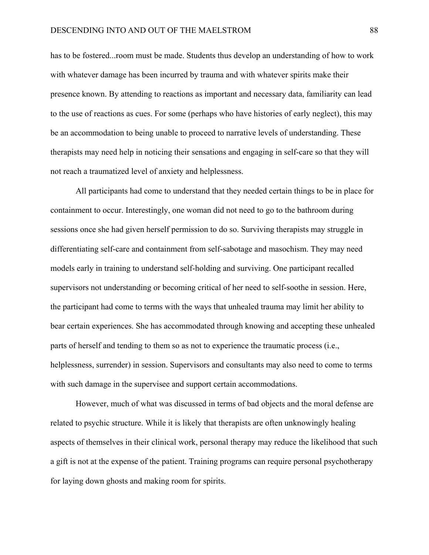has to be fostered...room must be made. Students thus develop an understanding of how to work with whatever damage has been incurred by trauma and with whatever spirits make their presence known. By attending to reactions as important and necessary data, familiarity can lead to the use of reactions as cues. For some (perhaps who have histories of early neglect), this may be an accommodation to being unable to proceed to narrative levels of understanding. These therapists may need help in noticing their sensations and engaging in self-care so that they will not reach a traumatized level of anxiety and helplessness.

All participants had come to understand that they needed certain things to be in place for containment to occur. Interestingly, one woman did not need to go to the bathroom during sessions once she had given herself permission to do so. Surviving therapists may struggle in differentiating self-care and containment from self-sabotage and masochism. They may need models early in training to understand self-holding and surviving. One participant recalled supervisors not understanding or becoming critical of her need to self-soothe in session. Here, the participant had come to terms with the ways that unhealed trauma may limit her ability to bear certain experiences. She has accommodated through knowing and accepting these unhealed parts of herself and tending to them so as not to experience the traumatic process (i.e., helplessness, surrender) in session. Supervisors and consultants may also need to come to terms with such damage in the supervisee and support certain accommodations.

However, much of what was discussed in terms of bad objects and the moral defense are related to psychic structure. While it is likely that therapists are often unknowingly healing aspects of themselves in their clinical work, personal therapy may reduce the likelihood that such a gift is not at the expense of the patient. Training programs can require personal psychotherapy for laying down ghosts and making room for spirits.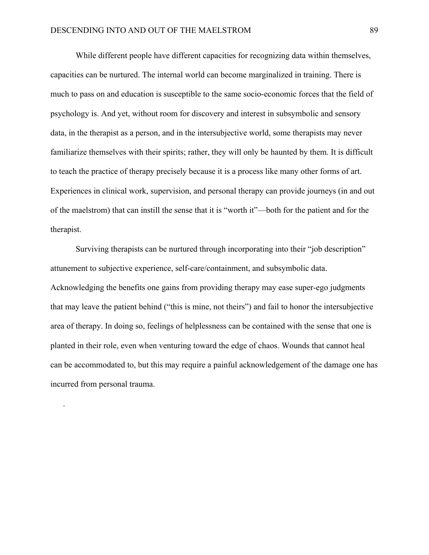.

While different people have different capacities for recognizing data within themselves, capacities can be nurtured. The internal world can become marginalized in training. There is much to pass on and education is susceptible to the same socio-economic forces that the field of psychology is. And yet, without room for discovery and interest in subsymbolic and sensory data, in the therapist as a person, and in the intersubjective world, some therapists may never familiarize themselves with their spirits; rather, they will only be haunted by them. It is difficult to teach the practice of therapy precisely because it is a process like many other forms of art. Experiences in clinical work, supervision, and personal therapy can provide journeys (in and out of the maelstrom) that can instill the sense that it is "worth it"—both for the patient and for the therapist.

Surviving therapists can be nurtured through incorporating into their "job description" attunement to subjective experience, self-care/containment, and subsymbolic data. Acknowledging the benefits one gains from providing therapy may ease super-ego judgments that may leave the patient behind ("this is mine, not theirs") and fail to honor the intersubjective area of therapy. In doing so, feelings of helplessness can be contained with the sense that one is planted in their role, even when venturing toward the edge of chaos. Wounds that cannot heal can be accommodated to, but this may require a painful acknowledgement of the damage one has incurred from personal trauma.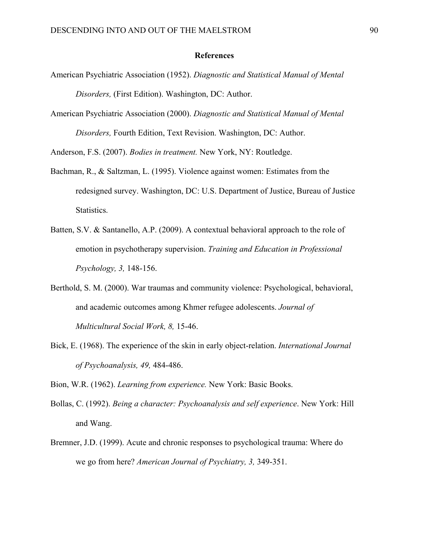#### **References**

- American Psychiatric Association (1952). *Diagnostic and Statistical Manual of Mental Disorders,* (First Edition). Washington, DC: Author.
- American Psychiatric Association (2000). *Diagnostic and Statistical Manual of Mental Disorders,* Fourth Edition, Text Revision. Washington, DC: Author.

Anderson, F.S. (2007). *Bodies in treatment.* New York, NY: Routledge.

- Bachman, R., & Saltzman, L. (1995). Violence against women: Estimates from the redesigned survey. Washington, DC: U.S. Department of Justice, Bureau of Justice Statistics.
- Batten, S.V. & Santanello, A.P. (2009). A contextual behavioral approach to the role of emotion in psychotherapy supervision. *Training and Education in Professional Psychology, 3,* 148-156.
- Berthold, S. M. (2000). War traumas and community violence: Psychological, behavioral, and academic outcomes among Khmer refugee adolescents. *Journal of Multicultural Social Work, 8,* 15-46.
- Bick, E. (1968). The experience of the skin in early object-relation. *International Journal of Psychoanalysis, 49,* 484-486.

Bion, W.R. (1962). *Learning from experience.* New York: Basic Books.

- Bollas, C. (1992). *Being a character: Psychoanalysis and self experience*. New York: Hill and Wang.
- Bremner, J.D. (1999). Acute and chronic responses to psychological trauma: Where do we go from here? *American Journal of Psychiatry, 3,* 349-351.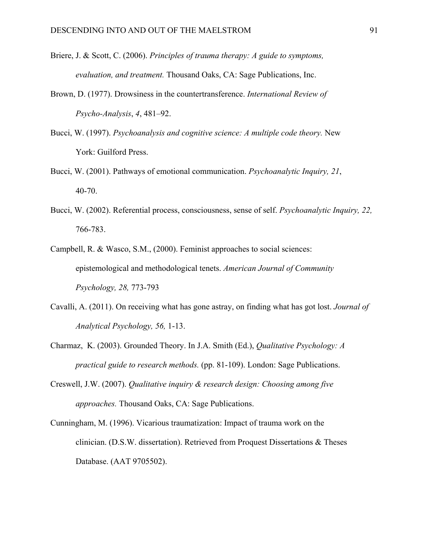- Briere, J. & Scott, C. (2006). *Principles of trauma therapy: A guide to symptoms, evaluation, and treatment.* Thousand Oaks, CA: Sage Publications, Inc.
- Brown, D. (1977). Drowsiness in the countertransference. *International Review of Psycho-Analysis*, *4*, 481–92.
- Bucci, W. (1997). *Psychoanalysis and cognitive science: A multiple code theory.* New York: Guilford Press.
- Bucci, W. (2001). Pathways of emotional communication. *Psychoanalytic Inquiry, 21*, 40-70.
- Bucci, W. (2002). Referential process, consciousness, sense of self. *Psychoanalytic Inquiry, 22,*  766-783.
- Campbell, R. & Wasco, S.M., (2000). Feminist approaches to social sciences: epistemological and methodological tenets. *American Journal of Community Psychology, 28,* 773-793
- Cavalli, A. (2011). On receiving what has gone astray, on finding what has got lost. *Journal of Analytical Psychology, 56,* 1-13.
- Charmaz, K. (2003). Grounded Theory. In J.A. Smith (Ed.), *Qualitative Psychology: A practical guide to research methods.* (pp. 81-109). London: Sage Publications.
- Creswell, J.W. (2007). *Qualitative inquiry & research design: Choosing among five approaches.* Thousand Oaks, CA: Sage Publications.
- Cunningham, M. (1996). Vicarious traumatization: Impact of trauma work on the clinician. (D.S.W. dissertation). Retrieved from Proquest Dissertations & Theses Database. (AAT 9705502).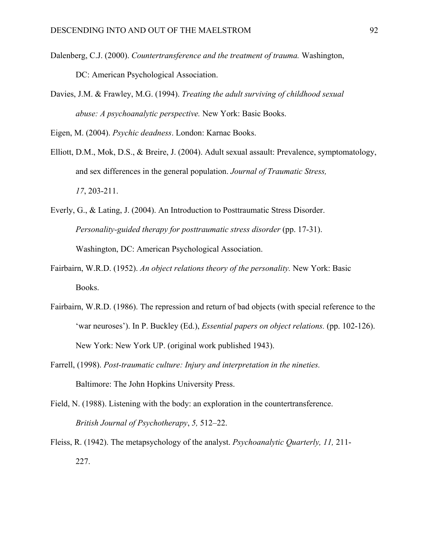- Dalenberg, C.J. (2000). *Countertransference and the treatment of trauma.* Washington, DC: American Psychological Association.
- Davies, J.M. & Frawley, M.G. (1994). *Treating the adult surviving of childhood sexual abuse: A psychoanalytic perspective.* New York: Basic Books.

Eigen, M. (2004). *Psychic deadness*. London: Karnac Books.

- Elliott, D.M., Mok, D.S., & Breire, J. (2004). Adult sexual assault: Prevalence, symptomatology, and sex differences in the general population. *Journal of Traumatic Stress, 17*, 203-211.
- Everly, G., & Lating, J. (2004). An Introduction to Posttraumatic Stress Disorder. *Personality-guided therapy for posttraumatic stress disorder* (pp. 17-31). Washington, DC: American Psychological Association.
- Fairbairn, W.R.D. (1952). *An object relations theory of the personality.* New York: Basic Books.
- Fairbairn, W.R.D. (1986). The repression and return of bad objects (with special reference to the 'war neuroses'). In P. Buckley (Ed.), *Essential papers on object relations.* (pp. 102-126). New York: New York UP. (original work published 1943).
- Farrell, (1998). *Post-traumatic culture: Injury and interpretation in the nineties.*  Baltimore: The John Hopkins University Press.
- Field, N. (1988). Listening with the body: an exploration in the countertransference.  *British Journal of Psychotherapy*, *5,* 512–22.

Fleiss, R. (1942). The metapsychology of the analyst. *Psychoanalytic Quarterly, 11,* 211- 227.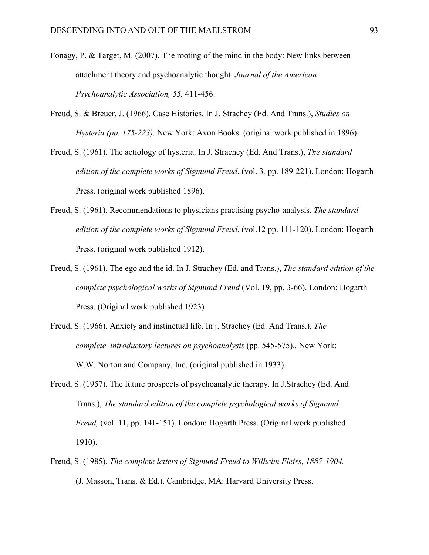- Fonagy, P. & Target, M. (2007). The rooting of the mind in the body: New links between attachment theory and psychoanalytic thought. *Journal of the American Psychoanalytic Association, 55,* 411-456.
- Freud, S. & Breuer, J. (1966). Case Histories. In J. Strachey (Ed. And Trans.), *Studies on Hysteria (pp. 175-223).* New York: Avon Books. (original work published in 1896).
- Freud, S. (1961). The aetiology of hysteria. In J. Strachey (Ed. And Trans.), *The standard edition of the complete works of Sigmund Freud*, (vol. 3*,* pp. 189-221). London: Hogarth Press. (original work published 1896).
- Freud, S. (1961). Recommendations to physicians practising psycho-analysis. *The standard edition of the complete works of Sigmund Freud*, (vol.12 pp. 111-120). London: Hogarth Press. (original work published 1912).
- Freud, S. (1961). The ego and the id. In J. Strachey (Ed. and Trans.), *The standard edition of the complete psychological works of Sigmund Freud* (Vol. 19, pp. 3-66). London: Hogarth Press. (Original work published 1923)
- Freud, S. (1966). Anxiety and instinctual life. In j. Strachey (Ed. And Trans.), *The complete introductory lectures on psychoanalysis (pp. 545-575).. New York:* W.W. Norton and Company, Inc. (original published in 1933).
- Freud, S. (1957). The future prospects of psychoanalytic therapy. In J.Strachey (Ed. And Trans.), *The standard edition of the complete psychological works of Sigmund Freud,* (vol. 11, pp. 141-151). London: Hogarth Press. (Original work published 1910).
- Freud, S. (1985). *The complete letters of Sigmund Freud to Wilhelm Fleiss, 1887-1904.*  (J. Masson, Trans. & Ed.). Cambridge, MA: Harvard University Press.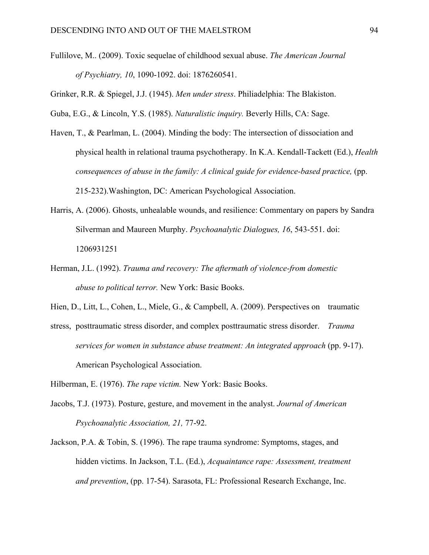Fullilove, M.. (2009). Toxic sequelae of childhood sexual abuse. *The American Journal of Psychiatry, 10*, 1090-1092. doi: 1876260541.

Grinker, R.R. & Spiegel, J.J. (1945). *Men under stress*. Philiadelphia: The Blakiston.

Guba, E.G., & Lincoln, Y.S. (1985). *Naturalistic inquiry.* Beverly Hills, CA: Sage.

- Haven, T., & Pearlman, L. (2004). Minding the body: The intersection of dissociation and physical health in relational trauma psychotherapy. In K.A. Kendall-Tackett (Ed.), *Health consequences of abuse in the family: A clinical guide for evidence-based practice,* (pp. 215-232).Washington, DC: American Psychological Association.
- Harris, A. (2006). Ghosts, unhealable wounds, and resilience: Commentary on papers by Sandra Silverman and Maureen Murphy. *Psychoanalytic Dialogues, 16*, 543-551. doi: 1206931251
- Herman, J.L. (1992). *Trauma and recovery: The aftermath of violence-from domestic abuse to political terror.* New York: Basic Books.

Hien, D., Litt, L., Cohen, L., Miele, G., & Campbell, A. (2009). Perspectives on traumatic

stress, posttraumatic stress disorder, and complex posttraumatic stress disorder. *Trauma services for women in substance abuse treatment: An integrated approach* (pp. 9-17). American Psychological Association.

Hilberman, E. (1976). *The rape victim.* New York: Basic Books.

- Jacobs, T.J. (1973). Posture, gesture, and movement in the analyst. *Journal of American Psychoanalytic Association, 21,* 77-92.
- Jackson, P.A. & Tobin, S. (1996). The rape trauma syndrome: Symptoms, stages, and hidden victims. In Jackson, T.L. (Ed.), *Acquaintance rape: Assessment, treatment and prevention*, (pp. 17-54). Sarasota, FL: Professional Research Exchange, Inc.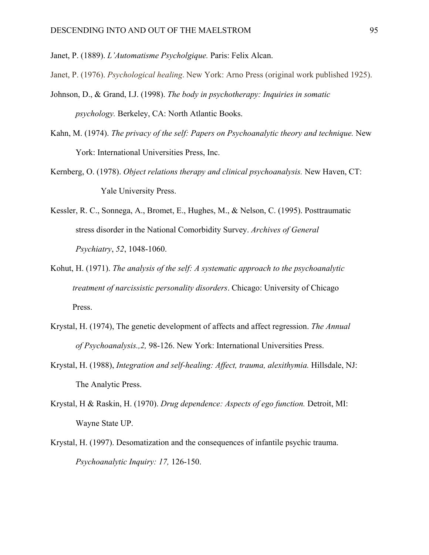Janet, P. (1889). *L'Automatisme Psycholgique.* Paris: Felix Alcan.

Janet, P. (1976). *Psychological healing*. New York: Arno Press (original work published 1925).

- Johnson, D., & Grand, I.J. (1998). *The body in psychotherapy: Inquiries in somatic psychology.* Berkeley, CA: North Atlantic Books.
- Kahn, M. (1974). *The privacy of the self: Papers on Psychoanalytic theory and technique.* New York: International Universities Press, Inc.
- Kernberg, O. (1978). *Object relations therapy and clinical psychoanalysis.* New Haven, CT: Yale University Press.
- Kessler, R. C., Sonnega, A., Bromet, E., Hughes, M., & Nelson, C. (1995). Posttraumatic stress disorder in the National Comorbidity Survey. *Archives of General Psychiatry*, *52*, 1048-1060.
- Kohut, H. (1971). *The analysis of the self: A systematic approach to the psychoanalytic treatment of narcissistic personality disorders*. Chicago: University of Chicago Press.
- Krystal, H. (1974), The genetic development of affects and affect regression. *The Annual of Psychoanalysis.,2,* 98-126. New York: International Universities Press.
- Krystal, H. (1988), *Integration and self-healing: Affect, trauma, alexithymia.* Hillsdale, NJ: The Analytic Press.
- Krystal, H & Raskin, H. (1970). *Drug dependence: Aspects of ego function.* Detroit, MI: Wayne State UP.
- Krystal, H. (1997). Desomatization and the consequences of infantile psychic trauma. *Psychoanalytic Inquiry: 17,* 126-150.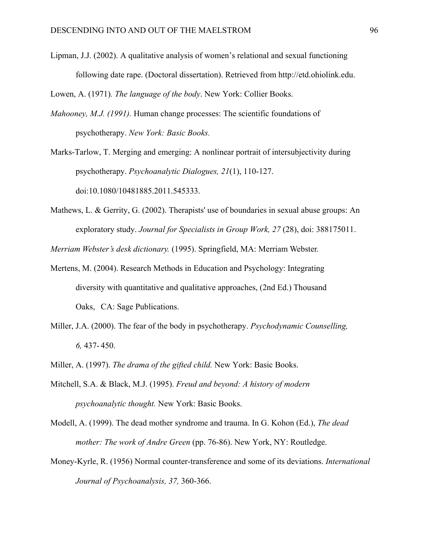Lipman, J.J. (2002). A qualitative analysis of women's relational and sexual functioning following date rape. (Doctoral dissertation). Retrieved from http://etd.ohiolink.edu.

Lowen, A. (1971)*. The language of the body*. New York: Collier Books.

*Mahooney, M.J. (1991).* Human change processes: The scientific foundations of psychotherapy. *New York: Basic Books.* 

Marks-Tarlow, T. Merging and emerging: A nonlinear portrait of intersubjectivity during psychotherapy. *Psychoanalytic Dialogues, 21*(1), 110-127. doi:10.1080/10481885.2011.545333.

Mathews, L. & Gerrity, G. (2002). Therapists' use of boundaries in sexual abuse groups: An exploratory study. *Journal for Specialists in Group Work, 27* (28), doi: 388175011.

*Merriam Webster's desk dictionary.* (1995). Springfield, MA: Merriam Webster.

- Mertens, M. (2004). Research Methods in Education and Psychology: Integrating diversity with quantitative and qualitative approaches, (2nd Ed.) Thousand Oaks, CA: Sage Publications.
- Miller, J.A. (2000). The fear of the body in psychotherapy. *Psychodynamic Counselling, 6,* 437- 450.
- Miller, A. (1997). *The drama of the gifted child.* New York: Basic Books.
- Mitchell, S.A. & Black, M.J. (1995). *Freud and beyond: A history of modern psychoanalytic thought.* New York: Basic Books.
- Modell, A. (1999). The dead mother syndrome and trauma. In G. Kohon (Ed.), *The dead mother: The work of Andre Green* (pp. 76-86). New York, NY: Routledge.
- Money-Kyrle, R. (1956) Normal counter-transference and some of its deviations. *International Journal of Psychoanalysis, 37,* 360-366.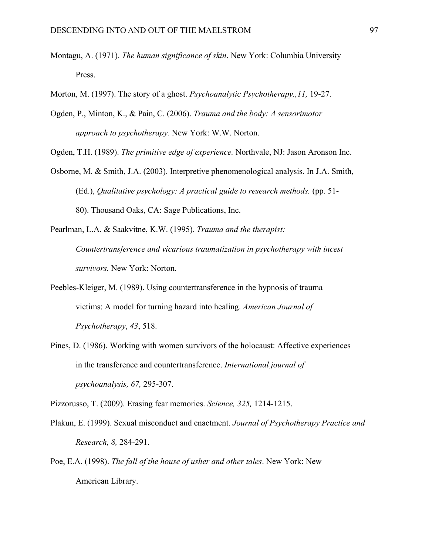- Montagu, A. (1971). *The human significance of skin*. New York: Columbia University Press.
- Morton, M. (1997). The story of a ghost. *Psychoanalytic Psychotherapy.,11,* 19-27.
- Ogden, P., Minton, K., & Pain, C. (2006). *Trauma and the body: A sensorimotor approach to psychotherapy.* New York: W.W. Norton.

Ogden, T.H. (1989). *The primitive edge of experience.* Northvale, NJ: Jason Aronson Inc.

- Osborne, M. & Smith, J.A. (2003). Interpretive phenomenological analysis. In J.A. Smith, (Ed.), *Qualitative psychology: A practical guide to research methods.* (pp. 51- 80). Thousand Oaks, CA: Sage Publications, Inc.
- Pearlman, L.A. & Saakvitne, K.W. (1995). *Trauma and the therapist: Countertransference and vicarious traumatization in psychotherapy with incest survivors.* New York: Norton.
- Peebles-Kleiger, M. (1989). Using countertransference in the hypnosis of trauma victims: A model for turning hazard into healing. *American Journal of Psychotherapy*, *43*, 518.
- Pines, D. (1986). Working with women survivors of the holocaust: Affective experiences in the transference and countertransference. *International journal of psychoanalysis, 67,* 295-307.

Pizzorusso, T. (2009). Erasing fear memories. *Science, 325,* 1214-1215.

- Plakun, E. (1999). Sexual misconduct and enactment. *Journal of Psychotherapy Practice and Research, 8,* 284-291.
- Poe, E.A. (1998). *The fall of the house of usher and other tales*. New York: New American Library.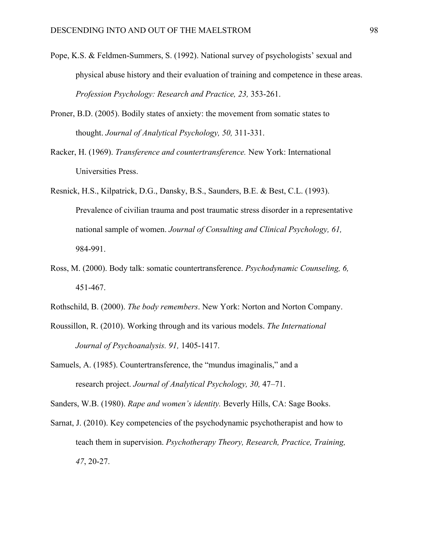- Pope, K.S. & Feldmen-Summers, S. (1992). National survey of psychologists' sexual and physical abuse history and their evaluation of training and competence in these areas. *Profession Psychology: Research and Practice, 23,* 353-261.
- Proner, B.D. (2005). Bodily states of anxiety: the movement from somatic states to thought. *Journal of Analytical Psychology, 50,* 311-331.
- Racker, H. (1969). *Transference and countertransference.* New York: International Universities Press.
- Resnick, H.S., Kilpatrick, D.G., Dansky, B.S., Saunders, B.E. & Best, C.L. (1993). Prevalence of civilian trauma and post traumatic stress disorder in a representative national sample of women. *Journal of Consulting and Clinical Psychology, 61,*  984-991.
- Ross, M. (2000). Body talk: somatic countertransference. *Psychodynamic Counseling, 6,*  451-467.
- Rothschild, B. (2000). *The body remembers*. New York: Norton and Norton Company.
- Roussillon, R. (2010). Working through and its various models. *The International Journal of Psychoanalysis. 91,* 1405-1417.
- Samuels, A. (1985). Countertransference, the "mundus imaginalis," and a research project. *Journal of Analytical Psychology, 30,* 47–71.

Sanders, W.B. (1980). *Rape and women's identity.* Beverly Hills, CA: Sage Books.

Sarnat, J. (2010). Key competencies of the psychodynamic psychotherapist and how to teach them in supervision. *Psychotherapy Theory, Research, Practice, Training, 47*, 20-27.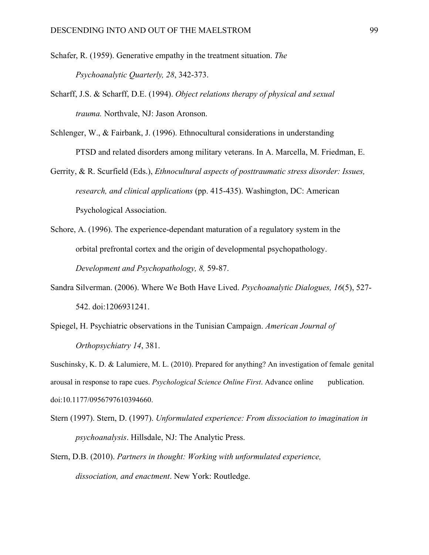Schafer, R. (1959). Generative empathy in the treatment situation. *The Psychoanalytic Quarterly, 28*, 342-373.

- Scharff, J.S. & Scharff, D.E. (1994). *Object relations therapy of physical and sexual trauma.* Northvale, NJ: Jason Aronson.
- Schlenger, W., & Fairbank, J. (1996). Ethnocultural considerations in understanding PTSD and related disorders among military veterans. In A. Marcella, M. Friedman, E.
- Gerrity, & R. Scurfield (Eds.), *Ethnocultural aspects of posttraumatic stress disorder: Issues, research, and clinical applications* (pp. 415-435). Washington, DC: American Psychological Association.
- Schore, A. (1996). The experience-dependant maturation of a regulatory system in the orbital prefrontal cortex and the origin of developmental psychopathology. *Development and Psychopathology, 8,* 59-87.
- Sandra Silverman. (2006). Where We Both Have Lived. *Psychoanalytic Dialogues, 16*(5), 527- 542. doi:1206931241.
- Spiegel, H. [Psychiatric observations in the Tunisian Campaign.](http://www.marciagreenleaf.com/HS/_html/pdfs/PsychiatricObservationsintheTunisianCampaign.pdf) *American Journal of Orthopsychiatry 14*, 381.

Suschinsky, K. D. & Lalumiere, M. L. (2010). Prepared for anything? An investigation of female genital arousal in response to rape cues. *Psychological Science Online First*. Advance online publication. doi:10.1177/0956797610394660.

Stern (1997). Stern, D. (1997). *Unformulated experience: From dissociation to imagination in psychoanalysis*. Hillsdale, NJ: The Analytic Press.

Stern, D.B. (2010). *Partners in thought: Working with unformulated experience, dissociation, and enactment*. New York: Routledge.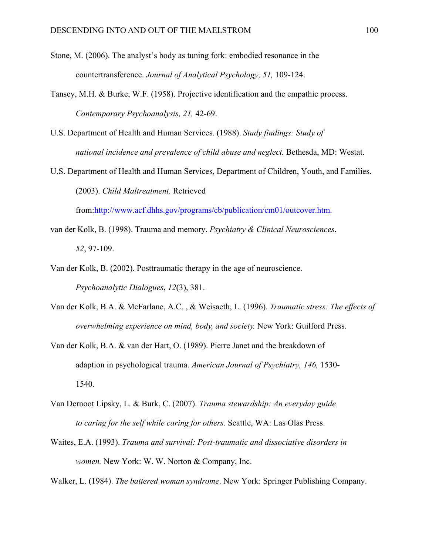- Stone, M. (2006). The analyst's body as tuning fork: embodied resonance in the countertransference. *Journal of Analytical Psychology, 51,* 109-124.
- Tansey, M.H. & Burke, W.F. (1958). Projective identification and the empathic process. *Contemporary Psychoanalysis, 21,* 42-69.
- U.S. Department of Health and Human Services. (1988). *Study findings: Study of national incidence and prevalence of child abuse and neglect.* Bethesda, MD: Westat.
- U.S. Department of Health and Human Services, Department of Children, Youth, and Families. (2003). *Child Maltreatment.* Retrieved

from:<http://www.acf.dhhs.gov/programs/cb/publication/cm01/outcover.htm>.

- van der Kolk, B. (1998). Trauma and memory. *Psychiatry & Clinical Neurosciences*, *52*, 97-109.
- Van der Kolk, B. (2002). Posttraumatic therapy in the age of neuroscience. *Psychoanalytic Dialogues*, *12*(3), 381.
- Van der Kolk, B.A. & McFarlane, A.C. , & Weisaeth, L. (1996). *Traumatic stress: The effects of overwhelming experience on mind, body, and society.* New York: Guilford Press.
- Van der Kolk, B.A. & van der Hart, O. (1989). Pierre Janet and the breakdown of adaption in psychological trauma. *American Journal of Psychiatry, 146,* 1530- 1540.
- Van Dernoot Lipsky, L. & Burk, C. (2007). *Trauma stewardship: An everyday guide to caring for the self while caring for others.* Seattle, WA: Las Olas Press.
- Waites, E.A. (1993). *Trauma and survival: Post-traumatic and dissociative disorders in women.* New York: W. W. Norton & Company, Inc.

Walker, L. (1984). *The battered woman syndrome*. New York: Springer Publishing Company.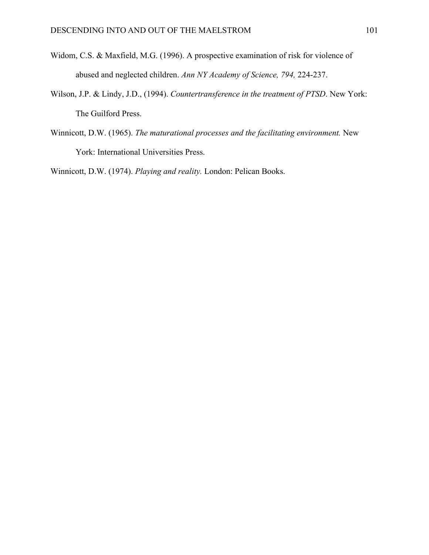- Widom, C.S. & Maxfield, M.G. (1996). A prospective examination of risk for violence of abused and neglected children. *Ann NY Academy of Science, 794,* 224-237.
- Wilson, J.P. & Lindy, J.D., (1994). *Countertransference in the treatment of PTSD*. New York: The Guilford Press.
- Winnicott, D.W. (1965). *The maturational processes and the facilitating environment.* New York: International Universities Press.

Winnicott, D.W. (1974). *Playing and reality.* London: Pelican Books.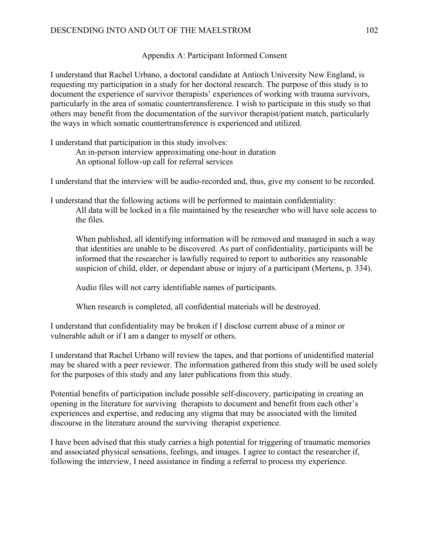# Appendix A: Participant Informed Consent

I understand that Rachel Urbano, a doctoral candidate at Antioch University New England, is requesting my participation in a study for her doctoral research. The purpose of this study is to document the experience of survivor therapists' experiences of working with trauma survivors, particularly in the area of somatic countertransference. I wish to participate in this study so that others may benefit from the documentation of the survivor therapist/patient match, particularly the ways in which somatic countertransference is experienced and utilized.

I understand that participation in this study involves:

 An in-person interview approximating one-hour in duration An optional follow-up call for referral services

I understand that the interview will be audio-recorded and, thus, give my consent to be recorded.

I understand that the following actions will be performed to maintain confidentiality: All data will be locked in a file maintained by the researcher who will have sole access to the files.

 When published, all identifying information will be removed and managed in such a way that identities are unable to be discovered. As part of confidentiality, participants will be informed that the researcher is lawfully required to report to authorities any reasonable suspicion of child, elder, or dependant abuse or injury of a participant (Mertens, p. 334).

Audio files will not carry identifiable names of participants.

When research is completed, all confidential materials will be destroyed.

I understand that confidentiality may be broken if I disclose current abuse of a minor or vulnerable adult or if I am a danger to myself or others.

I understand that Rachel Urbano will review the tapes, and that portions of unidentified material may be shared with a peer reviewer. The information gathered from this study will be used solely for the purposes of this study and any later publications from this study.

Potential benefits of participation include possible self-discovery, participating in creating an opening in the literature for surviving therapists to document and benefit from each other's experiences and expertise, and reducing any stigma that may be associated with the limited discourse in the literature around the surviving therapist experience.

I have been advised that this study carries a high potential for triggering of traumatic memories and associated physical sensations, feelings, and images. I agree to contact the researcher if, following the interview, I need assistance in finding a referral to process my experience.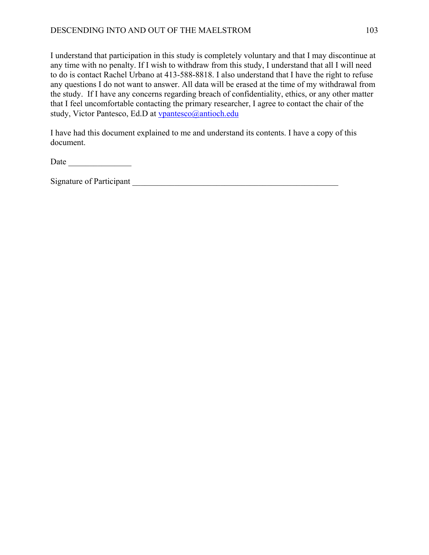I understand that participation in this study is completely voluntary and that I may discontinue at any time with no penalty. If I wish to withdraw from this study, I understand that all I will need to do is contact Rachel Urbano at 413-588-8818. I also understand that I have the right to refuse any questions I do not want to answer. All data will be erased at the time of my withdrawal from the study. If I have any concerns regarding breach of confidentiality, ethics, or any other matter that I feel uncomfortable contacting the primary researcher, I agree to contact the chair of the study, Victor Pantesco, Ed.D at [vpantesco@antioch.edu](mailto:vpantesco@antioch.edu)

I have had this document explained to me and understand its contents. I have a copy of this document.

Date \_\_\_\_\_\_\_\_\_\_\_\_\_\_\_

Signature of Participant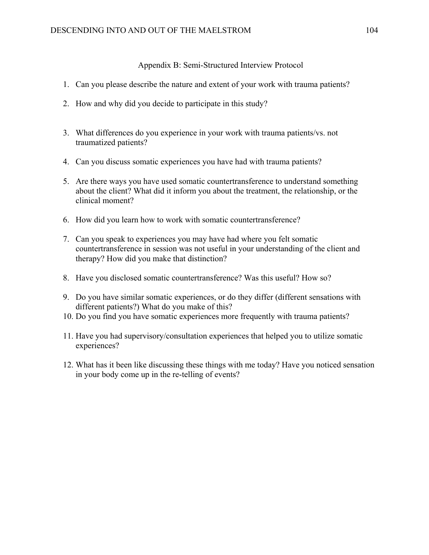#### Appendix B: Semi-Structured Interview Protocol

- 1. Can you please describe the nature and extent of your work with trauma patients?
- 2. How and why did you decide to participate in this study?
- 3. What differences do you experience in your work with trauma patients/vs. not traumatized patients?
- 4. Can you discuss somatic experiences you have had with trauma patients?
- 5. Are there ways you have used somatic countertransference to understand something about the client? What did it inform you about the treatment, the relationship, or the clinical moment?
- 6. How did you learn how to work with somatic countertransference?
- 7. Can you speak to experiences you may have had where you felt somatic countertransference in session was not useful in your understanding of the client and therapy? How did you make that distinction?
- 8. Have you disclosed somatic countertransference? Was this useful? How so?
- 9. Do you have similar somatic experiences, or do they differ (different sensations with different patients?) What do you make of this?
- 10. Do you find you have somatic experiences more frequently with trauma patients?
- 11. Have you had supervisory/consultation experiences that helped you to utilize somatic experiences?
- 12. What has it been like discussing these things with me today? Have you noticed sensation in your body come up in the re-telling of events?